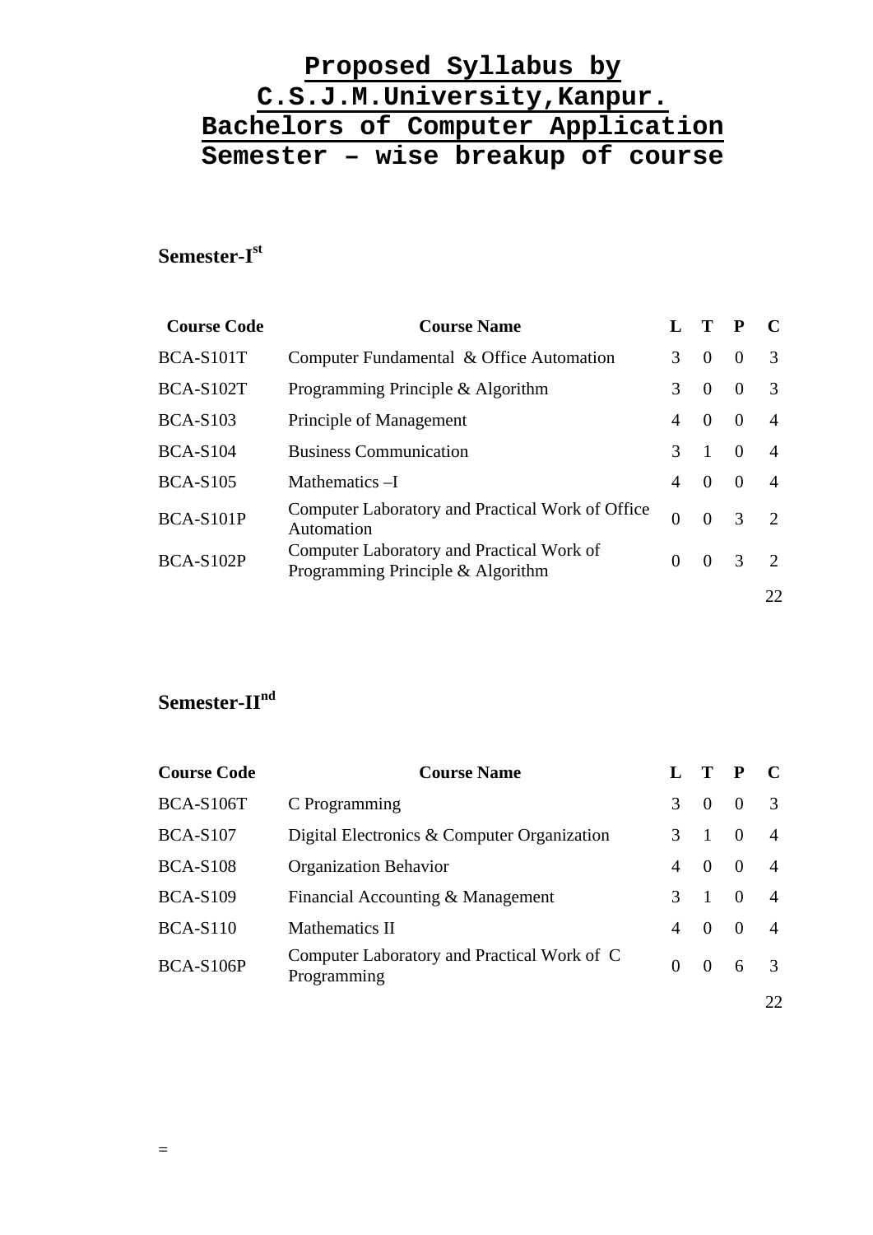# **Semester-Ist**

| <b>Course Code</b> | <b>Course Name</b>                                                             |          |          |          |                |
|--------------------|--------------------------------------------------------------------------------|----------|----------|----------|----------------|
| BCA-S101T          | Computer Fundamental & Office Automation                                       | 3        | $\Omega$ | $\Omega$ | $\mathcal{R}$  |
| <b>BCA-S102T</b>   | Programming Principle & Algorithm                                              | 3        | $\Omega$ | $\Omega$ | $\mathcal{R}$  |
| $BCA-S103$         | Principle of Management                                                        | 4        | $\Omega$ | $\Omega$ | $\overline{A}$ |
| <b>BCA-S104</b>    | <b>Business Communication</b>                                                  | 3        |          | $\Omega$ | $\overline{A}$ |
| <b>BCA-S105</b>    | Mathematics - I                                                                | 4        | $\Omega$ | $\Omega$ | 4              |
| BCA-S101P          | Computer Laboratory and Practical Work of Office<br>Automation                 | $\theta$ | $\Omega$ | 3        | $\mathcal{D}$  |
| <b>BCA-S102P</b>   | Computer Laboratory and Practical Work of<br>Programming Principle & Algorithm | $\Omega$ | $\Omega$ | 3        | $\mathcal{D}$  |
|                    |                                                                                |          |          |          | 22             |

# **Semester-IInd**

| <b>Course Code</b> | <b>Course Name</b>                                         |   |                | $\mathbf{P}$   | $\mathbf C$    |
|--------------------|------------------------------------------------------------|---|----------------|----------------|----------------|
| <b>BCA-S106T</b>   | C Programming                                              | 3 | $\Omega$       | $\overline{0}$ |                |
| <b>BCA-S107</b>    | Digital Electronics & Computer Organization                |   | $3 \quad 1$    | $\overline{0}$ | $\overline{A}$ |
| <b>BCA-S108</b>    | <b>Organization Behavior</b>                               | 4 | $\theta$       | $\overline{0}$ |                |
| <b>BCA-S109</b>    | Financial Accounting & Management                          | 3 | $\overline{1}$ | $\overline{0}$ | $\overline{4}$ |
| <b>BCA-S110</b>    | Mathematics II                                             | 4 | $\theta$       | $\Omega$       | $\overline{4}$ |
| <b>BCA-S106P</b>   | Computer Laboratory and Practical Work of C<br>Programming | 0 | $\Omega$       | 6              | $\mathcal{R}$  |
|                    |                                                            |   |                |                | 22             |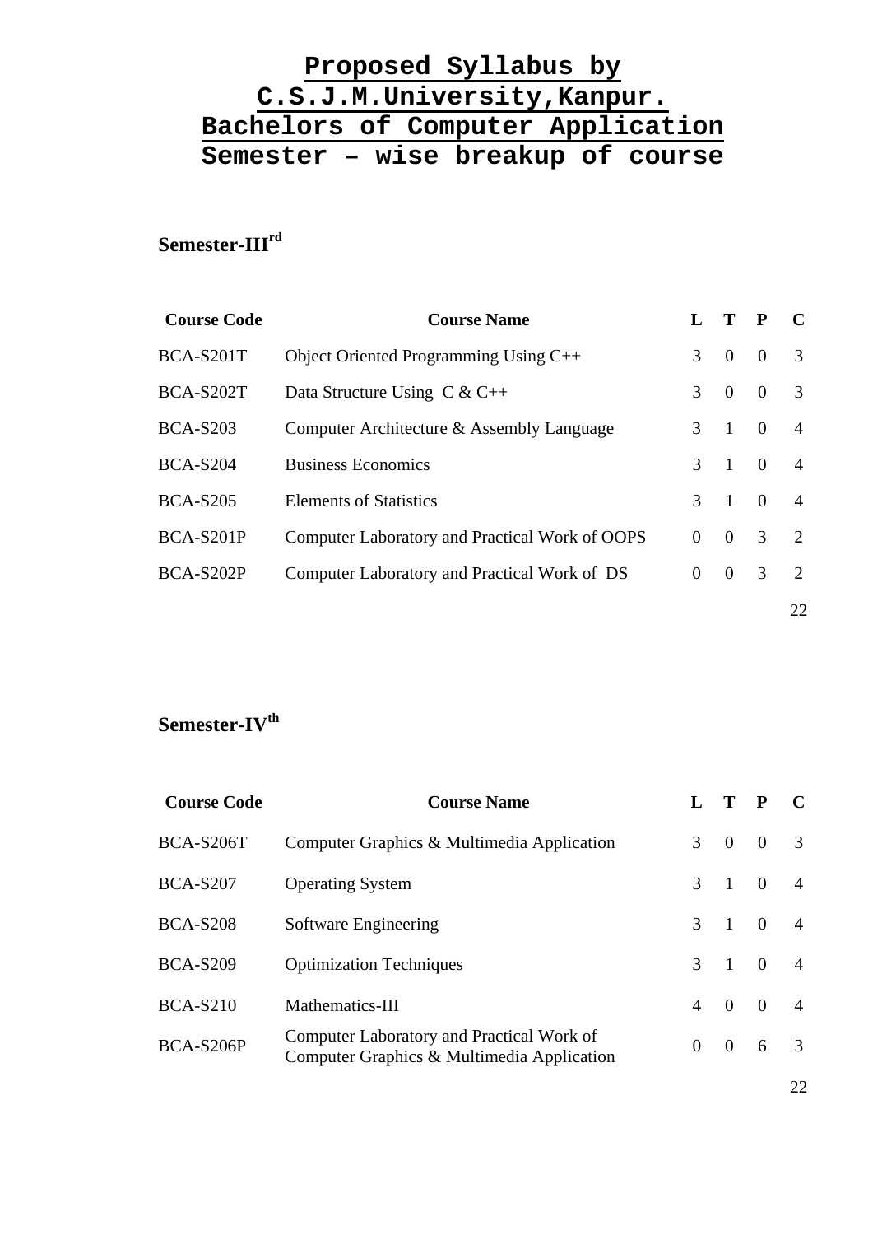# **Semester-IIIrd**

| <b>Course Code</b> | <b>Course Name</b>                             |               |                | $\mathbf{P}$   | $\mathcal{C}$               |
|--------------------|------------------------------------------------|---------------|----------------|----------------|-----------------------------|
| BCA-S201T          | Object Oriented Programming Using $C++$        | 3             | $\theta$       | $\overline{0}$ | 3                           |
| <b>BCA-S202T</b>   | Data Structure Using $C & C++$                 | 3             | $\overline{0}$ | $\overline{0}$ | 3                           |
| <b>BCA-S203</b>    | Computer Architecture & Assembly Language      | $\mathcal{F}$ | $\boxed{1}$    | $\overline{0}$ | $\overline{A}$              |
| <b>BCA-S204</b>    | <b>Business Economics</b>                      | $\mathcal{F}$ | $\overline{1}$ | $\overline{0}$ | $\overline{A}$              |
| <b>BCA-S205</b>    | <b>Elements of Statistics</b>                  | $\mathcal{R}$ | $\overline{1}$ | $\theta$       | 4                           |
| BCA-S201P          | Computer Laboratory and Practical Work of OOPS | $\Omega$      | $\Omega$       | 3              | $\overline{2}$              |
| BCA-S202P          | Computer Laboratory and Practical Work of DS   | $\Omega$      | $\theta$       | 3              | $\mathcal{D}_{\mathcal{L}}$ |
|                    |                                                |               |                |                | 22                          |

# Semester-IV<sup>th</sup>

| <b>Course Name</b>                                                                      |                |          |                | $\mathbf{C}$                                                             |
|-----------------------------------------------------------------------------------------|----------------|----------|----------------|--------------------------------------------------------------------------|
| Computer Graphics & Multimedia Application                                              | $\mathcal{F}$  | $\theta$ | $\Omega$       | 3                                                                        |
| <b>Operating System</b>                                                                 | $\mathcal{E}$  |          |                | $\overline{4}$                                                           |
| Software Engineering                                                                    | $\mathcal{E}$  |          |                | $\overline{4}$                                                           |
| <b>Optimization Techniques</b>                                                          | $\mathcal{E}$  |          |                | $\overline{4}$                                                           |
| Mathematics-III                                                                         | $\overline{4}$ |          | $\overline{0}$ | $\overline{4}$                                                           |
| Computer Laboratory and Practical Work of<br>Computer Graphics & Multimedia Application | $\Omega$       | $\Omega$ | 6              | $\overline{3}$                                                           |
|                                                                                         |                |          | $\overline{0}$ | $\mathbf{P}$<br>$1 \quad 0$<br>$1 \quad 0$<br>$\overline{0}$<br>$\sim 1$ |

22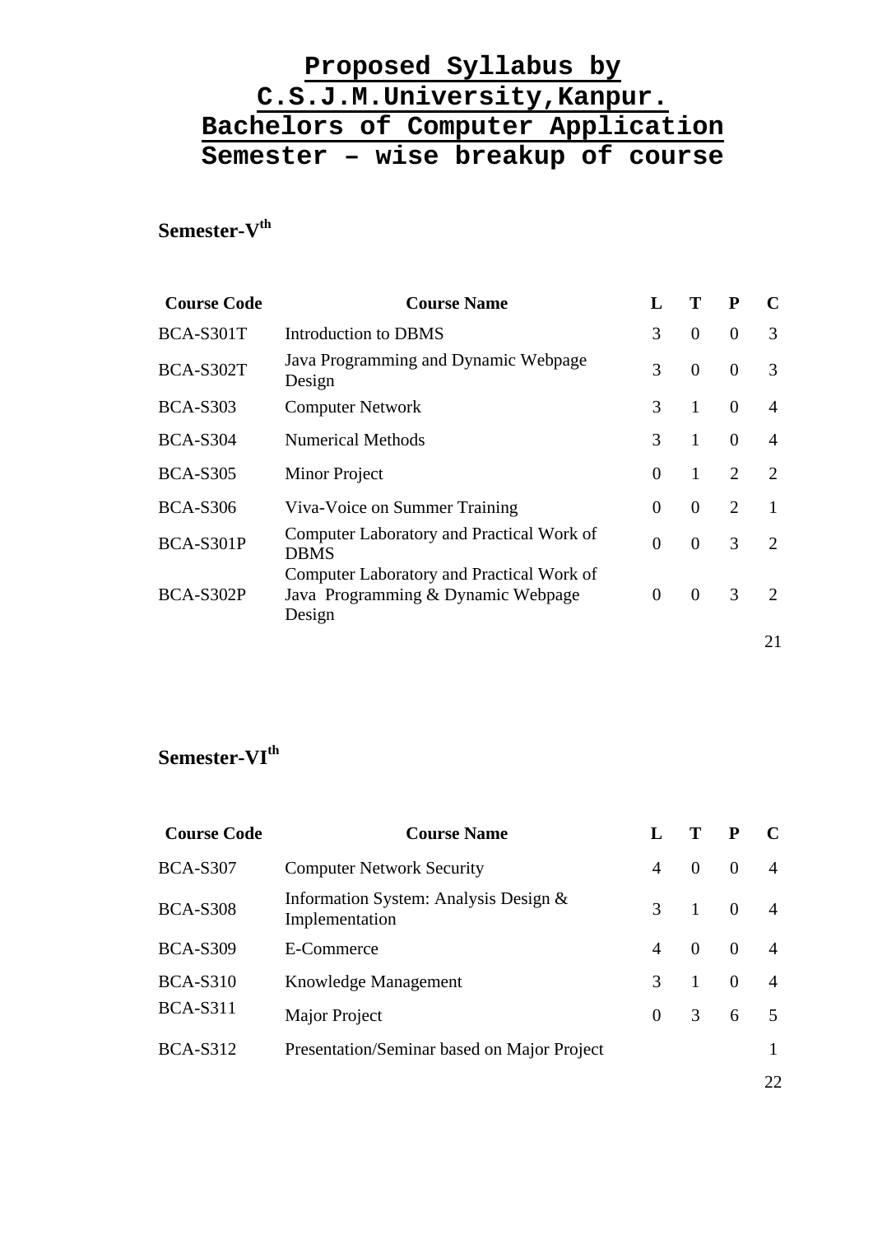# $Semester-V<sup>th</sup>$

| <b>Course Code</b> | <b>Course Name</b>                                                                        | L             | Т              | P                           | $\mathbf C$                 |
|--------------------|-------------------------------------------------------------------------------------------|---------------|----------------|-----------------------------|-----------------------------|
| <b>BCA-S301T</b>   | Introduction to DBMS                                                                      | 3             | $\overline{0}$ | $\theta$                    | 3                           |
| <b>BCA-S302T</b>   | Java Programming and Dynamic Webpage<br>Design                                            | 3             | $\overline{0}$ | $\Omega$                    | 3                           |
| <b>BCA-S303</b>    | <b>Computer Network</b>                                                                   | 3             | $\mathbf{1}$   | $\overline{0}$              | 4                           |
| <b>BCA-S304</b>    | <b>Numerical Methods</b>                                                                  | $\mathcal{F}$ | 1              | $\Omega$                    | $\overline{4}$              |
| <b>BCA-S305</b>    | Minor Project                                                                             | $\theta$      | 1              | 2                           | $\mathcal{D}_{\mathcal{L}}$ |
| <b>BCA-S306</b>    | Viva-Voice on Summer Training                                                             | 0             | $\theta$       | $\mathcal{D}_{\mathcal{L}}$ | 1                           |
| <b>BCA-S301P</b>   | Computer Laboratory and Practical Work of<br><b>DBMS</b>                                  | $\theta$      | $\overline{0}$ | 3                           | $\mathcal{D}_{\mathcal{L}}$ |
| BCA-S302P          | Computer Laboratory and Practical Work of<br>Java Programming & Dynamic Webpage<br>Design | 0             | $\overline{0}$ | 3                           | $\mathcal{D}_{\mathcal{L}}$ |
|                    |                                                                                           |               |                |                             | 21                          |

# **Semester-VIth**

| <b>Course Code</b> | <b>Course Name</b>                                      |                |                | P        |                |
|--------------------|---------------------------------------------------------|----------------|----------------|----------|----------------|
| <b>BCA-S307</b>    | <b>Computer Network Security</b>                        | $\overline{A}$ | $\Omega$       | $\Omega$ |                |
| <b>BCA-S308</b>    | Information System: Analysis Design &<br>Implementation | 3              | $\mathbf{1}$   | $\theta$ |                |
| <b>BCA-S309</b>    | E-Commerce                                              | 4              | $\Omega$       | $\theta$ | $\overline{4}$ |
| <b>BCA-S310</b>    | Knowledge Management                                    | $\mathcal{R}$  | $\overline{1}$ | $\theta$ | $\overline{4}$ |
| <b>BCA-S311</b>    | Major Project                                           | $\overline{0}$ | 3              | 6        | 5              |
| <b>BCA-S312</b>    | Presentation/Seminar based on Major Project             |                |                |          |                |
|                    |                                                         |                |                |          | 22             |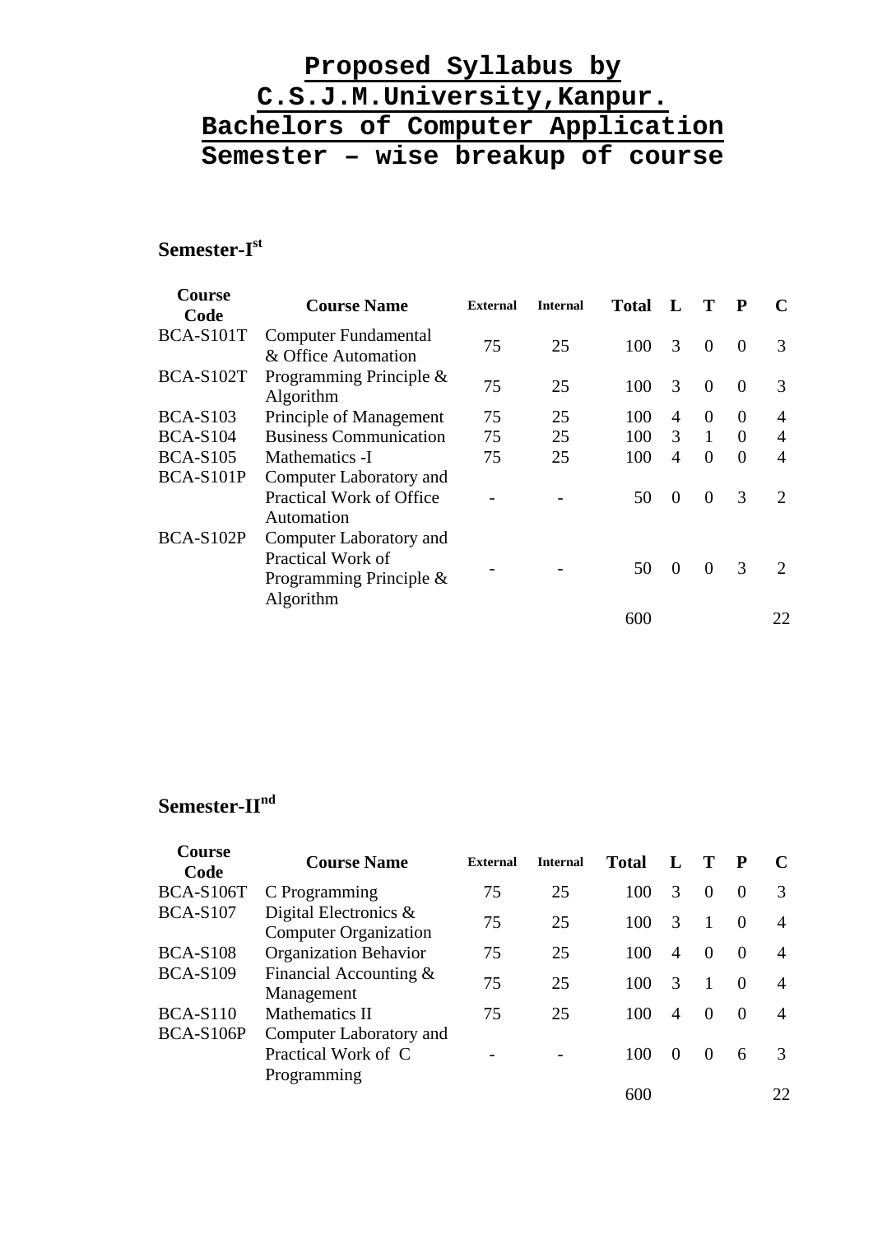# **Semester-Ist**

| Course<br>Code   | <b>Course Name</b>                                                                   | <b>External</b> | <b>Internal</b> | Total | $\mathbf{L}$ | Т            | $\mathbf{P}$ | $\mathcal{C}_{\mathcal{C}}$ |
|------------------|--------------------------------------------------------------------------------------|-----------------|-----------------|-------|--------------|--------------|--------------|-----------------------------|
| BCA-S101T        | <b>Computer Fundamental</b><br>& Office Automation                                   | 75              | 25              | 100   | 3            | $\Omega$     | $\Omega$     | 3                           |
| BCA-S102T        | Programming Principle &<br>Algorithm                                                 | 75              | 25              | 100   | 3            | $\Omega$     | $\Omega$     | 3                           |
| <b>BCA-S103</b>  | Principle of Management                                                              | 75              | 25              | 100   | 4            | $\Omega$     | $\Omega$     | 4                           |
| <b>BCA-S104</b>  | <b>Business Communication</b>                                                        | 75              | 25              | 100   | 3            | $\mathbf{1}$ | $\theta$     | 4                           |
| <b>BCA-S105</b>  | Mathematics -I                                                                       | 75              | 25              | 100   | 4            | $\Omega$     | $\Omega$     | $\overline{4}$              |
| BCA-S101P        | Computer Laboratory and<br>Practical Work of Office<br>Automation                    |                 |                 | 50    | $\Omega$     | $\Omega$     | 3            | $\mathcal{D}_{\mathcal{L}}$ |
| <b>BCA-S102P</b> | Computer Laboratory and<br>Practical Work of<br>Programming Principle &<br>Algorithm |                 |                 | 50    | $\Omega$     | $\Omega$     | 3            | $\mathcal{D}_{\mathcal{L}}$ |
|                  |                                                                                      |                 |                 | 600   |              |              |              | 22                          |

# **Semester-IInd**

| <b>Course</b><br>Code | <b>Course Name</b>                                            | <b>External</b> | <b>Internal</b> | <b>Total</b> |                  |          |          |               |
|-----------------------|---------------------------------------------------------------|-----------------|-----------------|--------------|------------------|----------|----------|---------------|
| <b>BCA-S106T</b>      | C Programming                                                 | 75              | 25              | 100          | 3                | $\Omega$ | $\Omega$ | $\mathcal{R}$ |
| <b>BCA-S107</b>       | Digital Electronics $\&$<br><b>Computer Organization</b>      | 75              | 25              | 100          | $\mathcal{R}$    | -1       | $\Omega$ | 4             |
| <b>BCA-S108</b>       | <b>Organization Behavior</b>                                  | 75              | 25              | 100          | 4                | $\Omega$ | $\Omega$ | 4             |
| <b>BCA-S109</b>       | Financial Accounting $&$<br>Management                        | 75              | 25              | 100          | 3                |          | $\Omega$ | 4             |
| <b>BCA-S110</b>       | Mathematics II                                                | 75              | 25              | 100          | $\overline{4}$   | $\Omega$ | $\Omega$ | 4             |
| <b>BCA-S106P</b>      | Computer Laboratory and<br>Practical Work of C<br>Programming |                 |                 | 100          | $\left( \right)$ |          | 6        | 3             |
|                       |                                                               |                 |                 | 600          |                  |          |          | 22            |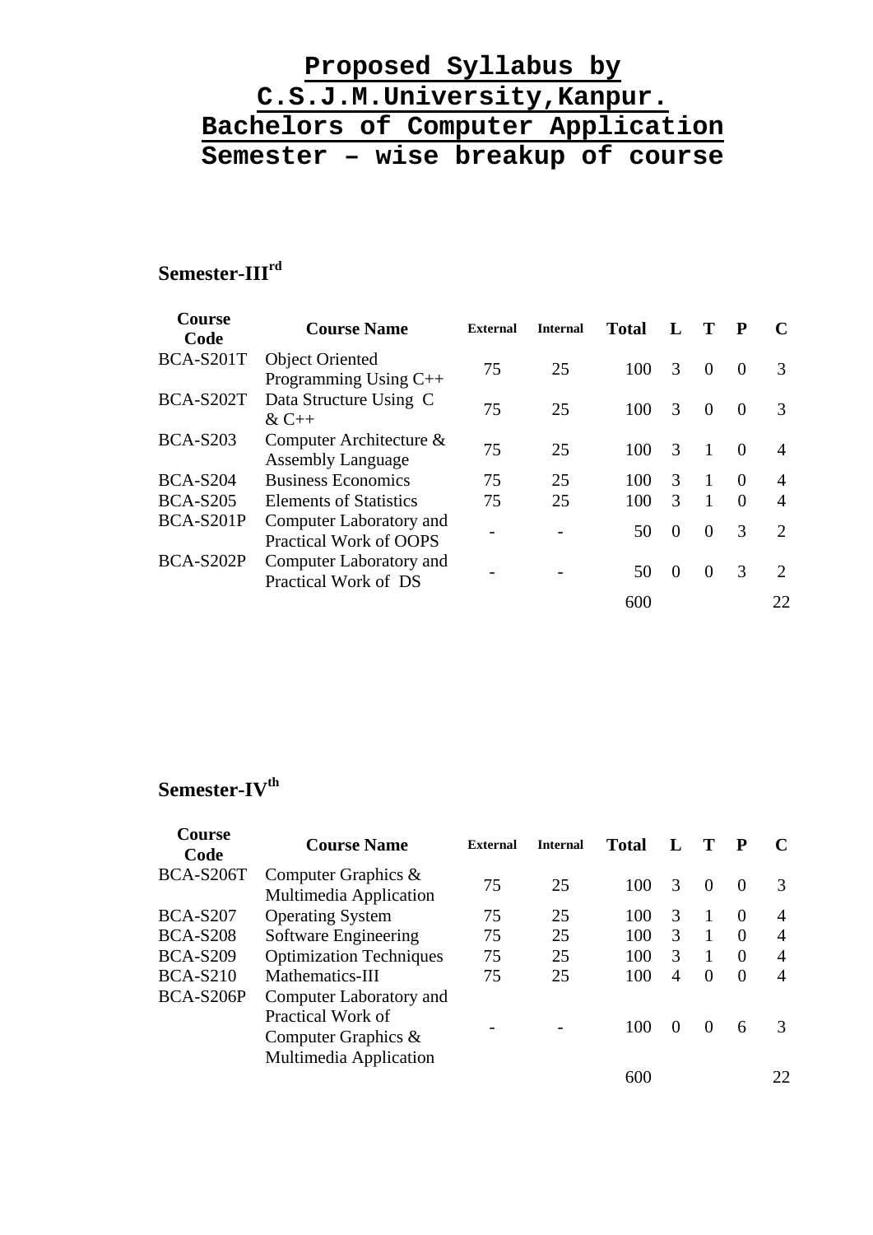# **Semester-IIIrd**

| Course<br>Code   | <b>Course Name</b>            | <b>External</b> | <b>Internal</b> | <b>Total</b> |          |          | $\mathbf{P}$  | $\mathbf C$                 |
|------------------|-------------------------------|-----------------|-----------------|--------------|----------|----------|---------------|-----------------------------|
| BCA-S201T        | <b>Object Oriented</b>        | 75              | 25              | 100          | 3        | $\Omega$ | $\Omega$      | $\mathcal{F}$               |
|                  | Programming Using C++         |                 |                 |              |          |          |               |                             |
| BCA-S202T        | Data Structure Using C        | 75              | 25              | 100          | 3        | $\Omega$ | $\Omega$      | $\mathcal{F}$               |
|                  | $&C++$                        |                 |                 |              |          |          |               |                             |
| <b>BCA-S203</b>  | Computer Architecture &       | 75              | 25              | 100          | 3        |          | $\Omega$      | 4                           |
|                  | <b>Assembly Language</b>      |                 |                 |              |          |          |               |                             |
| <b>BCA-S204</b>  | <b>Business Economics</b>     | 75              | 25              | 100          | 3        |          | $\Omega$      | 4                           |
| <b>BCA-S205</b>  | <b>Elements of Statistics</b> | 75              | 25              | 100          | 3        |          | $\Omega$      | $\overline{A}$              |
| BCA-S201P        | Computer Laboratory and       |                 |                 |              | $\Omega$ | $\Omega$ | $\mathcal{R}$ | $\mathcal{D}_{\mathcal{L}}$ |
|                  | Practical Work of OOPS        |                 |                 | 50           |          |          |               |                             |
| <b>BCA-S202P</b> | Computer Laboratory and       |                 |                 |              |          |          | $\mathcal{R}$ | $\mathcal{D}_{\mathcal{L}}$ |
|                  | Practical Work of DS          |                 |                 | 50           | $\theta$ | $\theta$ |               |                             |
|                  |                               |                 |                 | 600          |          |          |               | 22                          |

# Semester-IV<sup>th</sup>

| Course<br>Code   | <b>Course Name</b>                                                                                      | <b>External</b> | <b>Internal</b> | <b>Total</b> |                |          | P        |     |
|------------------|---------------------------------------------------------------------------------------------------------|-----------------|-----------------|--------------|----------------|----------|----------|-----|
| <b>BCA-S206T</b> | Computer Graphics $\&$<br>Multimedia Application                                                        | 75              | 25              | 100          | $\mathcal{R}$  | $\theta$ | $\Omega$ | 3   |
| <b>BCA-S207</b>  | <b>Operating System</b>                                                                                 | 75              | 25              | 100          | 3              |          | $\theta$ | 4   |
| <b>BCA-S208</b>  | Software Engineering                                                                                    | 75              | 25              | 100          | $\mathcal{R}$  | 1        | $\Omega$ | 4   |
| <b>BCA-S209</b>  | <b>Optimization Techniques</b>                                                                          | 75              | 25              | 100          | $\mathcal{R}$  | 1        | $\Omega$ | 4   |
| <b>BCA-S210</b>  | Mathematics-III                                                                                         | 75              | 25              | 100          | $\overline{A}$ | $\Omega$ | $\Omega$ | 4   |
| BCA-S206P        | Computer Laboratory and<br>Practical Work of<br>Computer Graphics $\&$<br><b>Multimedia Application</b> |                 |                 | 100          | $\theta$       |          | 6        | 3   |
|                  |                                                                                                         |                 |                 | 600          |                |          |          | 22. |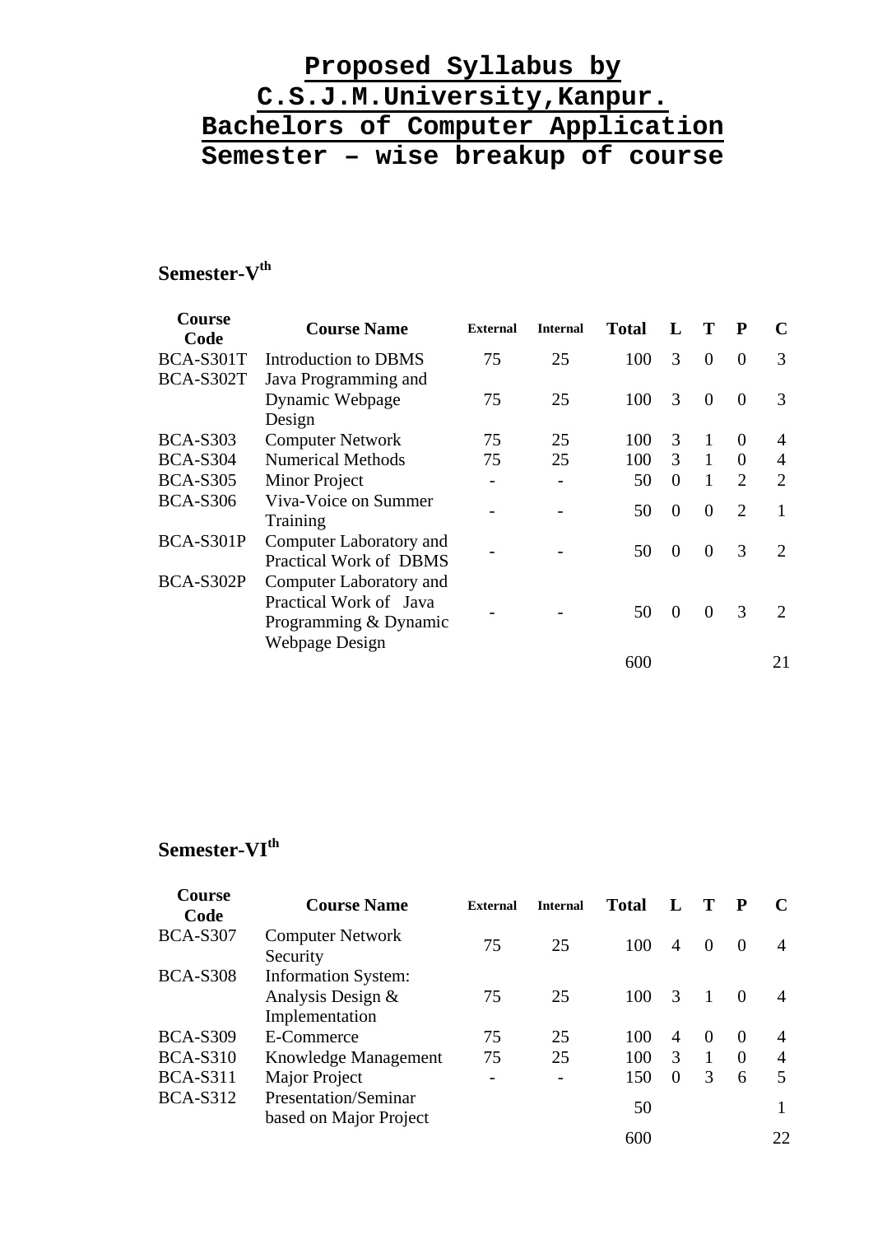# Semester-V<sup>th</sup>

| Course<br>Code   | <b>Course Name</b>                                                                                  | <b>External</b>          | <b>Internal</b> | <b>Total</b> |               | Т        | P                           |                             |
|------------------|-----------------------------------------------------------------------------------------------------|--------------------------|-----------------|--------------|---------------|----------|-----------------------------|-----------------------------|
| BCA-S301T        | Introduction to DBMS                                                                                | 75                       | 25              | 100          | 3             | $\theta$ | $\theta$                    | 3                           |
| <b>BCA-S302T</b> | Java Programming and                                                                                |                          |                 |              |               |          |                             |                             |
|                  | Dynamic Webpage                                                                                     | 75                       | 25              | 100          | 3             | $\Omega$ | $\Omega$                    | 3                           |
|                  | Design                                                                                              |                          |                 |              |               |          |                             |                             |
| <b>BCA-S303</b>  | <b>Computer Network</b>                                                                             | 75                       | 25              | 100          | 3             | 1        | $\Omega$                    | 4                           |
| <b>BCA-S304</b>  | <b>Numerical Methods</b>                                                                            | 75                       | 25              | 100          | $\mathcal{R}$ | 1        | $\Omega$                    | 4                           |
| <b>BCA-S305</b>  | Minor Project                                                                                       | $\overline{\phantom{0}}$ |                 | 50           | $\Omega$      | 1        | $\overline{2}$              | $\overline{2}$              |
| <b>BCA-S306</b>  | Viva-Voice on Summer<br>Training                                                                    |                          |                 | 50           | $\Omega$      | $\Omega$ | $\mathcal{D}_{\mathcal{L}}$ | 1                           |
| BCA-S301P        | Computer Laboratory and<br>Practical Work of DBMS                                                   |                          |                 | 50           | $\Omega$      | $\Omega$ | 3                           | $\mathcal{D}_{\mathcal{L}}$ |
| BCA-S302P        | Computer Laboratory and<br>Practical Work of Java<br>Programming & Dynamic<br><b>Webpage Design</b> |                          |                 | 50           | $\Omega$      | $\Omega$ | 3                           | $\mathcal{D}$               |
|                  |                                                                                                     |                          |                 | 600          |               |          |                             | 21                          |

# **Semester-VIth**

| <b>Course</b><br>Code | <b>Course Name</b>                                                | <b>External</b> | <b>Internal</b> | <b>Total</b> |          |          | $\mathbf{P}$ |                |
|-----------------------|-------------------------------------------------------------------|-----------------|-----------------|--------------|----------|----------|--------------|----------------|
| <b>BCA-S307</b>       | <b>Computer Network</b><br>Security                               | 75              | 25              | 100          | 4        | $\Omega$ | $\Omega$     | 4              |
| <b>BCA-S308</b>       | <b>Information System:</b><br>Analysis Design &<br>Implementation | 75              | 25              | 100          | 3        |          | $\Omega$     | 4              |
| <b>BCA-S309</b>       | E-Commerce                                                        | 75              | 25              | 100          | 4        | $\Omega$ | $\Omega$     | $\overline{4}$ |
| <b>BCA-S310</b>       | Knowledge Management                                              | 75              | 25              | 100          | 3        |          | $\Omega$     | $\overline{4}$ |
| <b>BCA-S311</b>       | Major Project                                                     |                 |                 | 150          | $\Omega$ | 3        | 6            | 5              |
| <b>BCA-S312</b>       | Presentation/Seminar<br>based on Major Project                    |                 |                 | 50           |          |          |              |                |
|                       |                                                                   |                 |                 | 600          |          |          |              | 22             |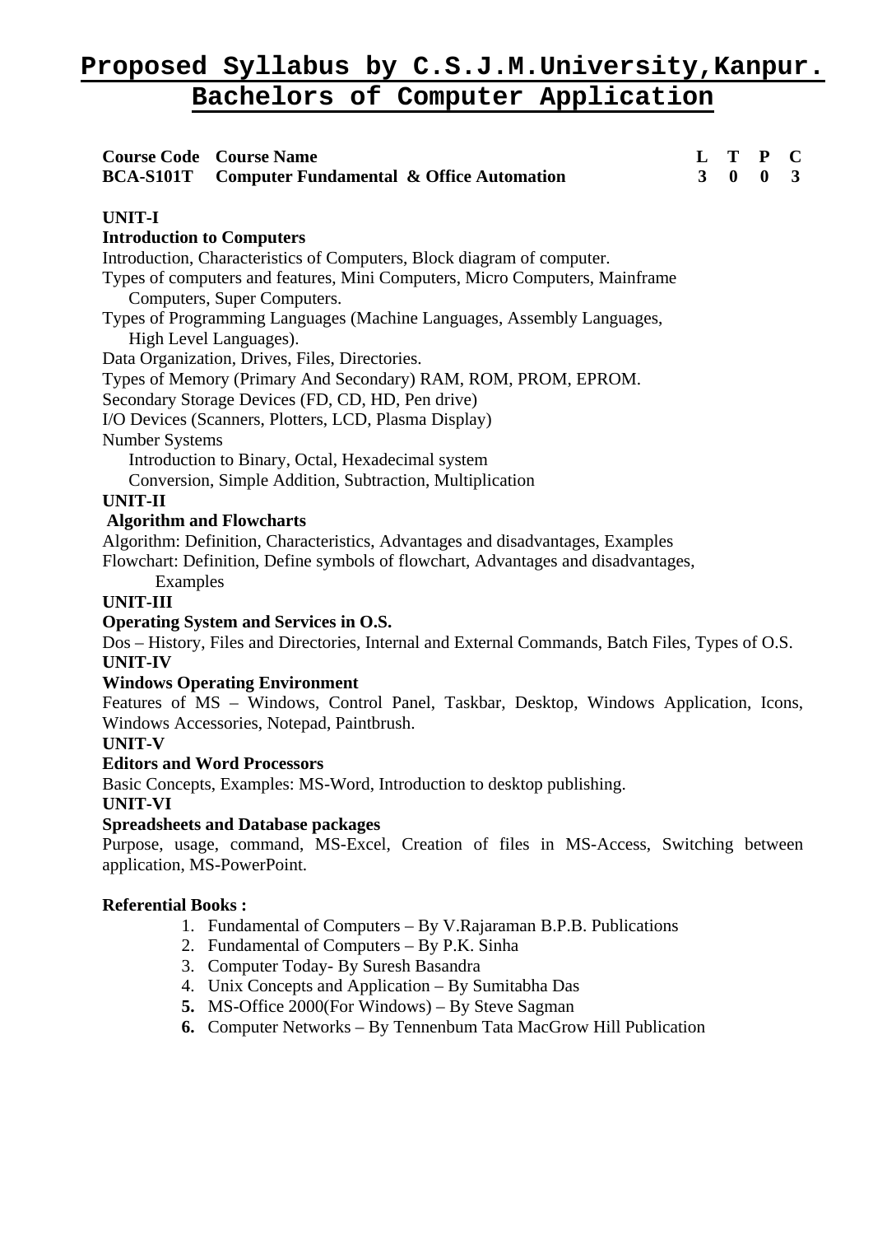| <b>Course Code Course Name</b><br><b>BCA-S101T</b><br><b>Computer Fundamental &amp; Office Automation</b>                                                                                                                                                                                                                                                                                                                                                                                                                                                                                                                                                                                                                                                                                                                                                 | L<br>$\overline{\mathbf{3}}$ | T<br>$\bf{0}$ | P<br>$\bf{0}$ | $\mathbf C$<br>3 |  |
|-----------------------------------------------------------------------------------------------------------------------------------------------------------------------------------------------------------------------------------------------------------------------------------------------------------------------------------------------------------------------------------------------------------------------------------------------------------------------------------------------------------------------------------------------------------------------------------------------------------------------------------------------------------------------------------------------------------------------------------------------------------------------------------------------------------------------------------------------------------|------------------------------|---------------|---------------|------------------|--|
| <b>UNIT-I</b><br><b>Introduction to Computers</b><br>Introduction, Characteristics of Computers, Block diagram of computer.<br>Types of computers and features, Mini Computers, Micro Computers, Mainframe<br>Computers, Super Computers.<br>Types of Programming Languages (Machine Languages, Assembly Languages,<br>High Level Languages).<br>Data Organization, Drives, Files, Directories.<br>Types of Memory (Primary And Secondary) RAM, ROM, PROM, EPROM.<br>Secondary Storage Devices (FD, CD, HD, Pen drive)<br>I/O Devices (Scanners, Plotters, LCD, Plasma Display)<br>Number Systems<br>Introduction to Binary, Octal, Hexadecimal system<br>Conversion, Simple Addition, Subtraction, Multiplication<br><b>UNIT-II</b><br><b>Algorithm and Flowcharts</b><br>Algorithm: Definition, Characteristics, Advantages and disadvantages, Examples |                              |               |               |                  |  |
| Flowchart: Definition, Define symbols of flowchart, Advantages and disadvantages,<br>Examples<br><b>UNIT-III</b><br><b>Operating System and Services in O.S.</b><br>Dos - History, Files and Directories, Internal and External Commands, Batch Files, Types of O.S.<br><b>UNIT-IV</b><br><b>Windows Operating Environment</b><br>Features of MS - Windows, Control Panel, Taskbar, Desktop, Windows Application, Icons,<br>Windows Accessories, Notepad, Paintbrush.<br><b>UNIT-V</b><br><b>Editors and Word Processors</b><br>Basic Concepts, Examples: MS-Word, Introduction to desktop publishing.<br><b>UNIT-VI</b><br><b>Spreadsheets and Database packages</b><br>Purpose, usage, command, MS-Excel, Creation of files in MS-Access, Switching between                                                                                             |                              |               |               |                  |  |
| <b>Referential Books:</b><br>1. Fundamental of Computers – By V. Rajaraman B.P.B. Publications<br>2. Fundamental of Computers – By P.K. Sinha<br>3. Computer Today- By Suresh Basandra<br>4. Unix Concepts and Application – By Sumitabha Das<br>5. MS-Office 2000(For Windows) – By Steve Sagman<br>6. Computer Networks – By Tennenbum Tata MacGrow Hill Publication                                                                                                                                                                                                                                                                                                                                                                                                                                                                                    |                              |               |               |                  |  |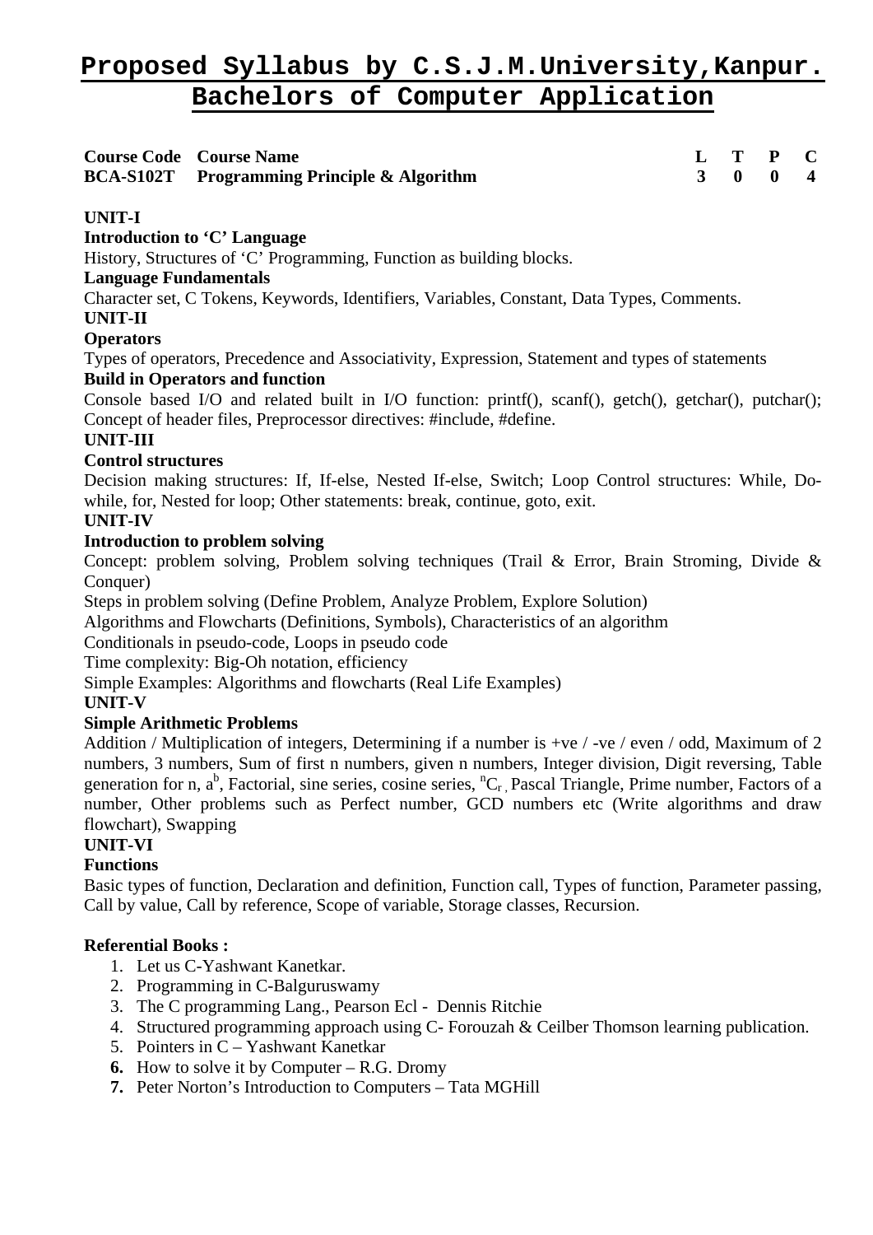**Course Code Course Name L T P C BCA-S102T Programming Principle & Algorithm 3 0 0 4** 

# **UNIT-I**

**Introduction to 'C' Language** 

History, Structures of 'C' Programming, Function as building blocks.

# **Language Fundamentals**

Character set, C Tokens, Keywords, Identifiers, Variables, Constant, Data Types, Comments.

# **UNIT-II**

# **Operators**

Types of operators, Precedence and Associativity, Expression, Statement and types of statements **Build in Operators and function** 

Console based I/O and related built in I/O function: printf(), scanf(), getch(), getchar(), putchar(); Concept of header files, Preprocessor directives: #include, #define.

# **UNIT-III**

# **Control structures**

Decision making structures: If, If-else, Nested If-else, Switch; Loop Control structures: While, Dowhile, for, Nested for loop; Other statements: break, continue, goto, exit.

# **UNIT-IV**

# **Introduction to problem solving**

Concept: problem solving, Problem solving techniques (Trail & Error, Brain Stroming, Divide & Conquer)

Steps in problem solving (Define Problem, Analyze Problem, Explore Solution)

Algorithms and Flowcharts (Definitions, Symbols), Characteristics of an algorithm

Conditionals in pseudo-code, Loops in pseudo code

Time complexity: Big-Oh notation, efficiency

Simple Examples: Algorithms and flowcharts (Real Life Examples)

# **UNIT-V**

# **Simple Arithmetic Problems**

Addition / Multiplication of integers, Determining if a number is +ve / -ve / even / odd, Maximum of 2 numbers, 3 numbers, Sum of first n numbers, given n numbers, Integer division, Digit reversing, Table generation for n,  $a^b$ , Factorial, sine series, cosine series,  ${}^nC_r$ , Pascal Triangle, Prime number, Factors of a number, Other problems such as Perfect number, GCD numbers etc (Write algorithms and draw flowchart), Swapping

# **UNIT-VI**

# **Functions**

Basic types of function, Declaration and definition, Function call, Types of function, Parameter passing, Call by value, Call by reference, Scope of variable, Storage classes, Recursion.

- 1. Let us C-Yashwant Kanetkar.
- 2. Programming in C-Balguruswamy
- 3. The C programming Lang., Pearson Ecl Dennis Ritchie
- 4. Structured programming approach using C- Forouzah & Ceilber Thomson learning publication.
- 5. Pointers in C Yashwant Kanetkar
- **6.** How to solve it by Computer R.G. Dromy
- **7.** Peter Norton's Introduction to Computers Tata MGHill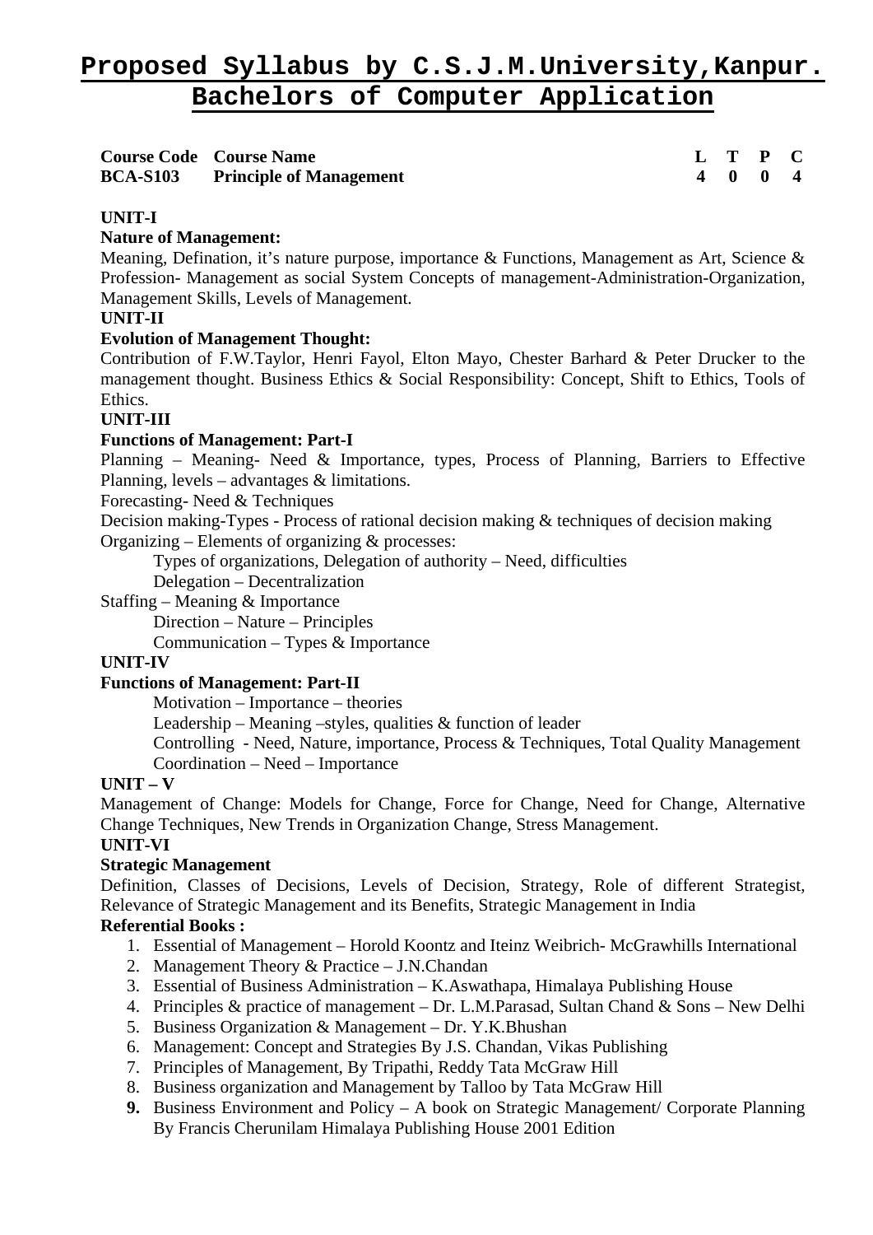| <b>Course Code Course Name</b>          |  | L T P C                     |  |
|-----------------------------------------|--|-----------------------------|--|
| <b>BCA-S103</b> Principle of Management |  | $4 \quad 0 \quad 0 \quad 4$ |  |

# **UNIT-I**

# **Nature of Management:**

Meaning, Defination, it's nature purpose, importance & Functions, Management as Art, Science & Profession- Management as social System Concepts of management-Administration-Organization, Management Skills, Levels of Management.

### **UNIT-II**

# **Evolution of Management Thought:**

Contribution of F.W.Taylor, Henri Fayol, Elton Mayo, Chester Barhard & Peter Drucker to the management thought. Business Ethics & Social Responsibility: Concept, Shift to Ethics, Tools of Ethics.

# **UNIT-III**

# **Functions of Management: Part-I**

Planning – Meaning- Need & Importance, types, Process of Planning, Barriers to Effective Planning, levels – advantages & limitations.

Forecasting- Need & Techniques

Decision making-Types - Process of rational decision making & techniques of decision making Organizing – Elements of organizing & processes:

Types of organizations, Delegation of authority – Need, difficulties

Delegation – Decentralization

Staffing – Meaning & Importance

Direction – Nature – Principles

Communication – Types  $\&$  Importance

#### **UNIT-IV**

#### **Functions of Management: Part-II**

Motivation – Importance – theories

Leadership – Meaning –styles, qualities  $\&$  function of leader

Controlling - Need, Nature, importance, Process & Techniques, Total Quality Management Coordination – Need – Importance

#### **UNIT – V**

Management of Change: Models for Change, Force for Change, Need for Change, Alternative Change Techniques, New Trends in Organization Change, Stress Management.

# **UNIT-VI**

#### **Strategic Management**

Definition, Classes of Decisions, Levels of Decision, Strategy, Role of different Strategist, Relevance of Strategic Management and its Benefits, Strategic Management in India

- 1. Essential of Management Horold Koontz and Iteinz Weibrich- McGrawhills International
- 2. Management Theory & Practice J.N.Chandan
- 3. Essential of Business Administration K.Aswathapa, Himalaya Publishing House
- 4. Principles & practice of management Dr. L.M.Parasad, Sultan Chand & Sons New Delhi
- 5. Business Organization & Management Dr. Y.K.Bhushan
- 6. Management: Concept and Strategies By J.S. Chandan, Vikas Publishing
- 7. Principles of Management, By Tripathi, Reddy Tata McGraw Hill
- 8. Business organization and Management by Talloo by Tata McGraw Hill
- **9.** Business Environment and Policy A book on Strategic Management/ Corporate Planning By Francis Cherunilam Himalaya Publishing House 2001 Edition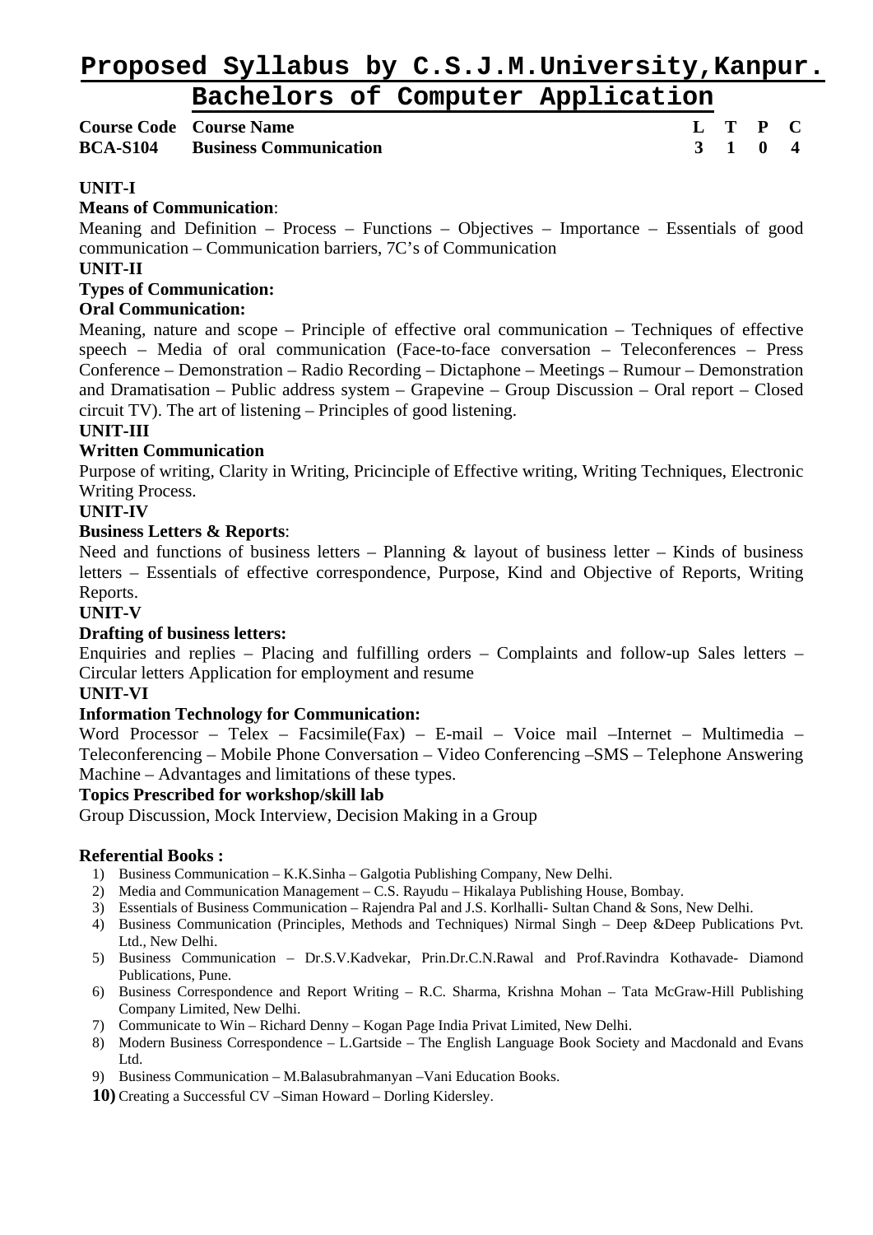# **Proposed Syllabus by C.S.J.M.University,Kanpur.**

# **Bachelors of Computer Application**

# **Course Code Course Name L T P C BCA-S104 Business Communication 3 1 0 4**

# **UNIT-I**

### **Means of Communication**:

Meaning and Definition – Process – Functions – Objectives – Importance – Essentials of good communication – Communication barriers, 7C's of Communication

### **UNIT-II**

### **Types of Communication:**

# **Oral Communication:**

Meaning, nature and scope – Principle of effective oral communication – Techniques of effective speech – Media of oral communication (Face-to-face conversation – Teleconferences – Press Conference – Demonstration – Radio Recording – Dictaphone – Meetings – Rumour – Demonstration and Dramatisation – Public address system – Grapevine – Group Discussion – Oral report – Closed circuit TV). The art of listening – Principles of good listening.

# **UNIT-III**

# **Written Communication**

Purpose of writing, Clarity in Writing, Pricinciple of Effective writing, Writing Techniques, Electronic Writing Process.

### **UNIT-IV**

#### **Business Letters & Reports**:

Need and functions of business letters – Planning  $\&$  layout of business letter – Kinds of business letters – Essentials of effective correspondence, Purpose, Kind and Objective of Reports, Writing Reports.

#### **UNIT-V**

# **Drafting of business letters:**

Enquiries and replies – Placing and fulfilling orders – Complaints and follow-up Sales letters – Circular letters Application for employment and resume

#### **UNIT-VI**

#### **Information Technology for Communication:**

Word Processor – Telex – Facsimile(Fax) – E-mail – Voice mail –Internet – Multimedia – Teleconferencing – Mobile Phone Conversation – Video Conferencing –SMS – Telephone Answering Machine – Advantages and limitations of these types.

#### **Topics Prescribed for workshop/skill lab**

Group Discussion, Mock Interview, Decision Making in a Group

- 1) Business Communication K.K.Sinha Galgotia Publishing Company, New Delhi.
- 2) Media and Communication Management C.S. Rayudu Hikalaya Publishing House, Bombay.
- 3) Essentials of Business Communication Rajendra Pal and J.S. Korlhalli- Sultan Chand & Sons, New Delhi.
- 4) Business Communication (Principles, Methods and Techniques) Nirmal Singh Deep &Deep Publications Pvt. Ltd., New Delhi.
- 5) Business Communication Dr.S.V.Kadvekar, Prin.Dr.C.N.Rawal and Prof.Ravindra Kothavade- Diamond Publications, Pune.
- 6) Business Correspondence and Report Writing R.C. Sharma, Krishna Mohan Tata McGraw-Hill Publishing Company Limited, New Delhi.
- 7) Communicate to Win Richard Denny Kogan Page India Privat Limited, New Delhi.
- 8) Modern Business Correspondence L.Gartside The English Language Book Society and Macdonald and Evans Ltd.
- 9) Business Communication M.Balasubrahmanyan –Vani Education Books.
- **10)** Creating a Successful CV –Siman Howard Dorling Kidersley.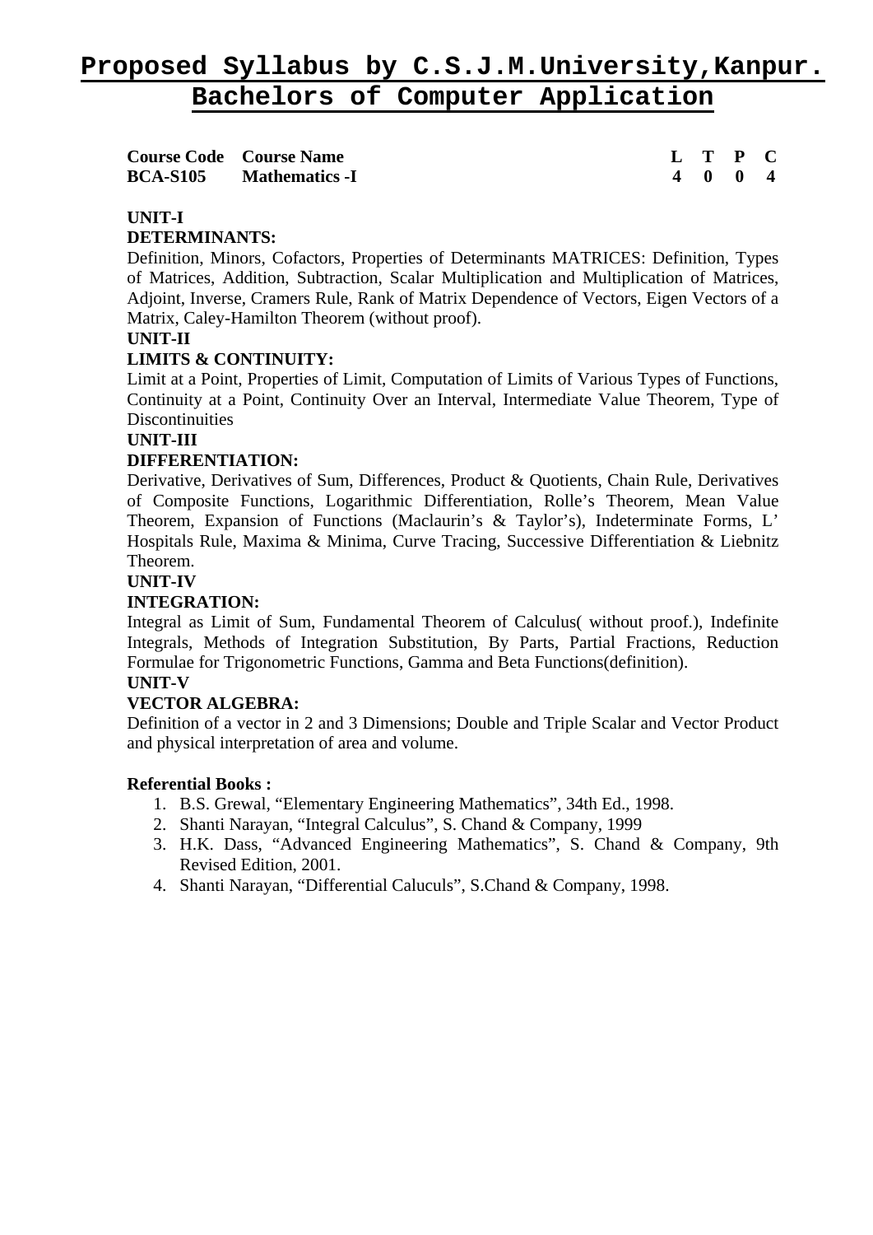| <b>Course Code</b> Course Name |  | L T P C |  |
|--------------------------------|--|---------|--|
| <b>BCA-S105</b> Mathematics -I |  | 4004    |  |

### **UNIT-I**

#### **DETERMINANTS:**

Definition, Minors, Cofactors, Properties of Determinants MATRICES: Definition, Types of Matrices, Addition, Subtraction, Scalar Multiplication and Multiplication of Matrices, Adjoint, Inverse, Cramers Rule, Rank of Matrix Dependence of Vectors, Eigen Vectors of a Matrix, Caley-Hamilton Theorem (without proof).

#### **UNIT-II**

# **LIMITS & CONTINUITY:**

Limit at a Point, Properties of Limit, Computation of Limits of Various Types of Functions, Continuity at a Point, Continuity Over an Interval, Intermediate Value Theorem, Type of **Discontinuities** 

#### **UNIT-III**

# **DIFFERENTIATION:**

Derivative, Derivatives of Sum, Differences, Product & Quotients, Chain Rule, Derivatives of Composite Functions, Logarithmic Differentiation, Rolle's Theorem, Mean Value Theorem, Expansion of Functions (Maclaurin's & Taylor's), Indeterminate Forms, L' Hospitals Rule, Maxima & Minima, Curve Tracing, Successive Differentiation & Liebnitz Theorem.

#### **UNIT-IV**

# **INTEGRATION:**

Integral as Limit of Sum, Fundamental Theorem of Calculus( without proof.), Indefinite Integrals, Methods of Integration Substitution, By Parts, Partial Fractions, Reduction Formulae for Trigonometric Functions, Gamma and Beta Functions(definition).

#### **UNIT-V**

#### **VECTOR ALGEBRA:**

Definition of a vector in 2 and 3 Dimensions; Double and Triple Scalar and Vector Product and physical interpretation of area and volume.

- 1. B.S. Grewal, "Elementary Engineering Mathematics", 34th Ed., 1998.
- 2. Shanti Narayan*,* "Integral Calculus", S. Chand & Company, 1999
- 3. H.K. Dass, "Advanced Engineering Mathematics", S. Chand & Company, 9th Revised Edition, 2001.
- 4. Shanti Narayan, "Differential Caluculs", S.Chand & Company, 1998.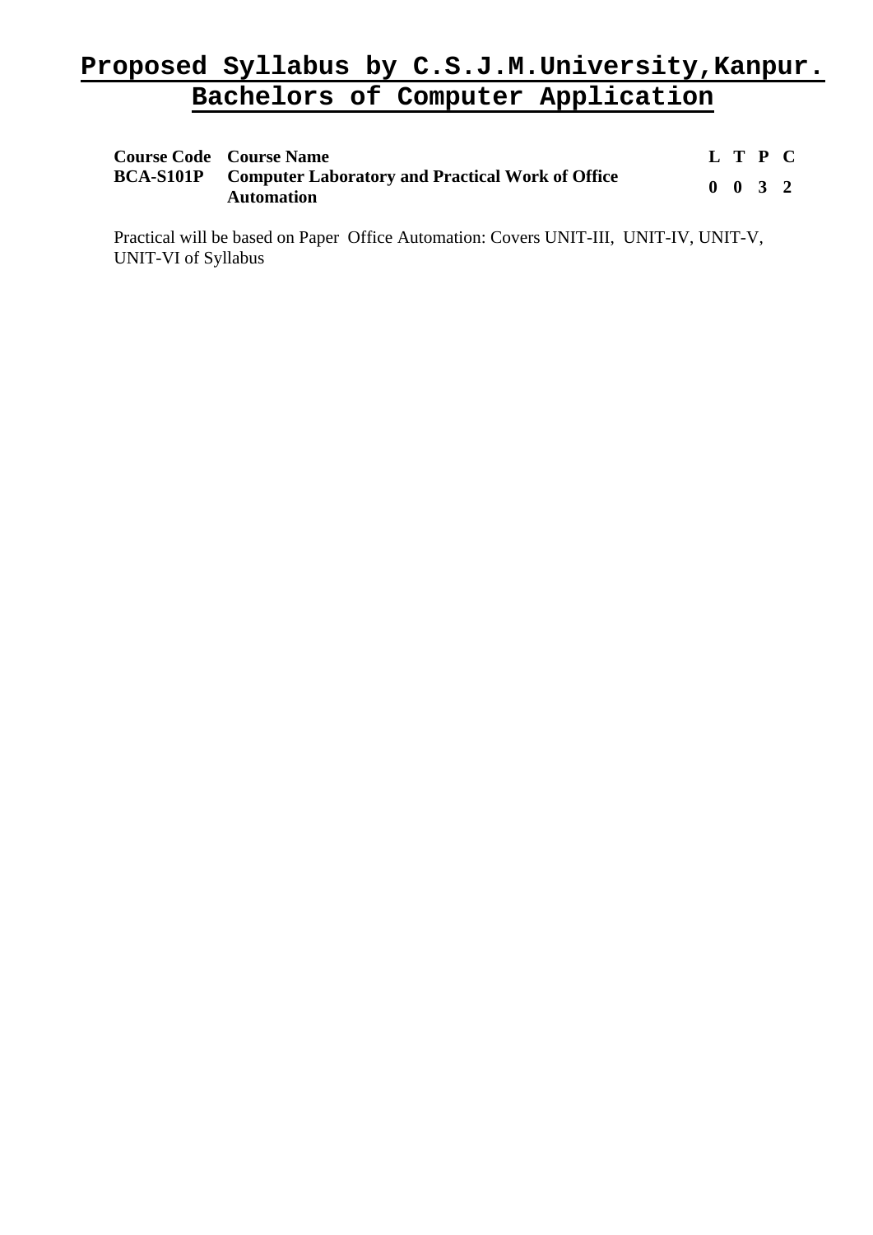| <b>Course Code Course Name</b>                                                         | L T P C |                             |  |
|----------------------------------------------------------------------------------------|---------|-----------------------------|--|
| <b>BCA-S101P</b> Computer Laboratory and Practical Work of Office<br><b>Automation</b> |         | $0 \quad 0 \quad 3 \quad 2$ |  |

Practical will be based on Paper Office Automation: Covers UNIT-III, UNIT-IV, UNIT-V, UNIT-VI of Syllabus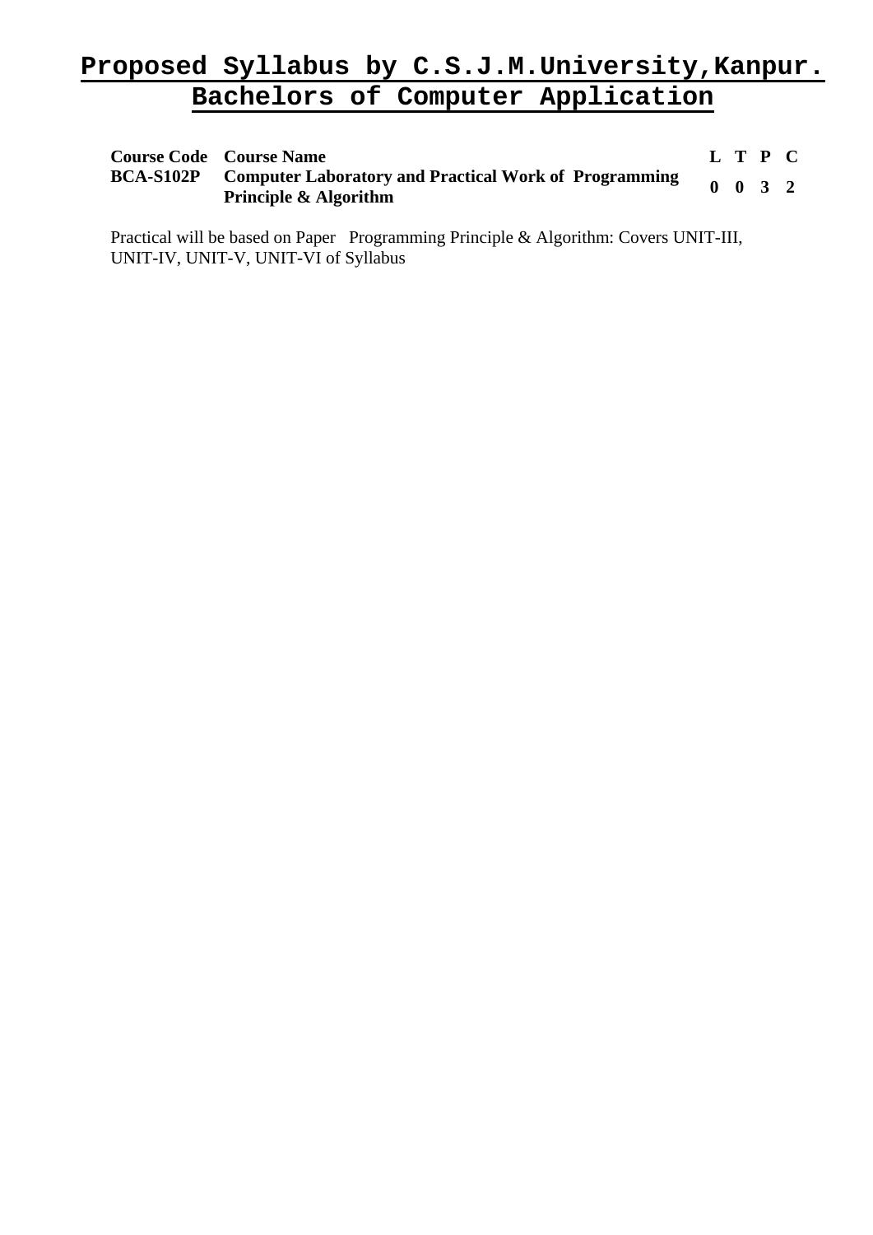| <b>Course Code Course Name</b>                                                                             | L T P C |                             |  |
|------------------------------------------------------------------------------------------------------------|---------|-----------------------------|--|
| <b>BCA-S102P</b> Computer Laboratory and Practical Work of Programming<br><b>Principle &amp; Algorithm</b> |         | $0 \quad 0 \quad 3 \quad 2$ |  |

Practical will be based on Paper Programming Principle & Algorithm: Covers UNIT-III, UNIT-IV, UNIT-V, UNIT-VI of Syllabus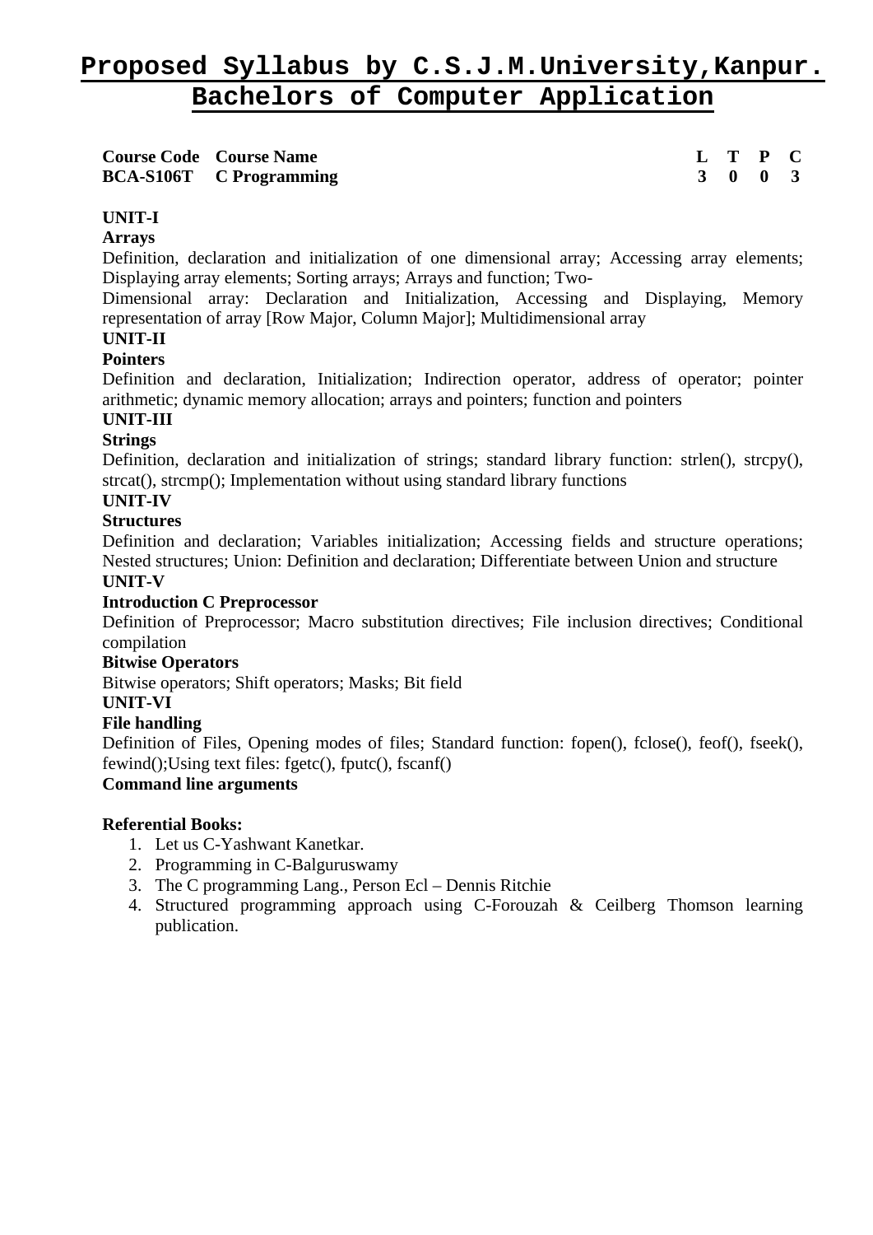| <b>Course Code Course Name</b> | L T P C                     |  |
|--------------------------------|-----------------------------|--|
| <b>BCA-S106T</b> C Programming | $3 \quad 0 \quad 0 \quad 3$ |  |

# **UNIT-I**

#### **Arrays**

Definition, declaration and initialization of one dimensional array; Accessing array elements; Displaying array elements; Sorting arrays; Arrays and function; Two-

Dimensional array: Declaration and Initialization, Accessing and Displaying, Memory representation of array [Row Major, Column Major]; Multidimensional array

# **UNIT-II**

#### **Pointers**

Definition and declaration, Initialization; Indirection operator, address of operator; pointer arithmetic; dynamic memory allocation; arrays and pointers; function and pointers

# **UNIT-III**

#### **Strings**

Definition, declaration and initialization of strings; standard library function: strlen(), strcpy(), strcat(), strcmp(); Implementation without using standard library functions

## **UNIT-IV**

#### **Structures**

Definition and declaration; Variables initialization; Accessing fields and structure operations; Nested structures; Union: Definition and declaration; Differentiate between Union and structure **UNIT-V** 

#### **Introduction C Preprocessor**

Definition of Preprocessor; Macro substitution directives; File inclusion directives; Conditional compilation

#### **Bitwise Operators**

Bitwise operators; Shift operators; Masks; Bit field

# **UNIT-VI**

### **File handling**

Definition of Files, Opening modes of files; Standard function: fopen(), fclose(), feof(), fseek(), fewind();Using text files: fgetc(), fputc(), fscanf()

# **Command line arguments**

- 1. Let us C-Yashwant Kanetkar.
- 2. Programming in C-Balguruswamy
- 3. The C programming Lang., Person Ecl Dennis Ritchie
- 4. Structured programming approach using C-Forouzah & Ceilberg Thomson learning publication.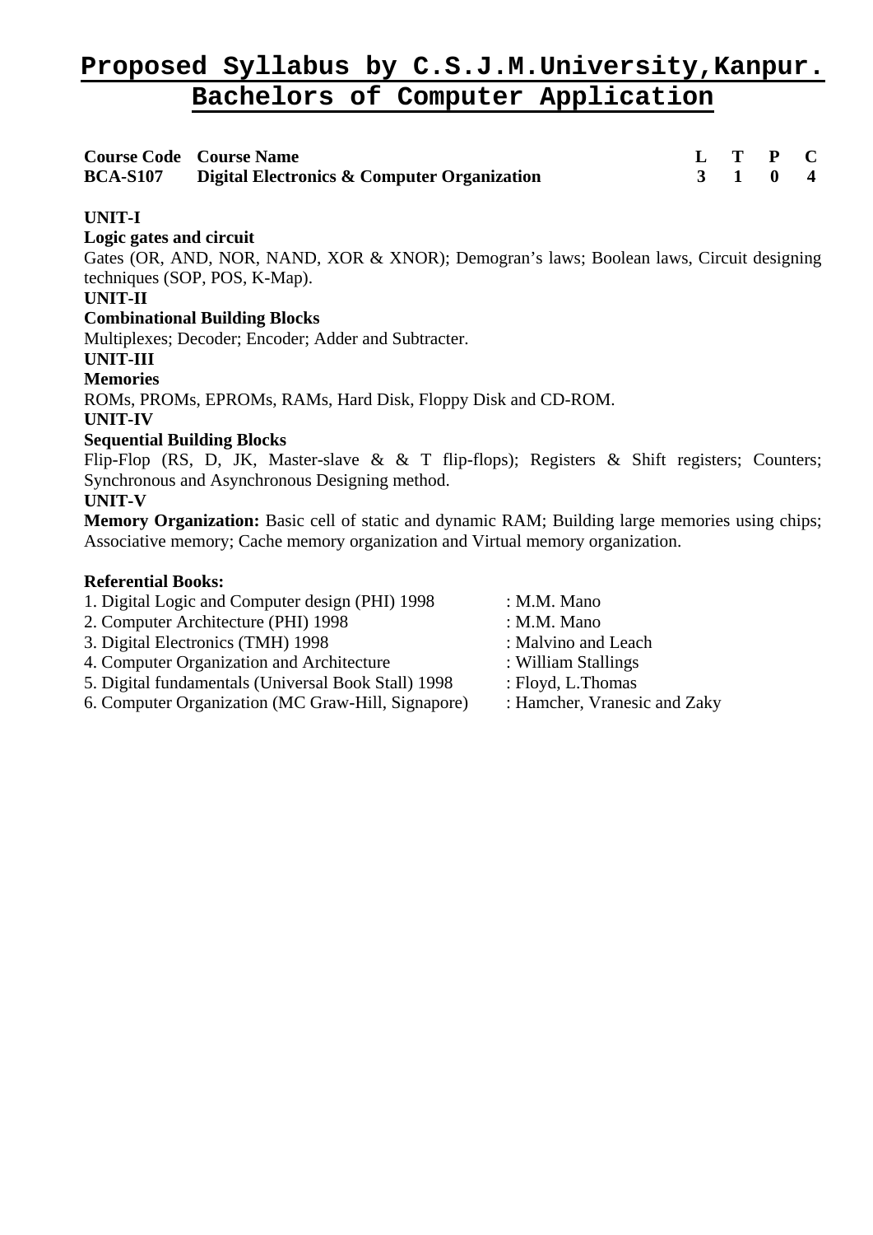| <b>Course Code Course Name</b>                              |  | $L$ T P C |  |
|-------------------------------------------------------------|--|-----------|--|
| <b>BCA-S107</b> Digital Electronics & Computer Organization |  | 3 1 0 4   |  |

# **UNIT-I**

# **Logic gates and circuit**

Gates (OR, AND, NOR, NAND, XOR & XNOR); Demogran's laws; Boolean laws, Circuit designing techniques (SOP, POS, K-Map).

# **UNIT-II**

# **Combinational Building Blocks**

Multiplexes; Decoder; Encoder; Adder and Subtracter.

# **UNIT-III**

**Memories**

ROMs, PROMs, EPROMs, RAMs, Hard Disk, Floppy Disk and CD-ROM.

**UNIT-IV** 

# **Sequential Building Blocks**

Flip-Flop (RS, D, JK, Master-slave & & T flip-flops); Registers & Shift registers; Counters; Synchronous and Asynchronous Designing method.

# **UNIT-V**

**Memory Organization:** Basic cell of static and dynamic RAM; Building large memories using chips; Associative memory; Cache memory organization and Virtual memory organization.

- 1. Digital Logic and Computer design (PHI) 1998 : M.M. Mano
- 2. Computer Architecture (PHI) 1998 : M.M. Mano
- 3. Digital Electronics (TMH) 1998 : Malvino and Leach
- 4. Computer Organization and Architecture : William Stallings
- 5. Digital fundamentals (Universal Book Stall) 1998 : Floyd, L.Thomas
- 6. Computer Organization (MC Graw-Hill, Signapore) : Hamcher, Vranesic and Zaky
- 
- 
- 
- 
- -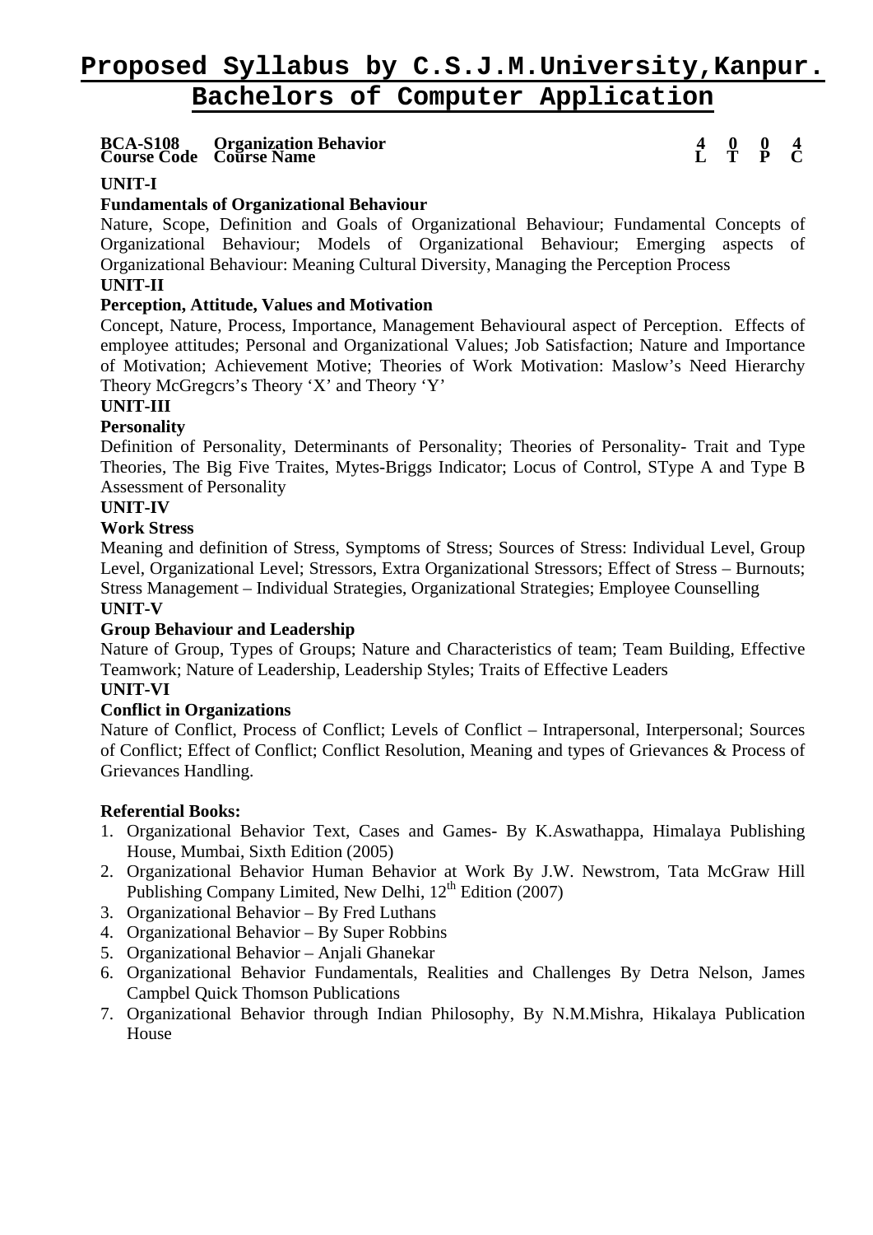**Course Code BCA-S108 Course Name Organization Behavior L T** 

**4 P 0 C**   $\frac{0}{2}$   $\frac{4}{2}$ 

# **UNIT-I**

# **Fundamentals of Organizational Behaviour**

Nature, Scope, Definition and Goals of Organizational Behaviour; Fundamental Concepts of Organizational Behaviour; Models of Organizational Behaviour; Emerging aspects of Organizational Behaviour: Meaning Cultural Diversity, Managing the Perception Process

# **UNIT-II**

### **Perception, Attitude, Values and Motivation**

Concept, Nature, Process, Importance, Management Behavioural aspect of Perception. Effects of employee attitudes; Personal and Organizational Values; Job Satisfaction; Nature and Importance of Motivation; Achievement Motive; Theories of Work Motivation: Maslow's Need Hierarchy Theory McGregcrs's Theory 'X' and Theory 'Y'

# **UNIT-III**

# **Personality**

Definition of Personality, Determinants of Personality; Theories of Personality- Trait and Type Theories, The Big Five Traites, Mytes-Briggs Indicator; Locus of Control, SType A and Type B Assessment of Personality

# **UNIT-IV**

#### **Work Stress**

Meaning and definition of Stress, Symptoms of Stress; Sources of Stress: Individual Level, Group Level, Organizational Level; Stressors, Extra Organizational Stressors; Effect of Stress – Burnouts; Stress Management – Individual Strategies, Organizational Strategies; Employee Counselling

# **UNIT-V**

#### **Group Behaviour and Leadership**

Nature of Group, Types of Groups; Nature and Characteristics of team; Team Building, Effective Teamwork; Nature of Leadership, Leadership Styles; Traits of Effective Leaders

#### **UNIT-VI Conflict in Organizations**

Nature of Conflict, Process of Conflict; Levels of Conflict – Intrapersonal, Interpersonal; Sources of Conflict; Effect of Conflict; Conflict Resolution, Meaning and types of Grievances & Process of Grievances Handling.

- 1. Organizational Behavior Text, Cases and Games- By K.Aswathappa, Himalaya Publishing House, Mumbai, Sixth Edition (2005)
- 2. Organizational Behavior Human Behavior at Work By J.W. Newstrom, Tata McGraw Hill Publishing Company Limited, New Delhi,  $12^{th}$  Edition (2007)
- 3. Organizational Behavior By Fred Luthans
- 4. Organizational Behavior By Super Robbins
- 5. Organizational Behavior Anjali Ghanekar
- 6. Organizational Behavior Fundamentals, Realities and Challenges By Detra Nelson, James Campbel Quick Thomson Publications
- 7. Organizational Behavior through Indian Philosophy, By N.M.Mishra, Hikalaya Publication House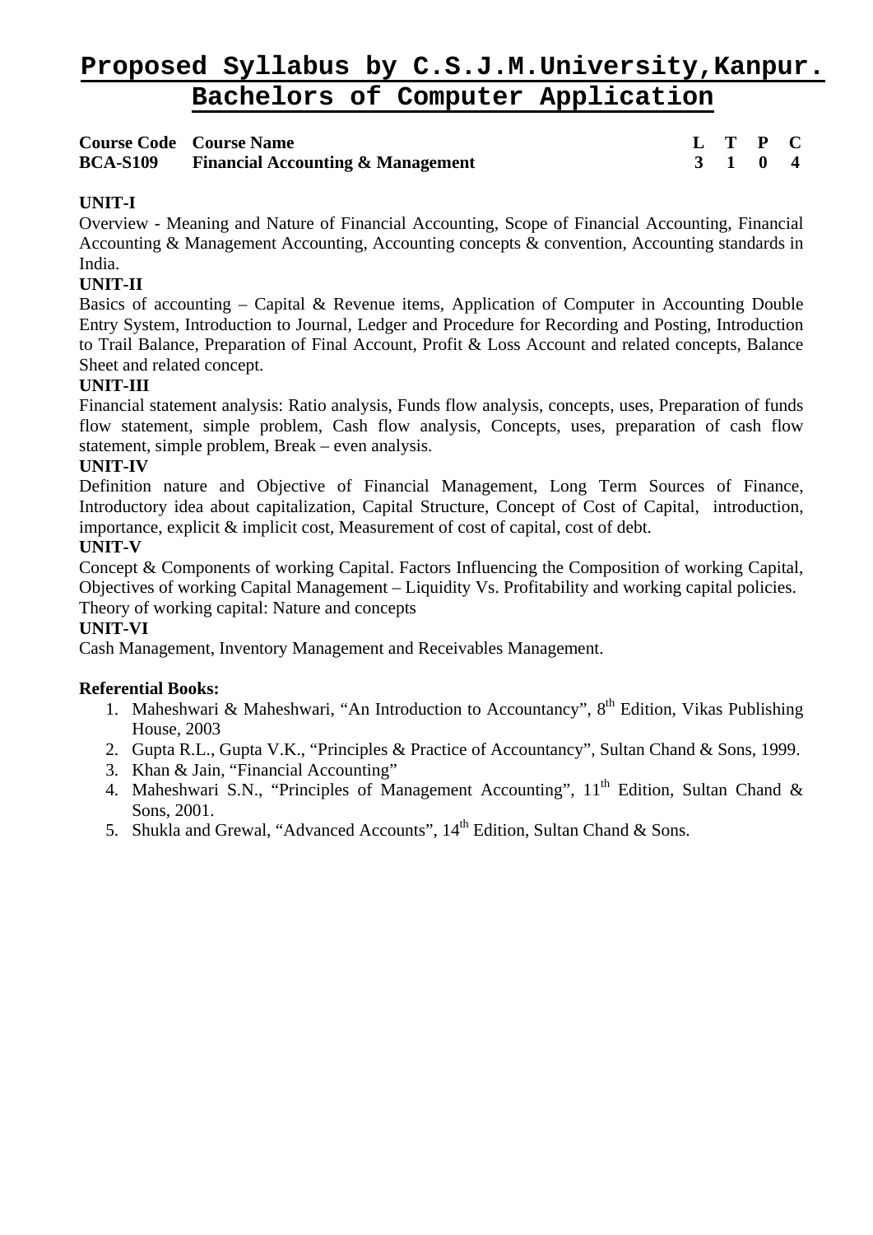|                 | <b>Course Code Course Name</b>               |  | L T P C |  |
|-----------------|----------------------------------------------|--|---------|--|
| <b>BCA-S109</b> | <b>Financial Accounting &amp; Management</b> |  | 3 1 0 4 |  |

# **UNIT-I**

Overview - Meaning and Nature of Financial Accounting, Scope of Financial Accounting, Financial Accounting & Management Accounting, Accounting concepts & convention, Accounting standards in India.

# **UNIT-II**

Basics of accounting – Capital & Revenue items, Application of Computer in Accounting Double Entry System, Introduction to Journal, Ledger and Procedure for Recording and Posting, Introduction to Trail Balance, Preparation of Final Account, Profit & Loss Account and related concepts, Balance Sheet and related concept.

# **UNIT-III**

Financial statement analysis: Ratio analysis, Funds flow analysis, concepts, uses, Preparation of funds flow statement, simple problem, Cash flow analysis, Concepts, uses, preparation of cash flow statement, simple problem, Break – even analysis.

#### **UNIT-IV**

Definition nature and Objective of Financial Management, Long Term Sources of Finance, Introductory idea about capitalization, Capital Structure, Concept of Cost of Capital, introduction, importance, explicit & implicit cost, Measurement of cost of capital, cost of debt.

#### **UNIT-V**

Concept & Components of working Capital. Factors Influencing the Composition of working Capital, Objectives of working Capital Management – Liquidity Vs. Profitability and working capital policies. Theory of working capital: Nature and concepts

# **UNIT-VI**

Cash Management, Inventory Management and Receivables Management.

- 1. Maheshwari & Maheshwari, "An Introduction to Accountancy",  $8<sup>th</sup>$  Edition, Vikas Publishing House, 2003
- 2. Gupta R.L., Gupta V.K., "Principles & Practice of Accountancy", Sultan Chand & Sons, 1999.
- 3. Khan & Jain, "Financial Accounting"
- 4. Maheshwari S.N., "Principles of Management Accounting", 11<sup>th</sup> Edition, Sultan Chand & Sons, 2001.
- 5. Shukla and Grewal, "Advanced Accounts",  $14<sup>th</sup>$  Edition, Sultan Chand & Sons.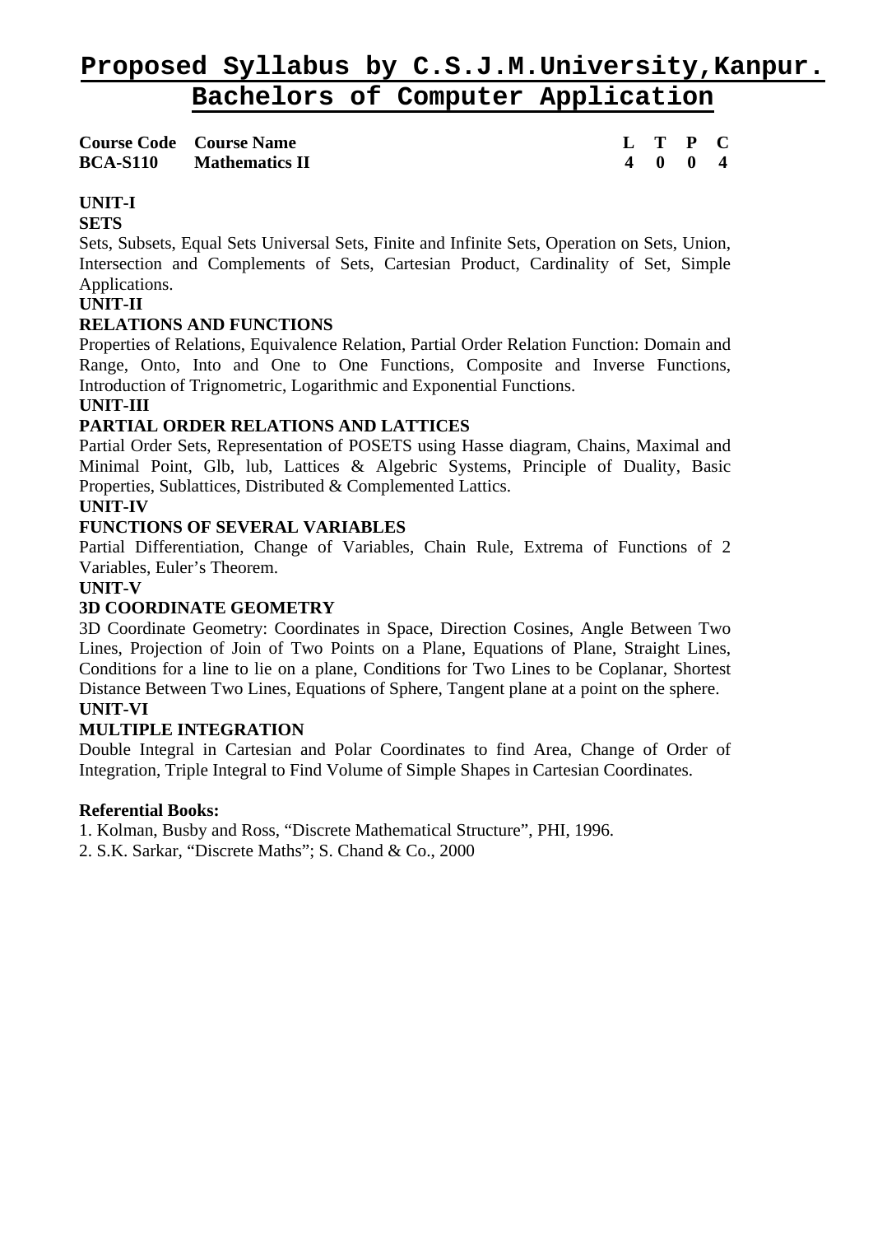| <b>Course Code</b> Course Name |  | L T P C |  |
|--------------------------------|--|---------|--|
| <b>BCA-S110</b> Mathematics II |  | 4 0 0 4 |  |

# **UNIT-I**

# **SETS**

Sets, Subsets, Equal Sets Universal Sets, Finite and Infinite Sets, Operation on Sets, Union, Intersection and Complements of Sets, Cartesian Product, Cardinality of Set, Simple Applications.

# **UNIT-II**

# **RELATIONS AND FUNCTIONS**

Properties of Relations, Equivalence Relation, Partial Order Relation Function: Domain and Range, Onto, Into and One to One Functions, Composite and Inverse Functions, Introduction of Trignometric, Logarithmic and Exponential Functions.

# **UNIT-III**

# **PARTIAL ORDER RELATIONS AND LATTICES**

Partial Order Sets, Representation of POSETS using Hasse diagram, Chains, Maximal and Minimal Point, Glb, lub, Lattices & Algebric Systems, Principle of Duality, Basic Properties, Sublattices, Distributed & Complemented Lattics.

# **UNIT-IV**

# **FUNCTIONS OF SEVERAL VARIABLES**

Partial Differentiation, Change of Variables, Chain Rule, Extrema of Functions of 2 Variables, Euler's Theorem.

# **UNIT-V**

# **3D COORDINATE GEOMETRY**

3D Coordinate Geometry: Coordinates in Space, Direction Cosines, Angle Between Two Lines, Projection of Join of Two Points on a Plane, Equations of Plane, Straight Lines, Conditions for a line to lie on a plane, Conditions for Two Lines to be Coplanar, Shortest Distance Between Two Lines, Equations of Sphere, Tangent plane at a point on the sphere. **UNIT-VI** 

#### **MULTIPLE INTEGRATION**

Double Integral in Cartesian and Polar Coordinates to find Area, Change of Order of Integration, Triple Integral to Find Volume of Simple Shapes in Cartesian Coordinates.

#### **Referential Books:**

1. Kolman, Busby and Ross, "Discrete Mathematical Structure", PHI, 1996.

2. S.K. Sarkar, "Discrete Maths"; S. Chand & Co., 2000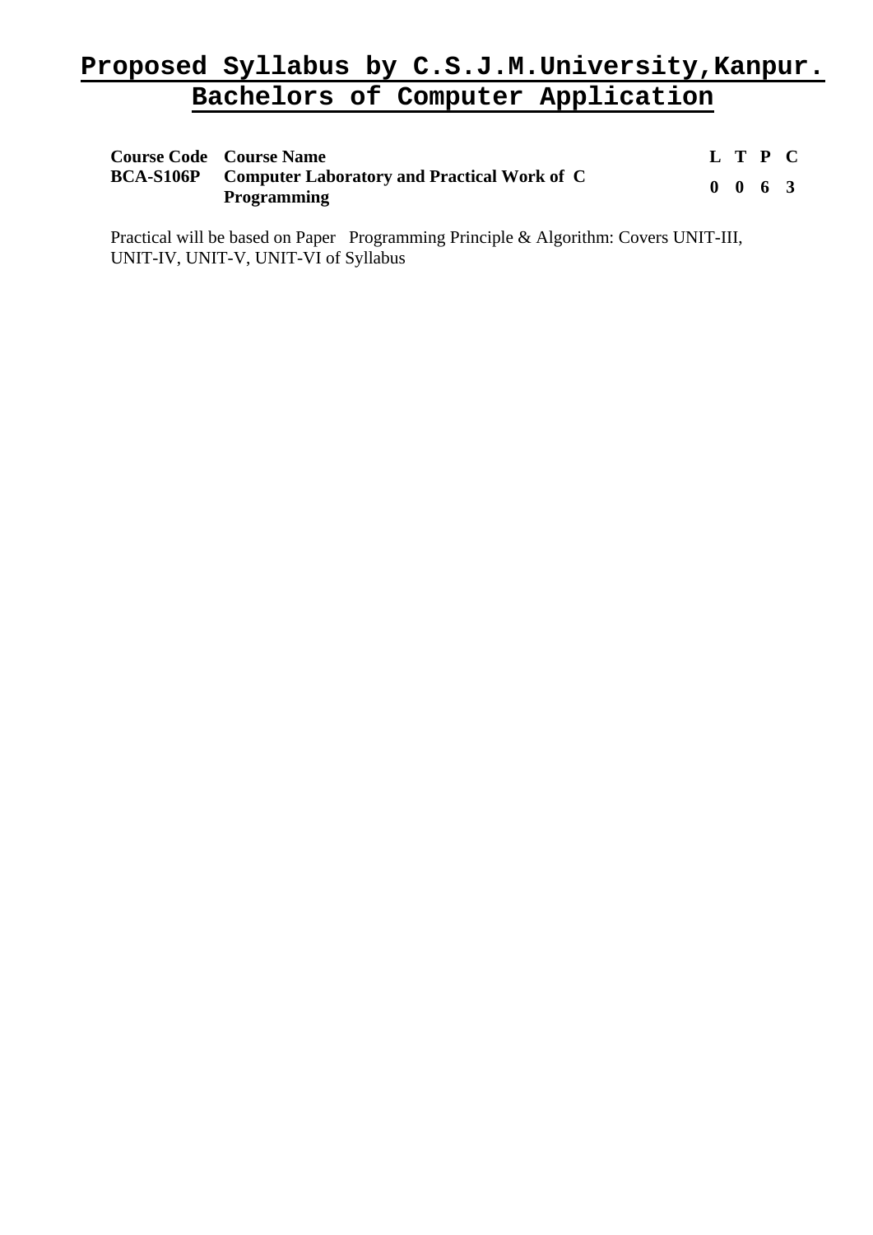| <b>Course Code</b> Course Name |                                                                             |  | L T P C         |  |
|--------------------------------|-----------------------------------------------------------------------------|--|-----------------|--|
|                                | <b>BCA-S106P</b> Computer Laboratory and Practical Work of C<br>Programming |  | $0 \t0 \t6 \t3$ |  |

Practical will be based on Paper Programming Principle & Algorithm: Covers UNIT-III, UNIT-IV, UNIT-V, UNIT-VI of Syllabus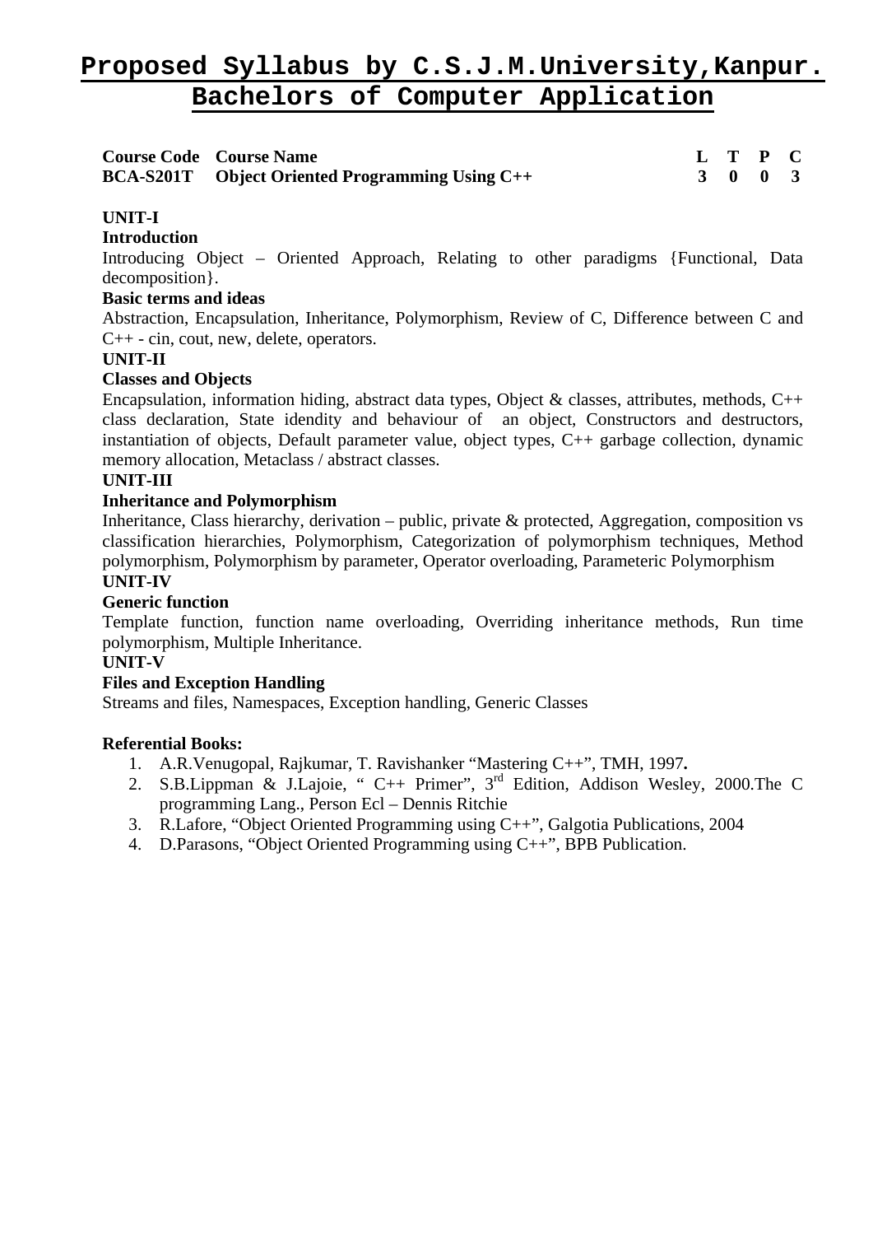| <b>Course Code Course Name</b>                         |  | L T P C                     |  |
|--------------------------------------------------------|--|-----------------------------|--|
| <b>BCA-S201T</b> Object Oriented Programming Using C++ |  | $3 \quad 0 \quad 0 \quad 3$ |  |

# **UNIT-I**

#### **Introduction**

Introducing Object – Oriented Approach, Relating to other paradigms {Functional, Data decomposition}.

#### **Basic terms and ideas**

Abstraction, Encapsulation, Inheritance, Polymorphism, Review of C, Difference between C and C++ - cin, cout, new, delete, operators.

# **UNIT-II**

# **Classes and Objects**

Encapsulation, information hiding, abstract data types, Object & classes, attributes, methods,  $C++$ class declaration, State idendity and behaviour of an object, Constructors and destructors, instantiation of objects, Default parameter value, object types, C++ garbage collection, dynamic memory allocation, Metaclass / abstract classes.

# **UNIT-III**

#### **Inheritance and Polymorphism**

Inheritance, Class hierarchy, derivation – public, private & protected, Aggregation, composition vs classification hierarchies, Polymorphism, Categorization of polymorphism techniques, Method polymorphism, Polymorphism by parameter, Operator overloading, Parameteric Polymorphism **UNIT-IV** 

#### **Generic function**

Template function, function name overloading, Overriding inheritance methods, Run time polymorphism, Multiple Inheritance.

#### **UNIT-V**

#### **Files and Exception Handling**

Streams and files, Namespaces, Exception handling, Generic Classes

- 1. A.R.Venugopal, Rajkumar, T. Ravishanker "Mastering C++", TMH, 1997**.**
- 2. S.B.Lippman & J.Lajoie, " C++ Primer", 3rd Edition, Addison Wesley, 2000.The C programming Lang., Person Ecl – Dennis Ritchie
- 3. R.Lafore, "Object Oriented Programming using C++", Galgotia Publications, 2004
- 4. D.Parasons, "Object Oriented Programming using C++", BPB Publication.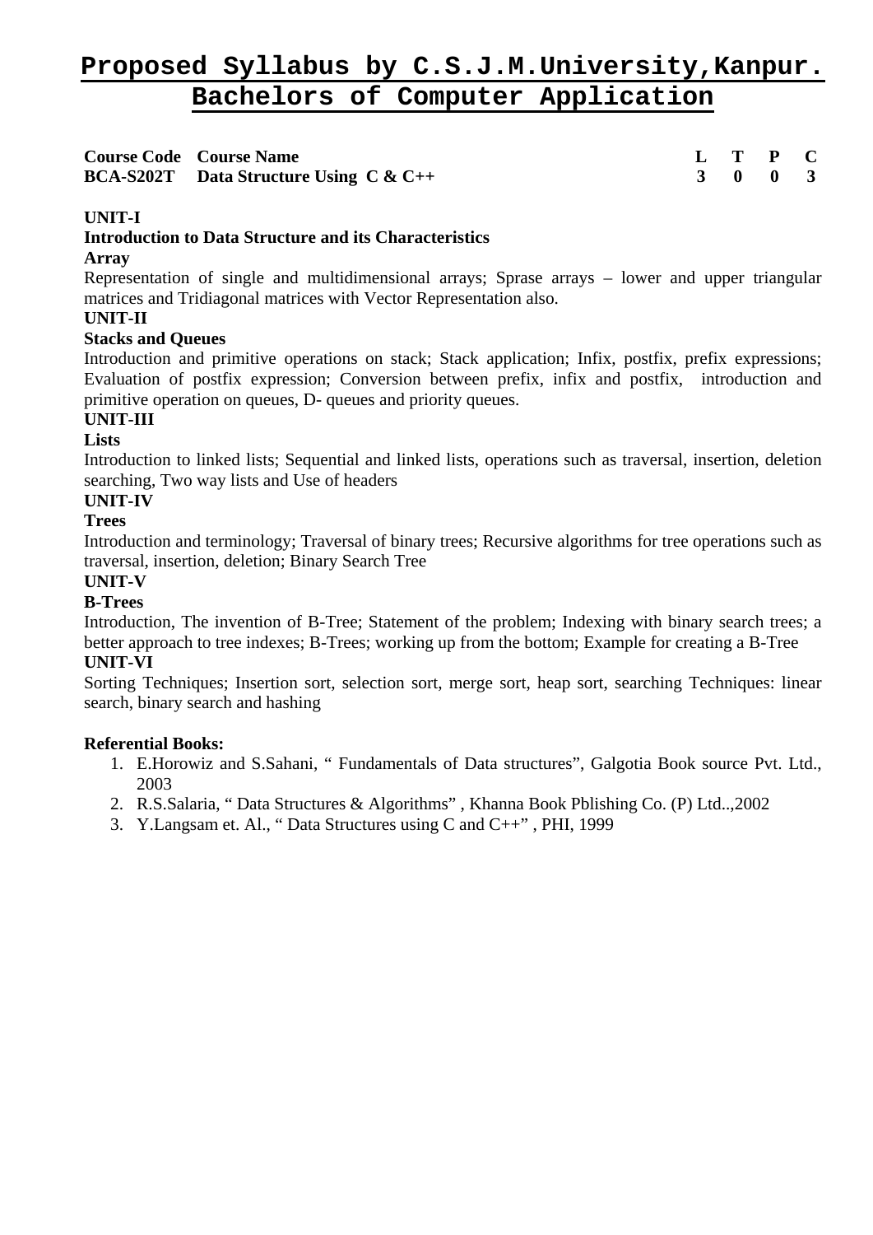| <b>Course Code Course Name</b>                  |  | $L$ T P C |  |
|-------------------------------------------------|--|-----------|--|
| <b>BCA-S202T</b> Data Structure Using $C & C++$ |  | 3 0 0 3   |  |

# **UNIT-I**

# **Introduction to Data Structure and its Characteristics**

### **Array**

Representation of single and multidimensional arrays; Sprase arrays – lower and upper triangular matrices and Tridiagonal matrices with Vector Representation also.

# **UNIT-II**

# **Stacks and Queues**

Introduction and primitive operations on stack; Stack application; Infix, postfix, prefix expressions; Evaluation of postfix expression; Conversion between prefix, infix and postfix, introduction and primitive operation on queues, D- queues and priority queues.

# **UNIT-III**

# **Lists**

Introduction to linked lists; Sequential and linked lists, operations such as traversal, insertion, deletion searching, Two way lists and Use of headers

# **UNIT-IV**

# **Trees**

Introduction and terminology; Traversal of binary trees; Recursive algorithms for tree operations such as traversal, insertion, deletion; Binary Search Tree

#### **UNIT-V**

# **B-Trees**

Introduction, The invention of B-Tree; Statement of the problem; Indexing with binary search trees; a better approach to tree indexes; B-Trees; working up from the bottom; Example for creating a B-Tree **UNIT-VI** 

Sorting Techniques; Insertion sort, selection sort, merge sort, heap sort, searching Techniques: linear search, binary search and hashing

- 1. E.Horowiz and S.Sahani, " Fundamentals of Data structures", Galgotia Book source Pvt. Ltd., 2003
- 2. R.S.Salaria, " Data Structures & Algorithms" , Khanna Book Pblishing Co. (P) Ltd..,2002
- 3. Y.Langsam et. Al., " Data Structures using C and C++" , PHI, 1999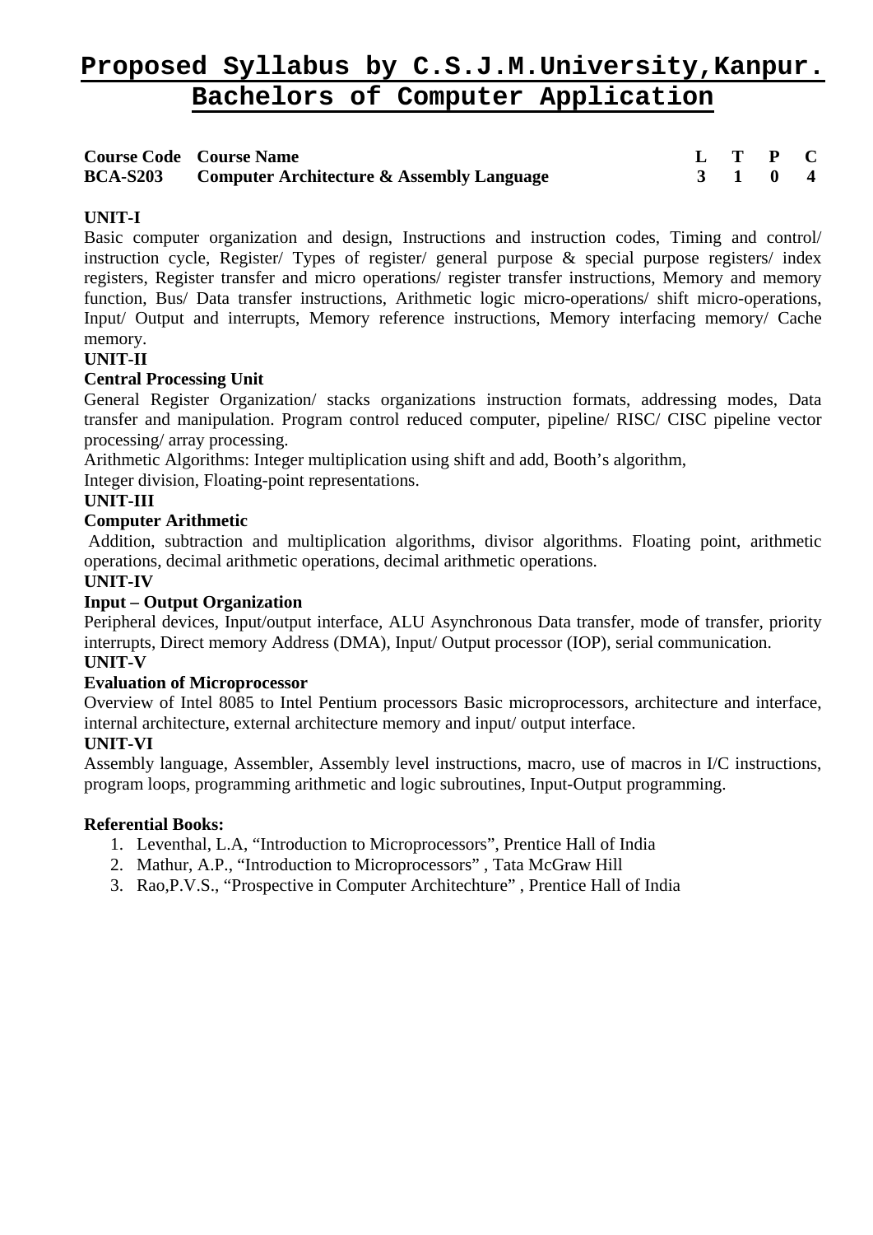| <b>Course Code Course Name</b>                            |  | $L$ T P C |  |
|-----------------------------------------------------------|--|-----------|--|
| <b>BCA-S203</b> Computer Architecture & Assembly Language |  | 3 1 0 4   |  |

# **UNIT-I**

Basic computer organization and design, Instructions and instruction codes, Timing and control/ instruction cycle, Register/ Types of register/ general purpose  $\&$  special purpose registers/ index registers, Register transfer and micro operations/ register transfer instructions, Memory and memory function, Bus/ Data transfer instructions, Arithmetic logic micro-operations/ shift micro-operations, Input/ Output and interrupts, Memory reference instructions, Memory interfacing memory/ Cache memory.

# **UNIT-II**

# **Central Processing Unit**

General Register Organization/ stacks organizations instruction formats, addressing modes, Data transfer and manipulation. Program control reduced computer, pipeline/ RISC/ CISC pipeline vector processing/ array processing.

Arithmetic Algorithms: Integer multiplication using shift and add, Booth's algorithm,

Integer division, Floating-point representations.

# **UNIT-III**

# **Computer Arithmetic**

Addition, subtraction and multiplication algorithms, divisor algorithms. Floating point, arithmetic operations, decimal arithmetic operations, decimal arithmetic operations.

# **UNIT-IV**

# **Input – Output Organization**

Peripheral devices, Input/output interface, ALU Asynchronous Data transfer, mode of transfer, priority interrupts, Direct memory Address (DMA), Input/ Output processor (IOP), serial communication. **UNIT-V** 

#### **Evaluation of Microprocessor**

Overview of Intel 8085 to Intel Pentium processors Basic microprocessors, architecture and interface, internal architecture, external architecture memory and input/ output interface.

# **UNIT-VI**

Assembly language, Assembler, Assembly level instructions, macro, use of macros in I/C instructions, program loops, programming arithmetic and logic subroutines, Input-Output programming.

- 1. Leventhal, L.A, "Introduction to Microprocessors", Prentice Hall of India
- 2. Mathur, A.P., "Introduction to Microprocessors" , Tata McGraw Hill
- 3. Rao,P.V.S., "Prospective in Computer Architechture" , Prentice Hall of India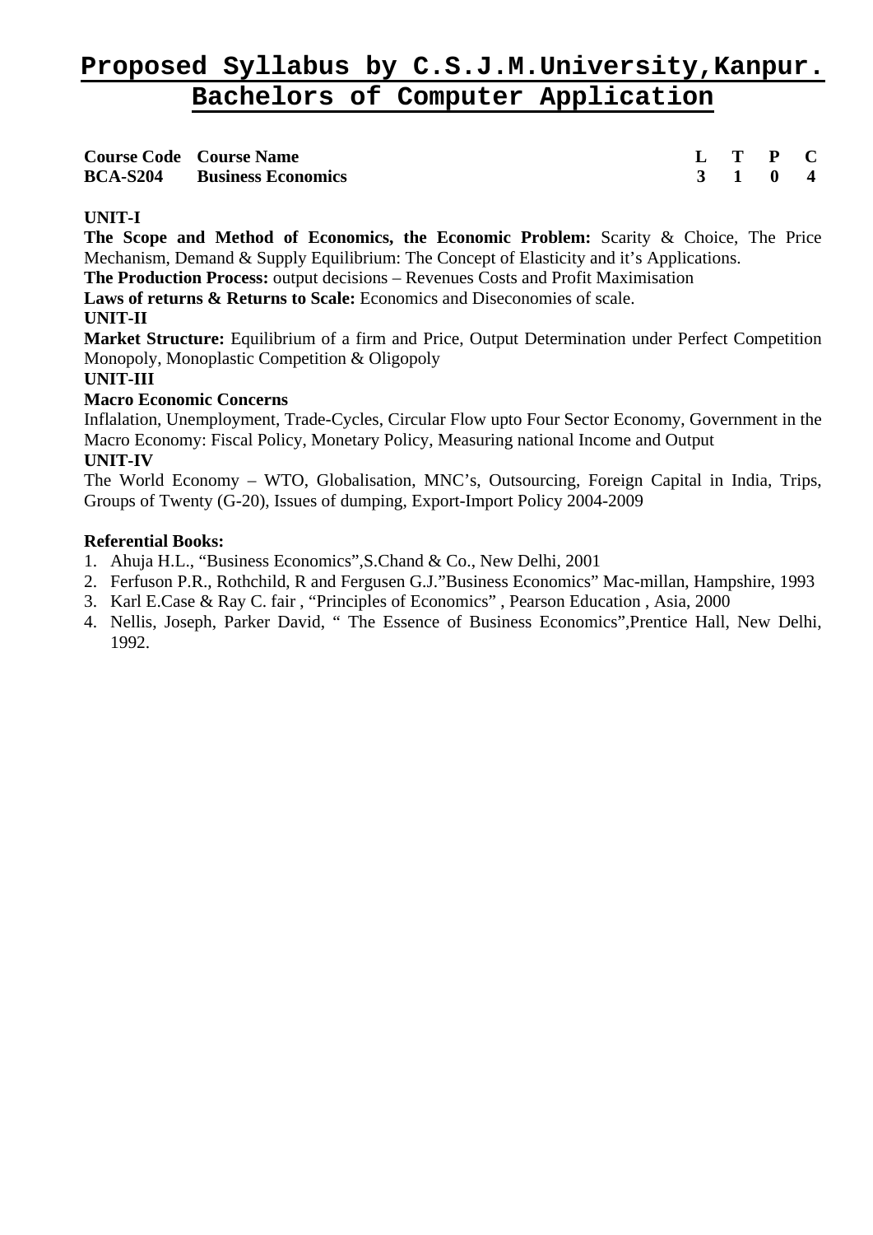| <b>Course Code Course Name</b>     |  | $L$ T P C |  |
|------------------------------------|--|-----------|--|
| <b>BCA-S204</b> Business Economics |  | 3 1 0 4   |  |

# **UNIT-I**

**The Scope and Method of Economics, the Economic Problem:** Scarity & Choice, The Price Mechanism, Demand & Supply Equilibrium: The Concept of Elasticity and it's Applications.

**The Production Process:** output decisions – Revenues Costs and Profit Maximisation

**Laws of returns & Returns to Scale:** Economics and Diseconomies of scale.

# **UNIT-II**

**Market Structure:** Equilibrium of a firm and Price, Output Determination under Perfect Competition Monopoly, Monoplastic Competition & Oligopoly

# **UNIT-III**

# **Macro Economic Concerns**

Inflalation, Unemployment, Trade-Cycles, Circular Flow upto Four Sector Economy, Government in the Macro Economy: Fiscal Policy, Monetary Policy, Measuring national Income and Output **UNIT-IV** 

The World Economy – WTO, Globalisation, MNC's, Outsourcing, Foreign Capital in India, Trips, Groups of Twenty (G-20), Issues of dumping, Export-Import Policy 2004-2009

- 1. Ahuja H.L., "Business Economics",S.Chand & Co., New Delhi, 2001
- 2. Ferfuson P.R., Rothchild, R and Fergusen G.J."Business Economics" Mac-millan, Hampshire, 1993
- 3. Karl E.Case & Ray C. fair , "Principles of Economics" , Pearson Education , Asia, 2000
- 4. Nellis, Joseph, Parker David, " The Essence of Business Economics",Prentice Hall, New Delhi, 1992.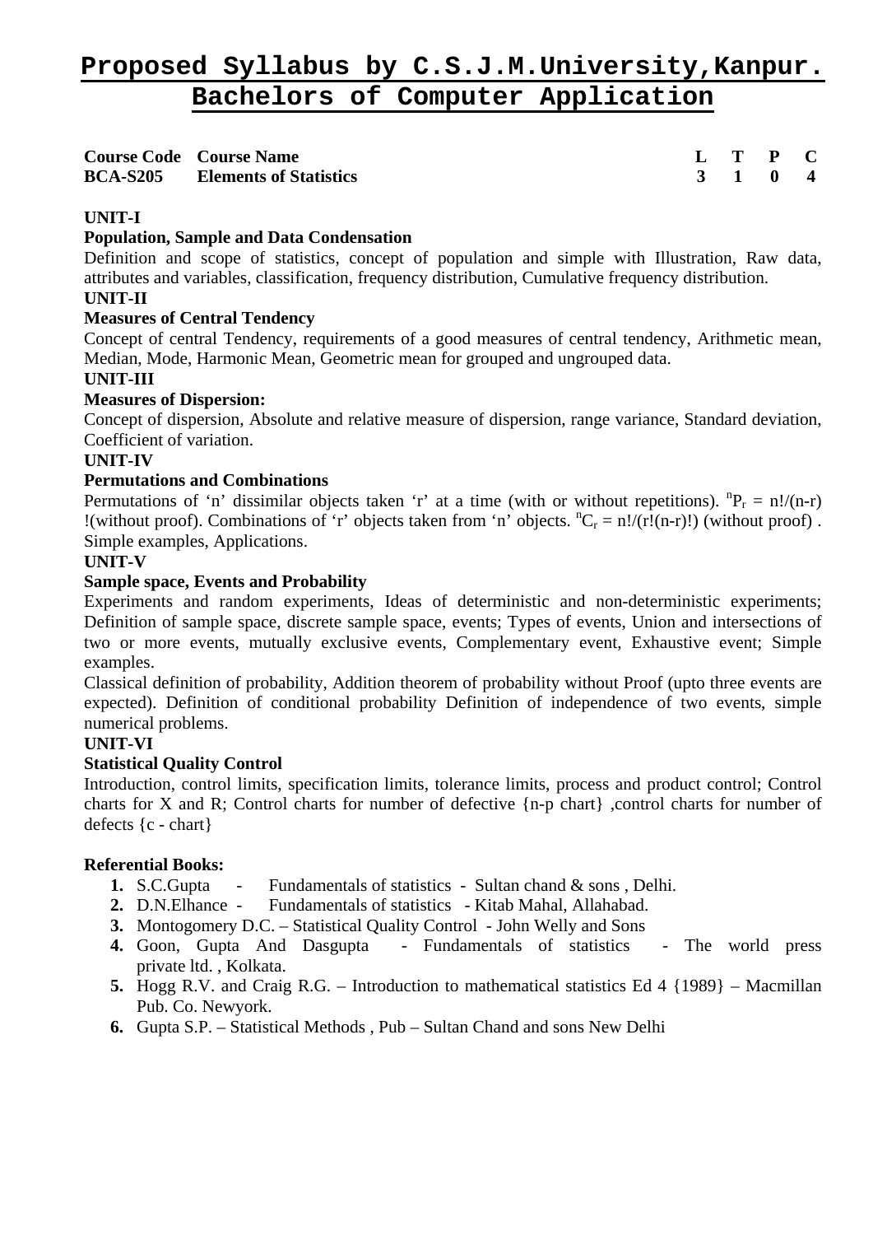| <b>Course Code Course Name</b>         |  | $L$ T P C |  |
|----------------------------------------|--|-----------|--|
| <b>BCA-S205</b> Elements of Statistics |  | 3 1 0 4   |  |

# **UNIT-I**

# **Population, Sample and Data Condensation**

Definition and scope of statistics, concept of population and simple with Illustration, Raw data, attributes and variables, classification, frequency distribution, Cumulative frequency distribution.

#### **UNIT-II**

# **Measures of Central Tendency**

Concept of central Tendency, requirements of a good measures of central tendency, Arithmetic mean, Median, Mode, Harmonic Mean, Geometric mean for grouped and ungrouped data.

#### **UNIT-III**

# **Measures of Dispersion:**

Concept of dispersion, Absolute and relative measure of dispersion, range variance, Standard deviation, Coefficient of variation.

#### **UNIT-IV**

# **Permutations and Combinations**

Permutations of 'n' dissimilar objects taken 'r' at a time (with or without repetitions).  ${}^{n}P_{r} = n!/(n-r)$ !(without proof). Combinations of 'r' objects taken from 'n' objects.  ${}^nC_r = n!/(r!(n-r)!)$  (without proof). Simple examples, Applications.

# **UNIT-V**

# **Sample space, Events and Probability**

Experiments and random experiments, Ideas of deterministic and non-deterministic experiments; Definition of sample space, discrete sample space, events; Types of events, Union and intersections of two or more events, mutually exclusive events, Complementary event, Exhaustive event; Simple examples.

Classical definition of probability, Addition theorem of probability without Proof (upto three events are expected). Definition of conditional probability Definition of independence of two events, simple numerical problems.

# **UNIT-VI**

# **Statistical Quality Control**

Introduction, control limits, specification limits, tolerance limits, process and product control; Control charts for X and R; Control charts for number of defective {n-p chart} ,control charts for number of defects {c - chart}

- **1.** S.C.Gupta Fundamentals of statistics Sultan chand & sons , Delhi.
- **2.** D.N.Elhance Fundamentals of statistics Kitab Mahal, Allahabad.
- **3.** Montogomery D.C. Statistical Quality Control John Welly and Sons
- **4.** Goon, Gupta And Dasgupta Fundamentals of statistics The world press private ltd. , Kolkata.
- **5.** Hogg R.V. and Craig R.G. Introduction to mathematical statistics Ed 4 {1989} Macmillan Pub. Co. Newyork.
- **6.** Gupta S.P. Statistical Methods , Pub Sultan Chand and sons New Delhi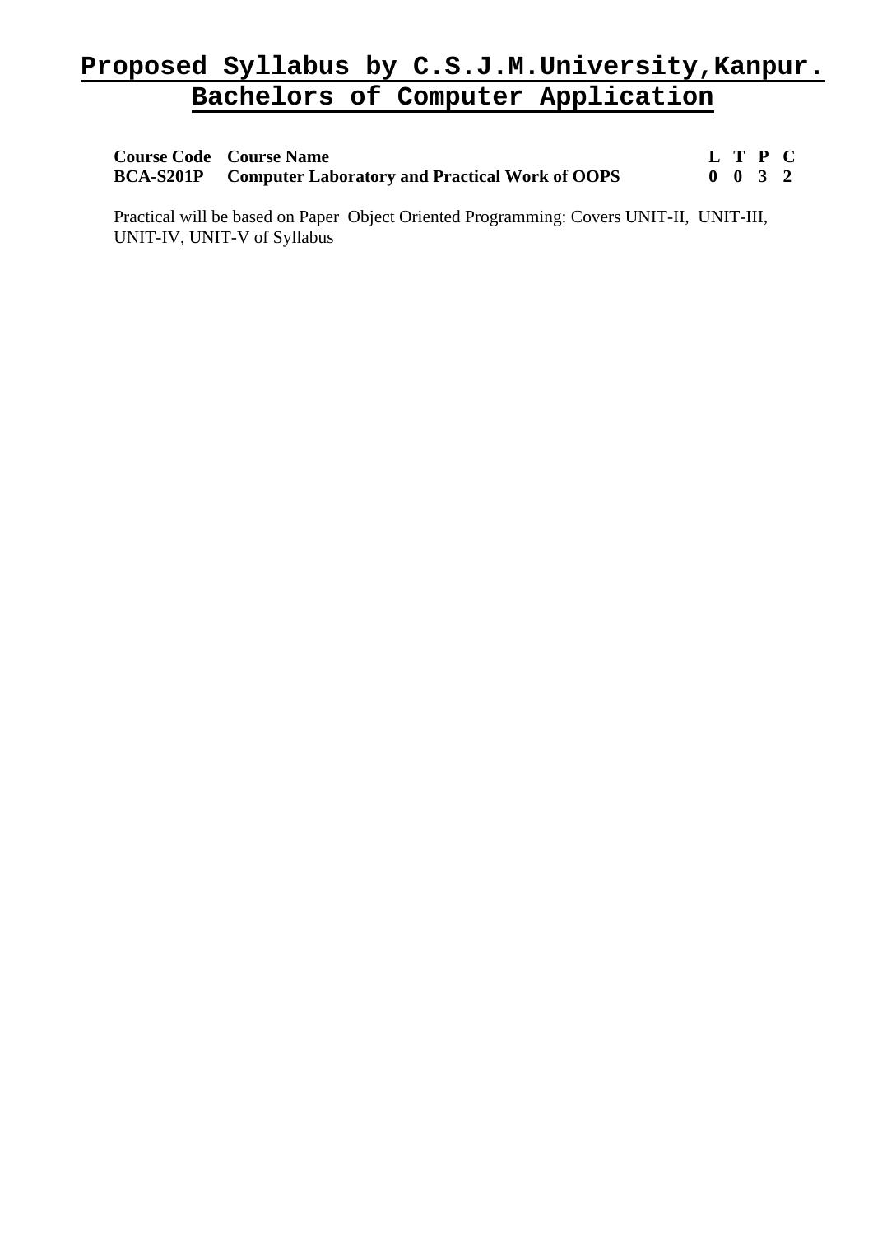| <b>Course Code</b> Course Name                                  |                    | L T P C |  |
|-----------------------------------------------------------------|--------------------|---------|--|
| <b>BCA-S201P</b> Computer Laboratory and Practical Work of OOPS | $0 \t 0 \t 3 \t 2$ |         |  |

Practical will be based on Paper Object Oriented Programming: Covers UNIT-II, UNIT-III, UNIT-IV, UNIT-V of Syllabus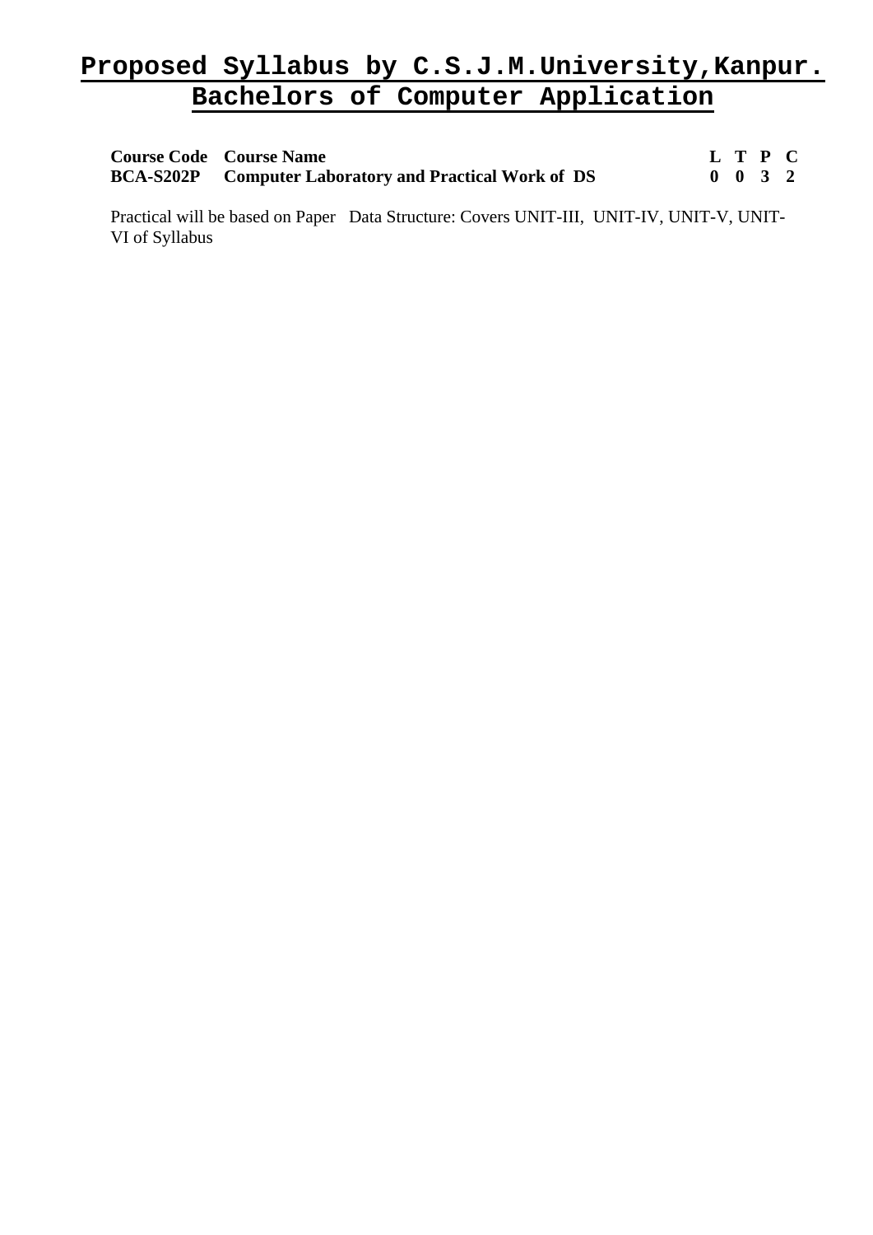| <b>Course Code Course Name</b>                                |  | L T P C            |  |
|---------------------------------------------------------------|--|--------------------|--|
| <b>BCA-S202P</b> Computer Laboratory and Practical Work of DS |  | $0 \t 0 \t 3 \t 2$ |  |

Practical will be based on Paper Data Structure: Covers UNIT-III, UNIT-IV, UNIT-V, UNIT-VI of Syllabus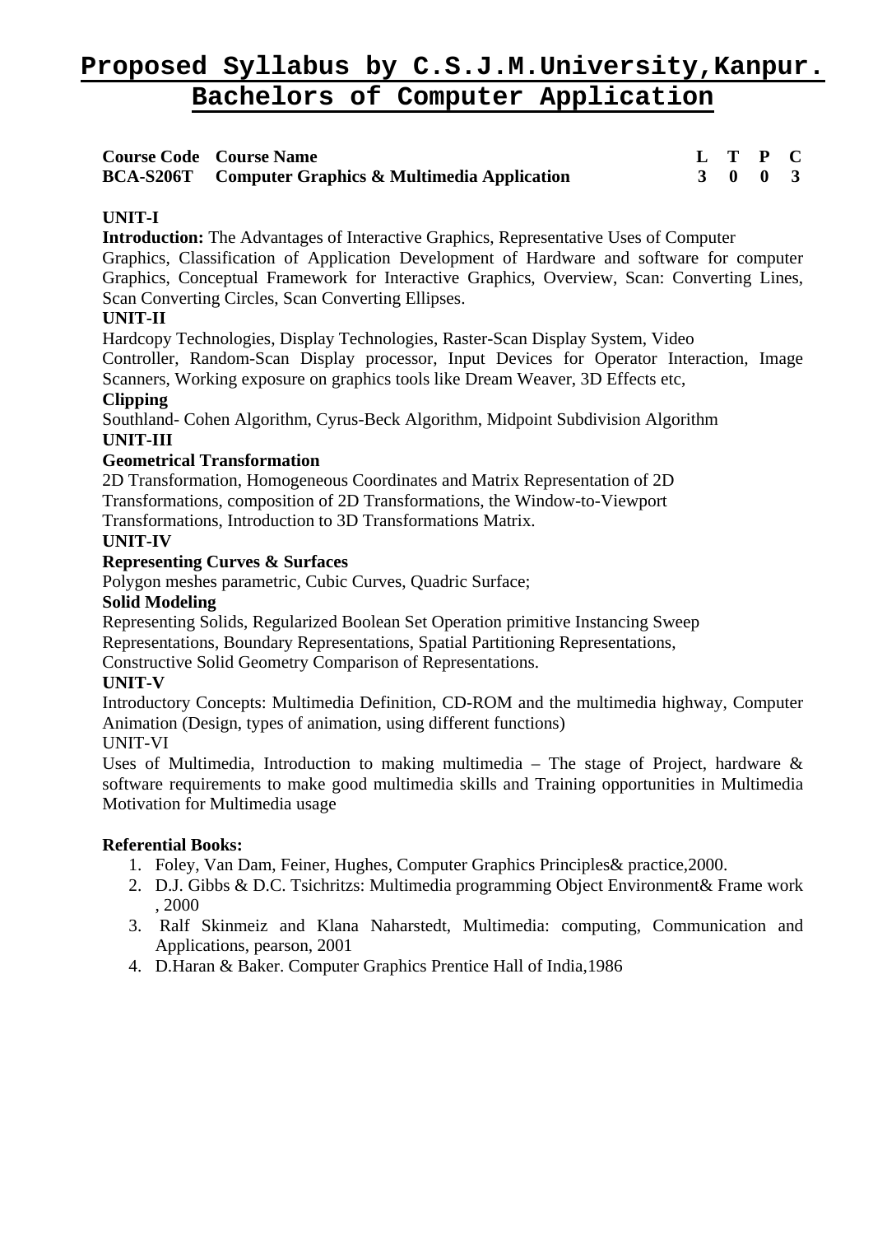| <b>Course Code Course Name</b>                              |  | L T P C |  |
|-------------------------------------------------------------|--|---------|--|
| <b>BCA-S206T</b> Computer Graphics & Multimedia Application |  | 3 0 0 3 |  |

# **UNIT-I**

**Introduction:** The Advantages of Interactive Graphics, Representative Uses of Computer

Graphics, Classification of Application Development of Hardware and software for computer Graphics, Conceptual Framework for Interactive Graphics, Overview, Scan: Converting Lines, Scan Converting Circles, Scan Converting Ellipses.

# **UNIT-II**

Hardcopy Technologies, Display Technologies, Raster-Scan Display System, Video

Controller, Random-Scan Display processor, Input Devices for Operator Interaction, Image Scanners, Working exposure on graphics tools like Dream Weaver, 3D Effects etc,

# **Clipping**

Southland- Cohen Algorithm, Cyrus-Beck Algorithm, Midpoint Subdivision Algorithm **UNIT-III** 

# **Geometrical Transformation**

2D Transformation, Homogeneous Coordinates and Matrix Representation of 2D Transformations, composition of 2D Transformations, the Window-to-Viewport Transformations, Introduction to 3D Transformations Matrix.

# **UNIT-IV**

# **Representing Curves & Surfaces**

Polygon meshes parametric, Cubic Curves, Quadric Surface;

# **Solid Modeling**

Representing Solids, Regularized Boolean Set Operation primitive Instancing Sweep

Representations, Boundary Representations, Spatial Partitioning Representations,

Constructive Solid Geometry Comparison of Representations.

# **UNIT-V**

Introductory Concepts: Multimedia Definition, CD-ROM and the multimedia highway, Computer Animation (Design, types of animation, using different functions)

# UNIT-VI

Uses of Multimedia, Introduction to making multimedia – The stage of Project, hardware  $\&$ software requirements to make good multimedia skills and Training opportunities in Multimedia Motivation for Multimedia usage

- 1. Foley, Van Dam, Feiner, Hughes, Computer Graphics Principles& practice,2000.
- 2. D.J. Gibbs & D.C. Tsichritzs: Multimedia programming Object Environment& Frame work , 2000
- 3. Ralf Skinmeiz and Klana Naharstedt, Multimedia: computing, Communication and Applications, pearson, 2001
- 4. D.Haran & Baker. Computer Graphics Prentice Hall of India,1986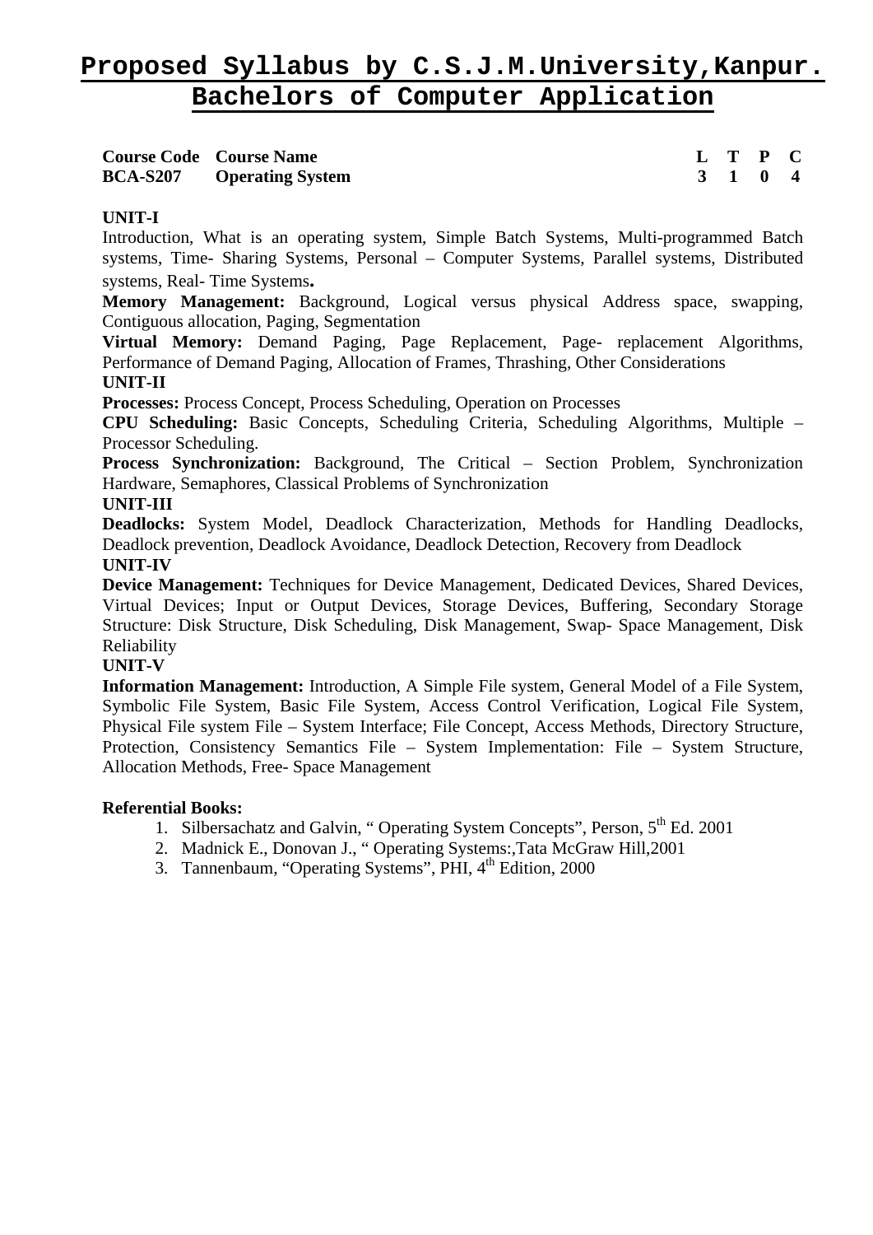| <b>Course Code Course Name</b>   |  | L T P C                     |  |
|----------------------------------|--|-----------------------------|--|
| <b>BCA-S207</b> Operating System |  | $3 \quad 1 \quad 0 \quad 4$ |  |

# **UNIT-I**

Introduction, What is an operating system, Simple Batch Systems, Multi-programmed Batch systems, Time- Sharing Systems, Personal – Computer Systems, Parallel systems, Distributed systems, Real- Time Systems**.** 

**Memory Management:** Background, Logical versus physical Address space, swapping, Contiguous allocation, Paging, Segmentation

**Virtual Memory:** Demand Paging, Page Replacement, Page- replacement Algorithms, Performance of Demand Paging, Allocation of Frames, Thrashing, Other Considerations **UNIT-II** 

**Processes:** Process Concept, Process Scheduling, Operation on Processes

**CPU Scheduling:** Basic Concepts, Scheduling Criteria, Scheduling Algorithms, Multiple – Processor Scheduling.

**Process Synchronization:** Background, The Critical – Section Problem, Synchronization Hardware, Semaphores, Classical Problems of Synchronization

#### **UNIT-III**

**Deadlocks:** System Model, Deadlock Characterization, Methods for Handling Deadlocks, Deadlock prevention, Deadlock Avoidance, Deadlock Detection, Recovery from Deadlock **UNIT-IV** 

**Device Management:** Techniques for Device Management, Dedicated Devices, Shared Devices, Virtual Devices; Input or Output Devices, Storage Devices, Buffering, Secondary Storage Structure: Disk Structure, Disk Scheduling, Disk Management, Swap- Space Management, Disk Reliability

#### **UNIT-V**

**Information Management:** Introduction, A Simple File system, General Model of a File System, Symbolic File System, Basic File System, Access Control Verification, Logical File System, Physical File system File – System Interface; File Concept, Access Methods, Directory Structure, Protection, Consistency Semantics File – System Implementation: File – System Structure, Allocation Methods, Free- Space Management

- 1. Silbersachatz and Galvin, "Operating System Concepts", Person, 5<sup>th</sup> Ed. 2001
- 2. Madnick E., Donovan J., " Operating Systems:,Tata McGraw Hill,2001
- 3. Tannenbaum, "Operating Systems", PHI, 4<sup>th</sup> Edition, 2000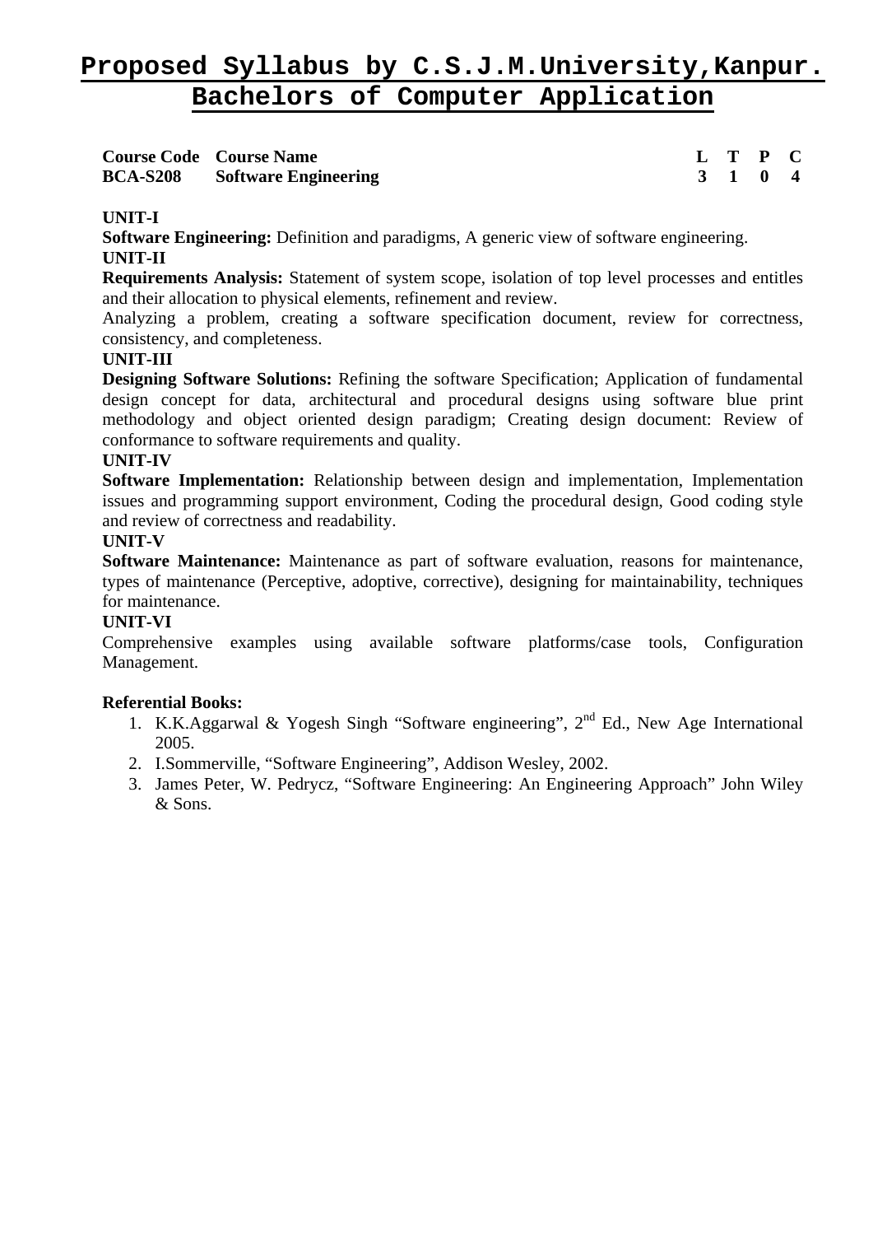| <b>Course Code Course Name</b>       |  | L T P C                     |  |
|--------------------------------------|--|-----------------------------|--|
| <b>BCA-S208</b> Software Engineering |  | $3 \quad 1 \quad 0 \quad 4$ |  |

# **UNIT-I**

**Software Engineering:** Definition and paradigms, A generic view of software engineering. **UNIT-II** 

**Requirements Analysis:** Statement of system scope, isolation of top level processes and entitles and their allocation to physical elements, refinement and review.

Analyzing a problem, creating a software specification document, review for correctness, consistency, and completeness.

#### **UNIT-III**

**Designing Software Solutions:** Refining the software Specification; Application of fundamental design concept for data, architectural and procedural designs using software blue print methodology and object oriented design paradigm; Creating design document: Review of conformance to software requirements and quality.

#### **UNIT-IV**

**Software Implementation:** Relationship between design and implementation, Implementation issues and programming support environment, Coding the procedural design, Good coding style and review of correctness and readability.

# **UNIT-V**

**Software Maintenance:** Maintenance as part of software evaluation, reasons for maintenance, types of maintenance (Perceptive, adoptive, corrective), designing for maintainability, techniques for maintenance.

### **UNIT-VI**

Comprehensive examples using available software platforms/case tools, Configuration Management.

- 1. K.K.Aggarwal & Yogesh Singh "Software engineering",  $2<sup>nd</sup>$  Ed., New Age International 2005.
- 2. I.Sommerville, "Software Engineering", Addison Wesley, 2002.
- 3. James Peter, W. Pedrycz, "Software Engineering: An Engineering Approach" John Wiley  $&$  Sons.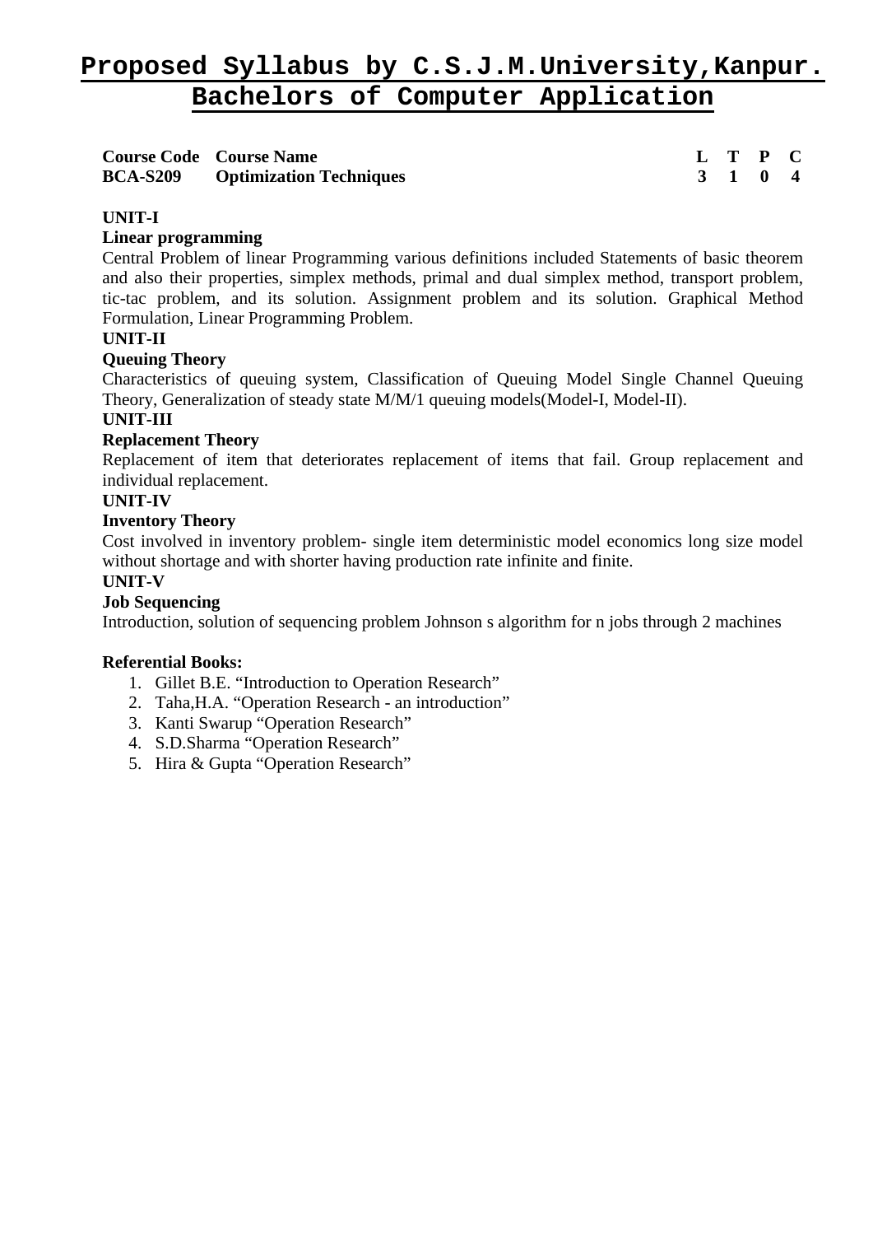| <b>Course Code Course Name</b> |                                         | L T P C |  |
|--------------------------------|-----------------------------------------|---------|--|
|                                | <b>BCA-S209</b> Optimization Techniques | 3 1 0 4 |  |

# **UNIT-I**

# **Linear programming**

Central Problem of linear Programming various definitions included Statements of basic theorem and also their properties, simplex methods, primal and dual simplex method, transport problem, tic-tac problem, and its solution. Assignment problem and its solution. Graphical Method Formulation, Linear Programming Problem.

#### **UNIT-II**

#### **Queuing Theory**

Characteristics of queuing system, Classification of Queuing Model Single Channel Queuing Theory, Generalization of steady state M/M/1 queuing models(Model-I, Model-II).

### **UNIT-III**

# **Replacement Theory**

Replacement of item that deteriorates replacement of items that fail. Group replacement and individual replacement.

# **UNIT-IV**

# **Inventory Theory**

Cost involved in inventory problem- single item deterministic model economics long size model without shortage and with shorter having production rate infinite and finite.

#### **UNIT-V**

# **Job Sequencing**

Introduction, solution of sequencing problem Johnson s algorithm for n jobs through 2 machines

- 1. Gillet B.E. "Introduction to Operation Research"
- 2. Taha,H.A. "Operation Research an introduction"
- 3. Kanti Swarup "Operation Research"
- 4. S.D.Sharma "Operation Research"
- 5. Hira & Gupta "Operation Research"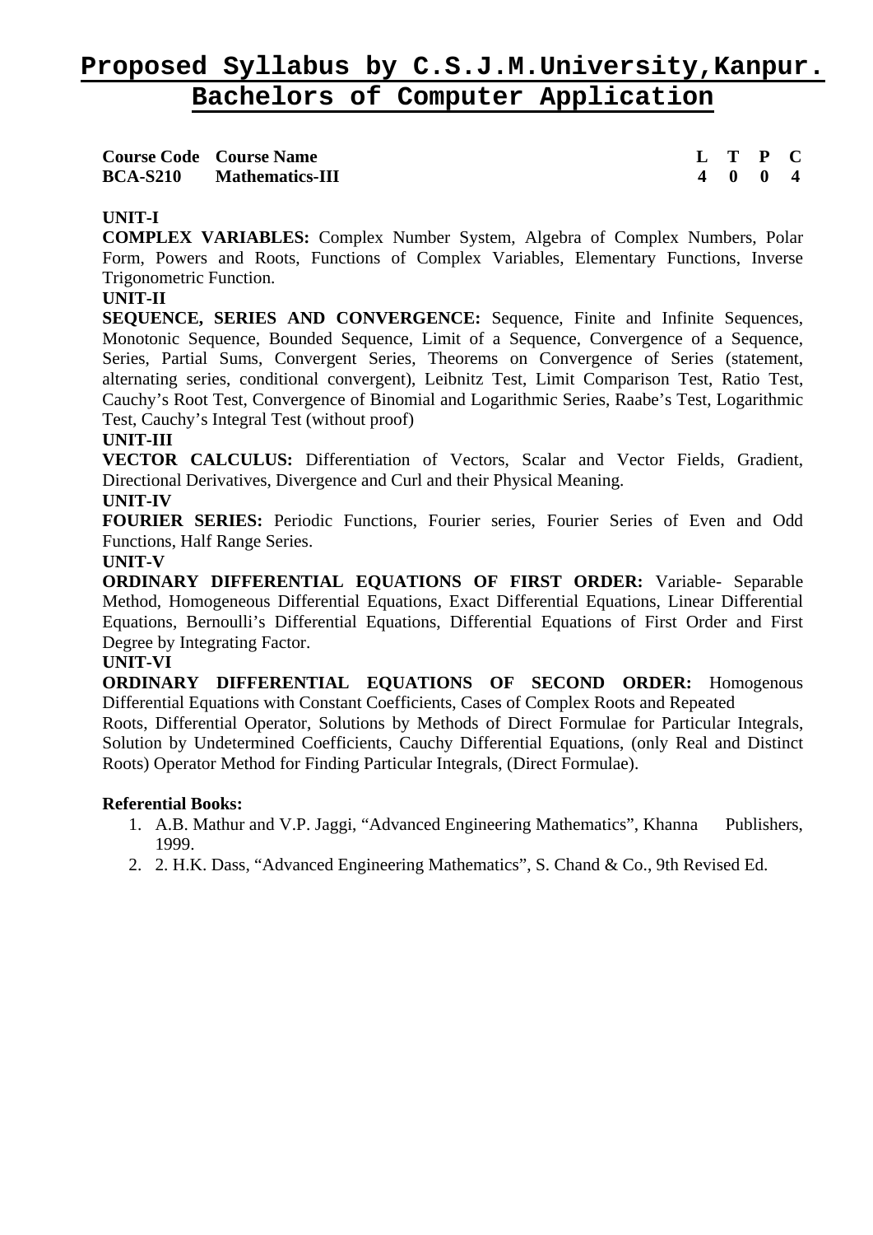|                 | <b>Course Code Course Name</b> | L T P C |  |
|-----------------|--------------------------------|---------|--|
| <b>BCA-S210</b> | <b>Mathematics-III</b>         | 4 0 0 4 |  |

# **UNIT-I**

**COMPLEX VARIABLES:** Complex Number System, Algebra of Complex Numbers, Polar Form, Powers and Roots, Functions of Complex Variables, Elementary Functions, Inverse Trigonometric Function.

### **UNIT-II**

**SEQUENCE, SERIES AND CONVERGENCE:** Sequence, Finite and Infinite Sequences, Monotonic Sequence, Bounded Sequence, Limit of a Sequence, Convergence of a Sequence, Series, Partial Sums, Convergent Series, Theorems on Convergence of Series (statement, alternating series, conditional convergent), Leibnitz Test, Limit Comparison Test, Ratio Test, Cauchy's Root Test, Convergence of Binomial and Logarithmic Series, Raabe's Test, Logarithmic Test, Cauchy's Integral Test (without proof)

#### **UNIT-III**

**VECTOR CALCULUS:** Differentiation of Vectors, Scalar and Vector Fields, Gradient, Directional Derivatives, Divergence and Curl and their Physical Meaning.

#### **UNIT-IV**

**FOURIER SERIES:** Periodic Functions, Fourier series, Fourier Series of Even and Odd Functions, Half Range Series.

#### **UNIT-V**

**ORDINARY DIFFERENTIAL EQUATIONS OF FIRST ORDER:** Variable- Separable Method, Homogeneous Differential Equations, Exact Differential Equations, Linear Differential Equations, Bernoulli's Differential Equations, Differential Equations of First Order and First Degree by Integrating Factor.

#### **UNIT-VI**

**ORDINARY DIFFERENTIAL EQUATIONS OF SECOND ORDER:** Homogenous Differential Equations with Constant Coefficients, Cases of Complex Roots and Repeated

Roots, Differential Operator, Solutions by Methods of Direct Formulae for Particular Integrals, Solution by Undetermined Coefficients, Cauchy Differential Equations, (only Real and Distinct Roots) Operator Method for Finding Particular Integrals, (Direct Formulae).

- 1. A.B. Mathur and V.P. Jaggi, "Advanced Engineering Mathematics", Khanna Publishers, 1999.
- 2. 2. H.K. Dass, "Advanced Engineering Mathematics", S. Chand & Co., 9th Revised Ed.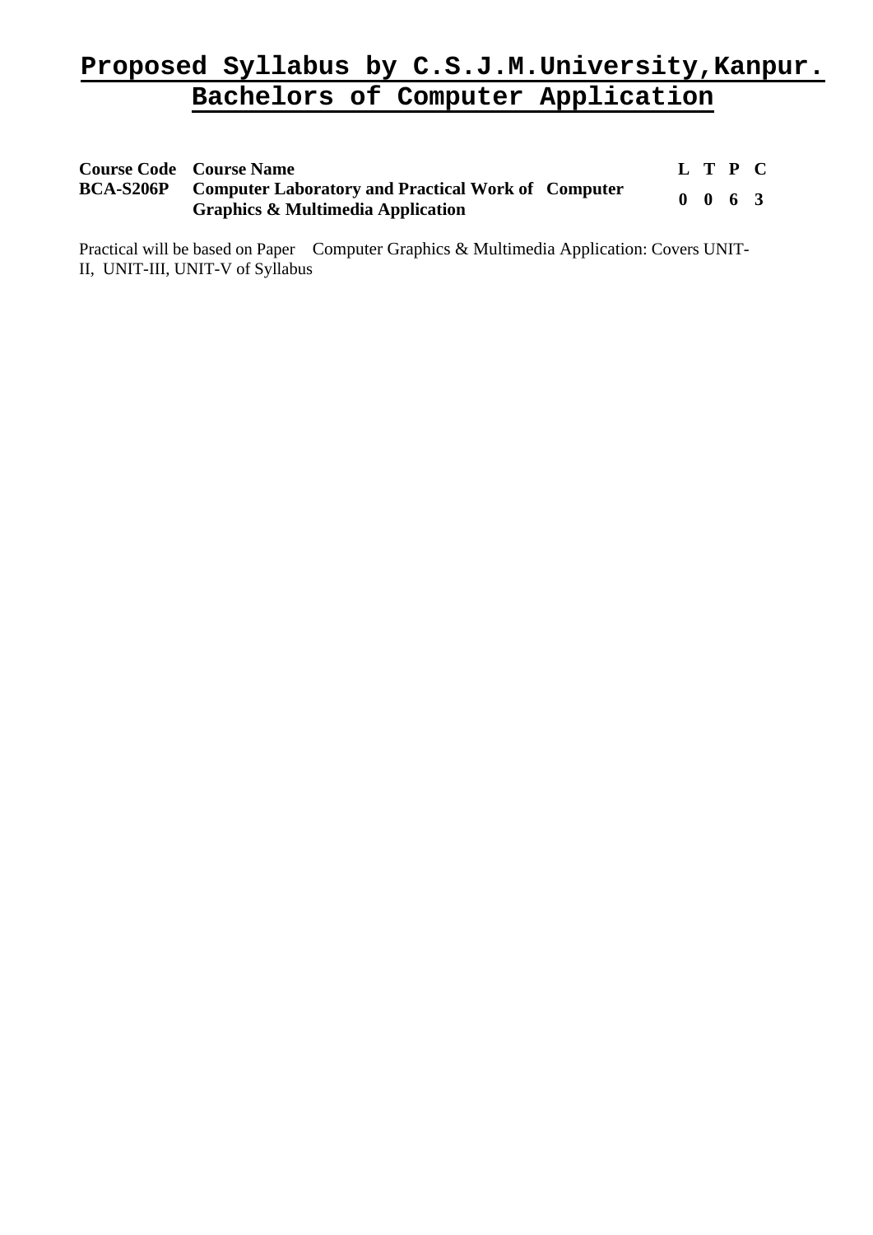| <b>Course Code Course Name</b>                                                                                      | L T P C |                    |  |
|---------------------------------------------------------------------------------------------------------------------|---------|--------------------|--|
| <b>BCA-S206P</b> Computer Laboratory and Practical Work of Computer<br><b>Graphics &amp; Multimedia Application</b> |         | $0 \t 0 \t 6 \t 3$ |  |

Practical will be based on Paper Computer Graphics & Multimedia Application: Covers UNIT-II, UNIT-III, UNIT-V of Syllabus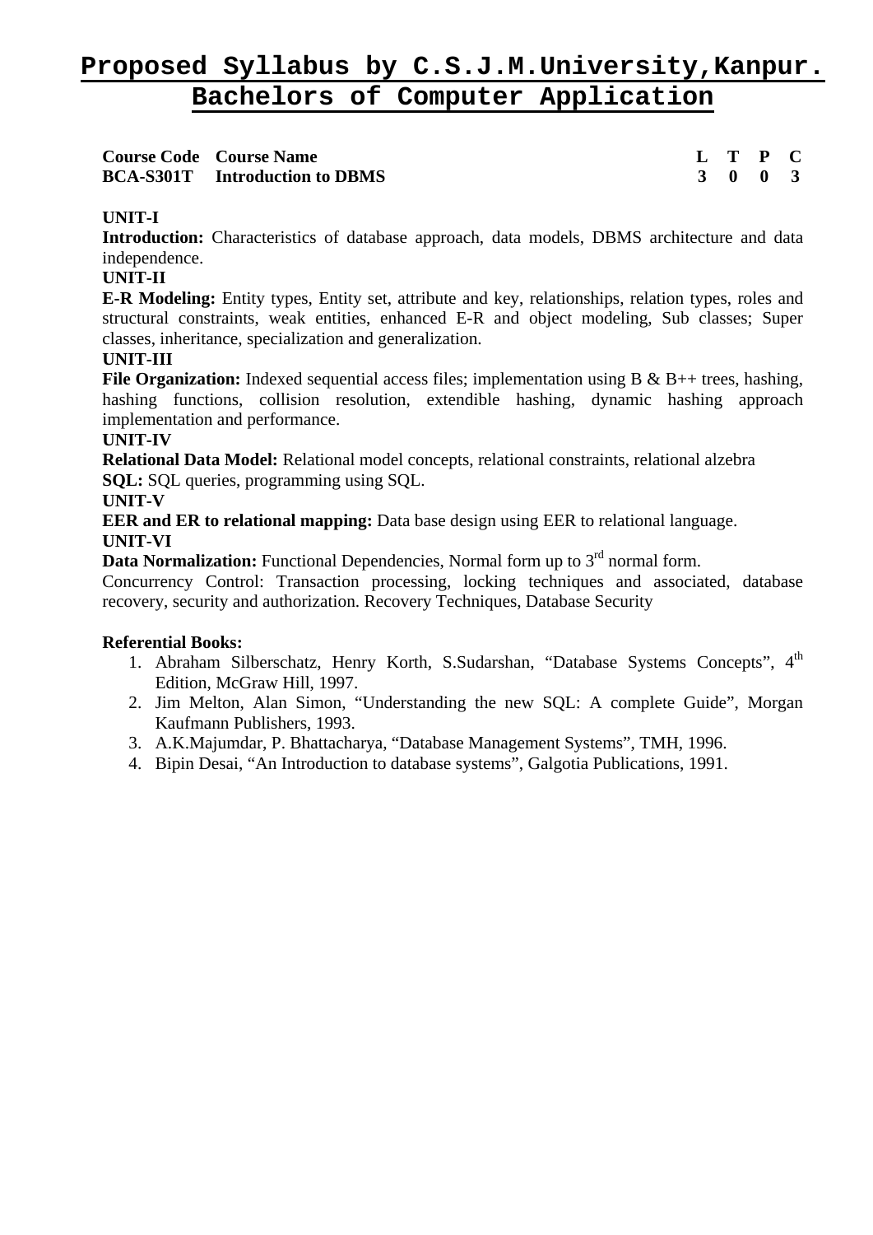| <b>Course Code Course Name</b>        |  | L T P C                     |  |
|---------------------------------------|--|-----------------------------|--|
| <b>BCA-S301T</b> Introduction to DBMS |  | $3 \quad 0 \quad 0 \quad 3$ |  |

# **UNIT-I**

Introduction: Characteristics of database approach, data models, DBMS architecture and data independence.

### **UNIT-II**

**E-R Modeling:** Entity types, Entity set, attribute and key, relationships, relation types, roles and structural constraints, weak entities, enhanced E-R and object modeling, Sub classes; Super classes, inheritance, specialization and generalization.

# **UNIT-III**

**File Organization:** Indexed sequential access files; implementation using B & B++ trees, hashing, hashing functions, collision resolution, extendible hashing, dynamic hashing approach implementation and performance.

#### **UNIT-IV**

**Relational Data Model:** Relational model concepts, relational constraints, relational alzebra **SQL:** SQL queries, programming using SQL.

#### **UNIT-V**

**EER and ER to relational mapping:** Data base design using EER to relational language. **UNIT-VI** 

**Data Normalization:** Functional Dependencies, Normal form up to 3<sup>rd</sup> normal form.

Concurrency Control: Transaction processing, locking techniques and associated, database recovery, security and authorization. Recovery Techniques, Database Security

- 1. Abraham Silberschatz, Henry Korth, S.Sudarshan, "Database Systems Concepts", 4<sup>th</sup> Edition, McGraw Hill, 1997.
- 2. Jim Melton, Alan Simon, "Understanding the new SQL: A complete Guide", Morgan Kaufmann Publishers, 1993.
- 3. A.K.Majumdar, P. Bhattacharya, "Database Management Systems", TMH, 1996.
- 4. Bipin Desai, "An Introduction to database systems", Galgotia Publications, 1991.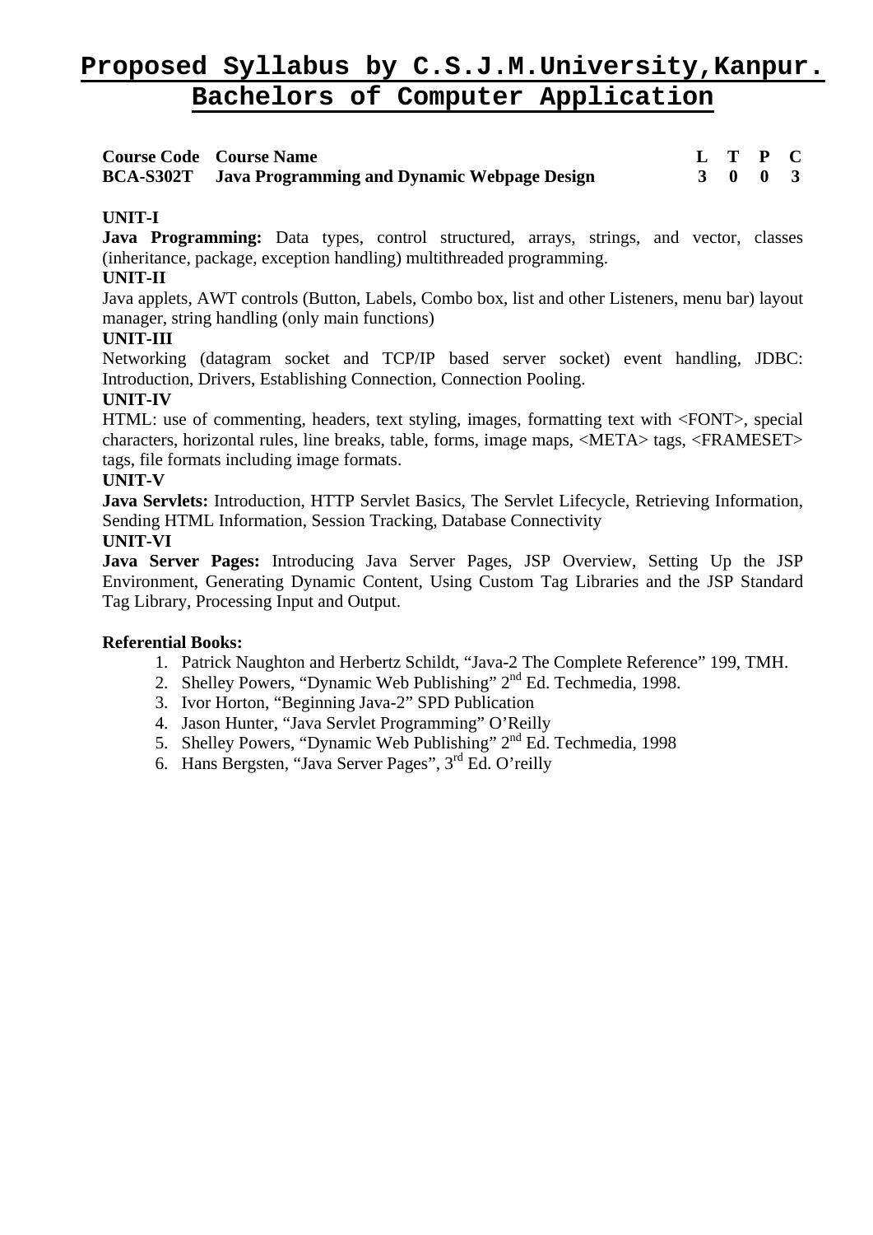| <b>Course Code</b> Course Name                               | L T P C |  |
|--------------------------------------------------------------|---------|--|
| <b>BCA-S302T</b> Java Programming and Dynamic Webpage Design | 3 0 0 3 |  |

# **UNIT-I**

**Java Programming:** Data types, control structured, arrays, strings, and vector, classes (inheritance, package, exception handling) multithreaded programming.

# **UNIT-II**

Java applets, AWT controls (Button, Labels, Combo box, list and other Listeners, menu bar) layout manager, string handling (only main functions)

# **UNIT-III**

Networking (datagram socket and TCP/IP based server socket) event handling, JDBC: Introduction, Drivers, Establishing Connection, Connection Pooling.

# **UNIT-IV**

HTML: use of commenting, headers, text styling, images, formatting text with <FONT>, special characters, horizontal rules, line breaks, table, forms, image maps, <META> tags, <FRAMESET> tags, file formats including image formats.

# **UNIT-V**

**Java Servlets:** Introduction, HTTP Servlet Basics, The Servlet Lifecycle, Retrieving Information, Sending HTML Information, Session Tracking, Database Connectivity **UNIT-VI** 

**Java Server Pages:** Introducing Java Server Pages, JSP Overview, Setting Up the JSP Environment, Generating Dynamic Content, Using Custom Tag Libraries and the JSP Standard Tag Library, Processing Input and Output.

- 1. Patrick Naughton and Herbertz Schildt, "Java-2 The Complete Reference" 199, TMH.
- 2. Shelley Powers, "Dynamic Web Publishing" 2<sup>nd</sup> Ed. Techmedia, 1998.
- 3. Ivor Horton, "Beginning Java-2" SPD Publication
- 4. Jason Hunter, "Java Servlet Programming" O'Reilly
- 5. Shelley Powers, "Dynamic Web Publishing" 2<sup>nd</sup> Ed. Techmedia, 1998
- 6. Hans Bergsten, "Java Server Pages",  $3<sup>rd</sup>$  Ed. O'reilly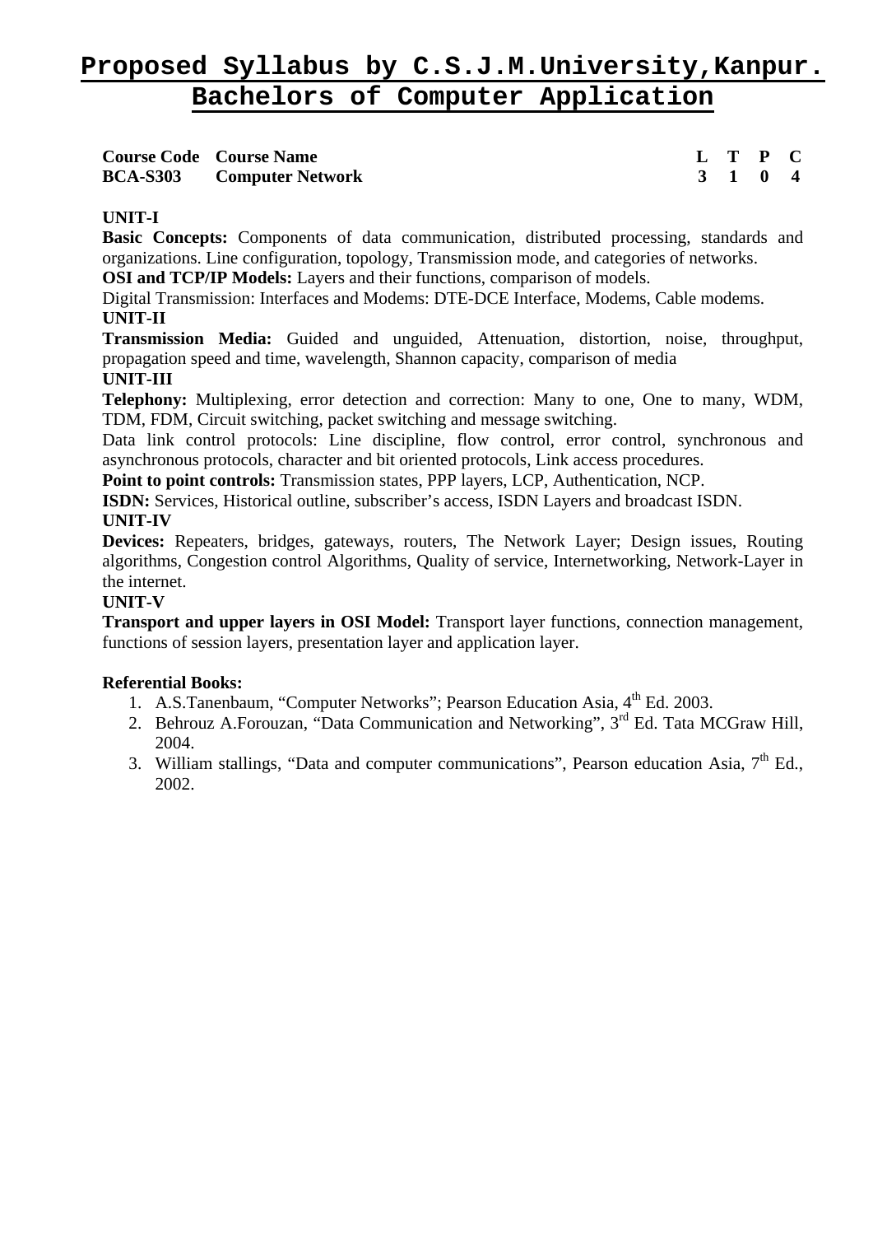| <b>Course Code Course Name</b>   | L T P C |         |  |
|----------------------------------|---------|---------|--|
| <b>BCA-S303</b> Computer Network |         | 3 1 0 4 |  |

# **Course Code Course Name L T P C**

# **UNIT-I**

**Basic Concepts:** Components of data communication, distributed processing, standards and organizations. Line configuration, topology, Transmission mode, and categories of networks.

**OSI and TCP/IP Models:** Layers and their functions, comparison of models.

Digital Transmission: Interfaces and Modems: DTE-DCE Interface, Modems, Cable modems. **UNIT-II** 

**Transmission Media:** Guided and unguided, Attenuation, distortion, noise, throughput, propagation speed and time, wavelength, Shannon capacity, comparison of media **UNIT-III** 

# **Telephony:** Multiplexing, error detection and correction: Many to one, One to many, WDM, TDM, FDM, Circuit switching, packet switching and message switching.

Data link control protocols: Line discipline, flow control, error control, synchronous and asynchronous protocols, character and bit oriented protocols, Link access procedures.

**Point to point controls:** Transmission states, PPP layers, LCP, Authentication, NCP.

**ISDN:** Services, Historical outline, subscriber's access, ISDN Layers and broadcast ISDN. **UNIT-IV** 

**Devices:** Repeaters, bridges, gateways, routers, The Network Layer; Design issues, Routing algorithms, Congestion control Algorithms, Quality of service, Internetworking, Network-Layer in the internet.

# **UNIT-V**

**Transport and upper layers in OSI Model:** Transport layer functions, connection management, functions of session layers, presentation layer and application layer.

- 1. A.S.Tanenbaum, "Computer Networks"; Pearson Education Asia, 4<sup>th</sup> Ed. 2003.
- 2. Behrouz A.Forouzan, "Data Communication and Networking", 3<sup>rd</sup> Ed. Tata MCGraw Hill, 2004.
- 3. William stallings, "Data and computer communications", Pearson education Asia, 7<sup>th</sup> Ed., 2002.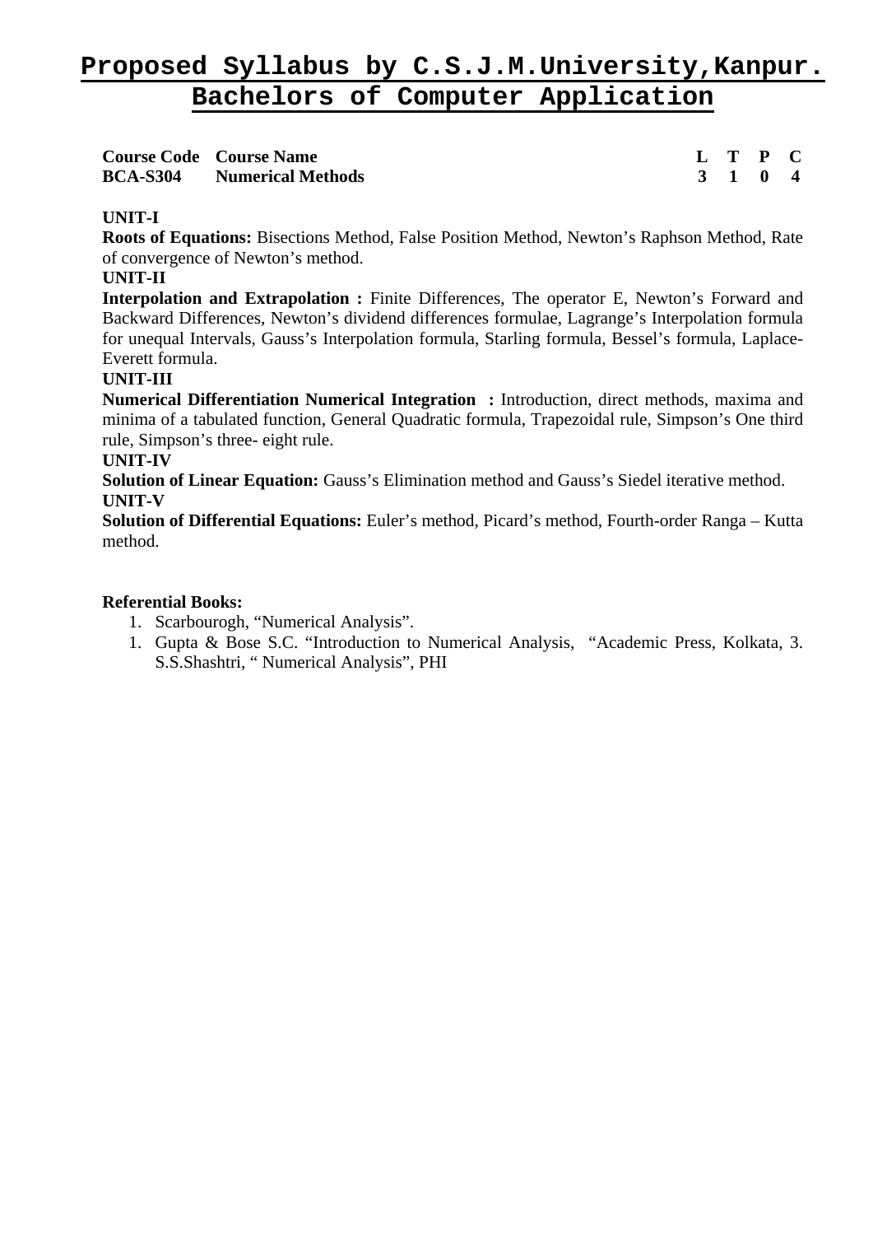| <b>Course Code Course Name</b>    | L T P C |  |
|-----------------------------------|---------|--|
| <b>BCA-S304</b> Numerical Methods | 3 1 0 4 |  |

# **UNIT-I**

**Roots of Equations:** Bisections Method, False Position Method, Newton's Raphson Method, Rate of convergence of Newton's method.

### **UNIT-II**

**Interpolation and Extrapolation :** Finite Differences, The operator E, Newton's Forward and Backward Differences, Newton's dividend differences formulae, Lagrange's Interpolation formula for unequal Intervals, Gauss's Interpolation formula, Starling formula, Bessel's formula, Laplace-Everett formula.

# **UNIT-III**

**Numerical Differentiation Numerical Integration :** Introduction, direct methods, maxima and minima of a tabulated function, General Quadratic formula, Trapezoidal rule, Simpson's One third rule, Simpson's three- eight rule.

#### **UNIT-IV**

**Solution of Linear Equation:** Gauss's Elimination method and Gauss's Siedel iterative method. **UNIT-V** 

**Solution of Differential Equations:** Euler's method, Picard's method, Fourth-order Ranga – Kutta method.

- 1. Scarbourogh, "Numerical Analysis".
- 1. Gupta & Bose S.C. "Introduction to Numerical Analysis, "Academic Press, Kolkata, 3. S.S.Shashtri, " Numerical Analysis", PHI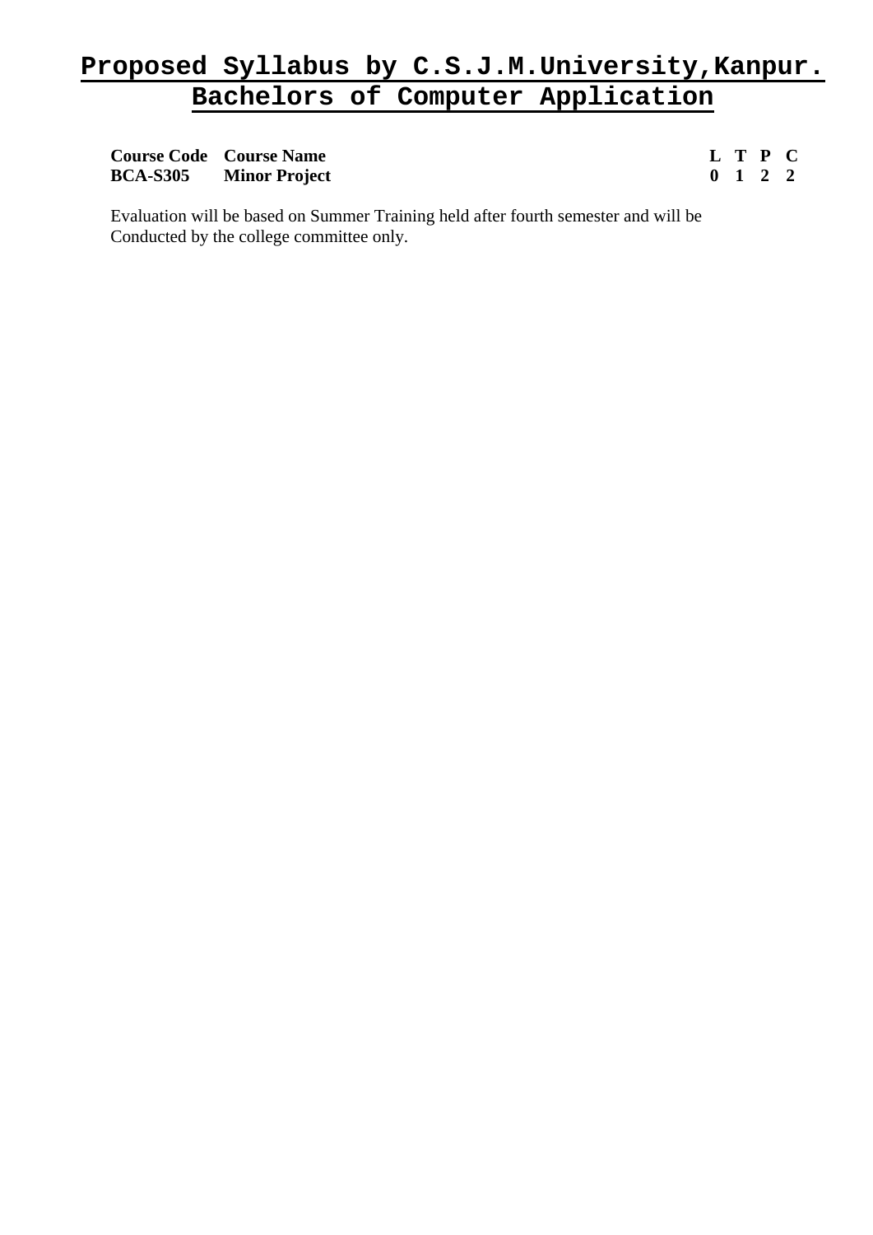| <b>Course Code Course Name</b> |                               |  | L T P C                     |  |
|--------------------------------|-------------------------------|--|-----------------------------|--|
|                                | <b>BCA-S305</b> Minor Project |  | $0 \quad 1 \quad 2 \quad 2$ |  |

Evaluation will be based on Summer Training held after fourth semester and will be Conducted by the college committee only.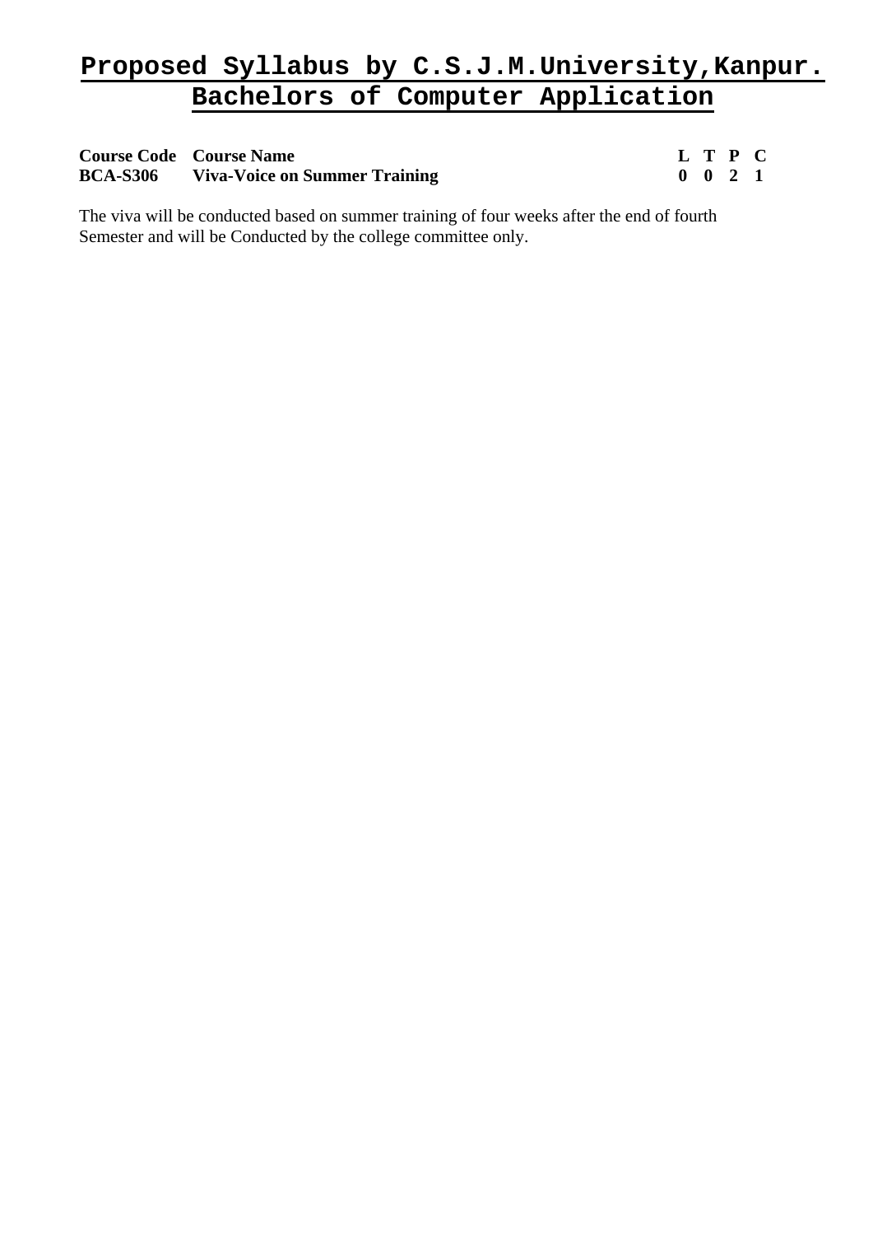# **Course Code Course Name L T P C BCA-S306 Viva-Voice on Summer Training 0 0 2 1**

The viva will be conducted based on summer training of four weeks after the end of fourth Semester and will be Conducted by the college committee only.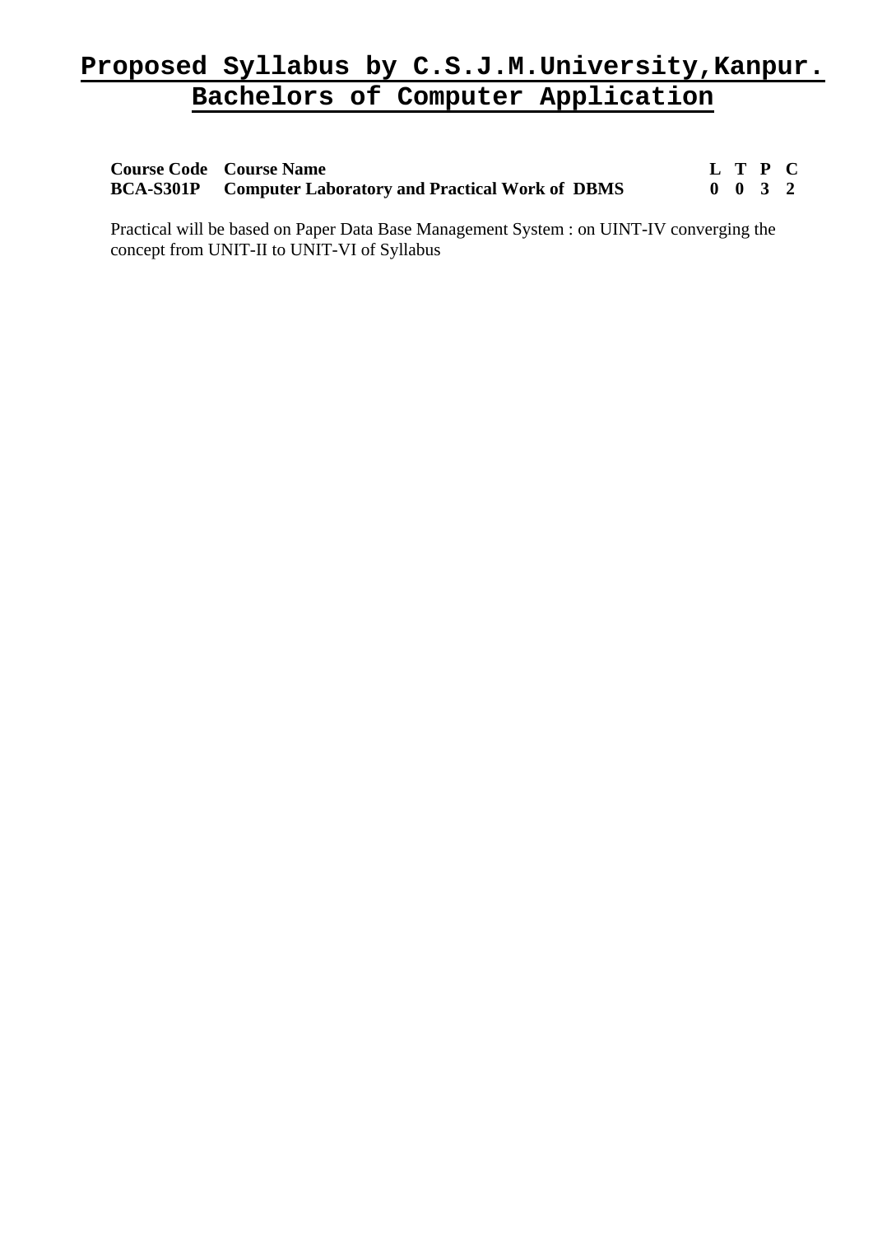| <b>Course Code Course Name</b>                                  | L T P C                     |  |
|-----------------------------------------------------------------|-----------------------------|--|
| <b>BCA-S301P</b> Computer Laboratory and Practical Work of DBMS | $0 \quad 0 \quad 3 \quad 2$ |  |

Practical will be based on Paper Data Base Management System : on UINT-IV converging the concept from UNIT-II to UNIT-VI of Syllabus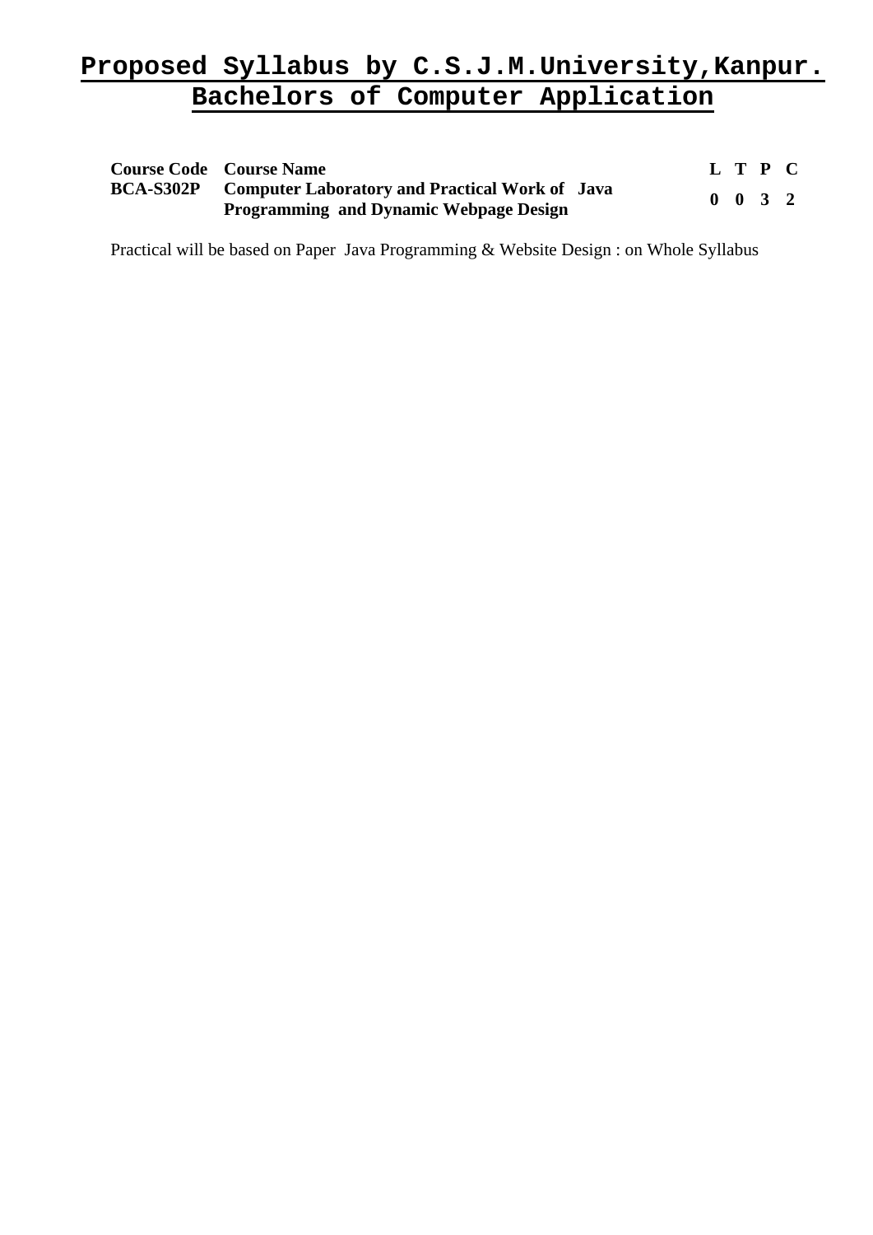| <b>Course Code</b> Course Name                                                                                   |  | L T P C            |  |
|------------------------------------------------------------------------------------------------------------------|--|--------------------|--|
| <b>BCA-S302P</b> Computer Laboratory and Practical Work of Java<br><b>Programming and Dynamic Webpage Design</b> |  | $0 \t 0 \t 3 \t 2$ |  |

Practical will be based on Paper Java Programming & Website Design : on Whole Syllabus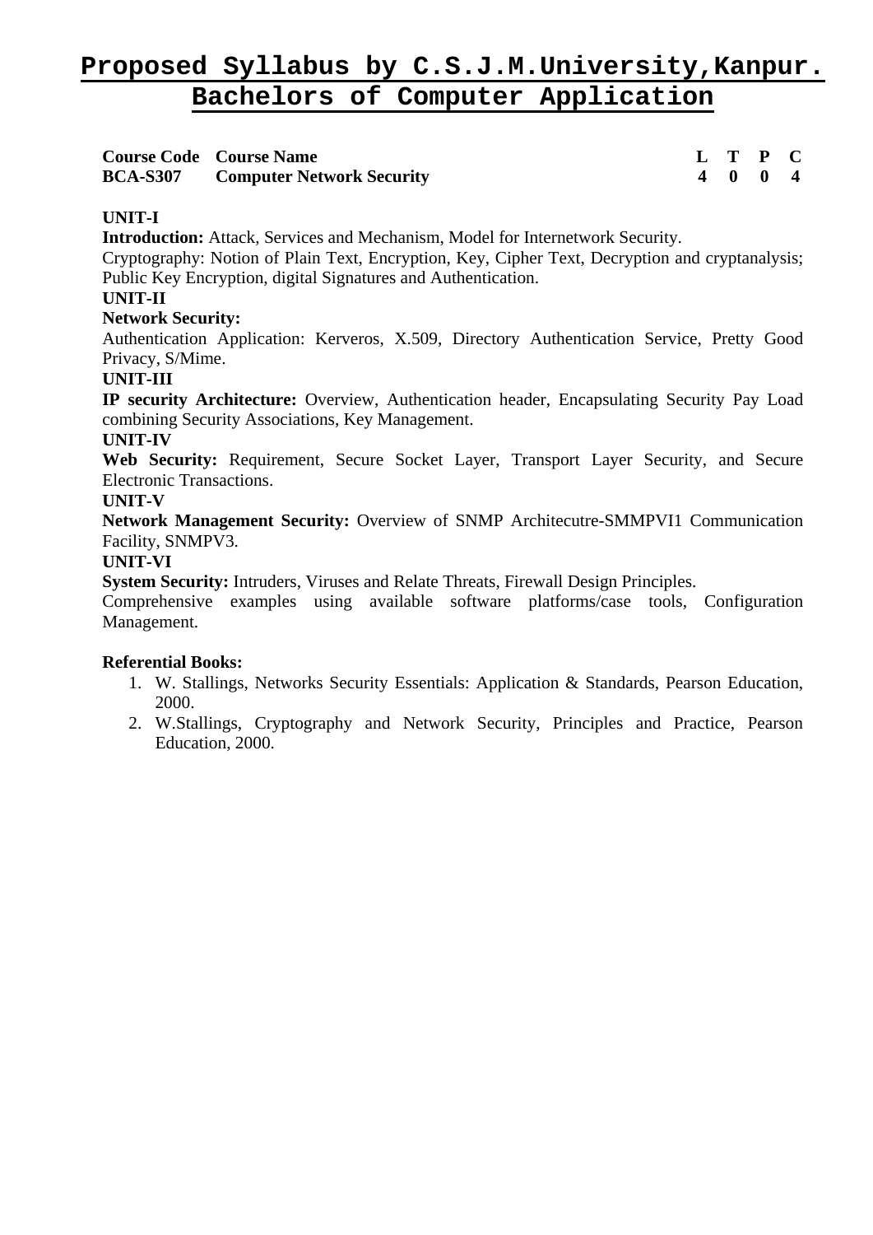| <b>Course Code Course Name</b> |                                           |  | L T P C |  |
|--------------------------------|-------------------------------------------|--|---------|--|
|                                | <b>BCA-S307</b> Computer Network Security |  | 4 0 0 4 |  |

# **UNIT-I**

**Introduction:** Attack, Services and Mechanism, Model for Internetwork Security.

Cryptography: Notion of Plain Text, Encryption, Key, Cipher Text, Decryption and cryptanalysis; Public Key Encryption, digital Signatures and Authentication.

### **UNIT-II**

#### **Network Security:**

Authentication Application: Kerveros, X.509, Directory Authentication Service, Pretty Good Privacy, S/Mime.

# **UNIT-III**

**IP security Architecture:** Overview, Authentication header, Encapsulating Security Pay Load combining Security Associations, Key Management.

# **UNIT-IV**

**Web Security:** Requirement, Secure Socket Layer, Transport Layer Security, and Secure Electronic Transactions.

#### **UNIT-V**

**Network Management Security:** Overview of SNMP Architecutre-SMMPVI1 Communication Facility, SNMPV3.

#### **UNIT-VI**

**System Security:** Intruders, Viruses and Relate Threats, Firewall Design Principles.

Comprehensive examples using available software platforms/case tools, Configuration Management.

- 1. W. Stallings, Networks Security Essentials: Application & Standards, Pearson Education, 2000.
- 2. W.Stallings, Cryptography and Network Security, Principles and Practice, Pearson Education, 2000.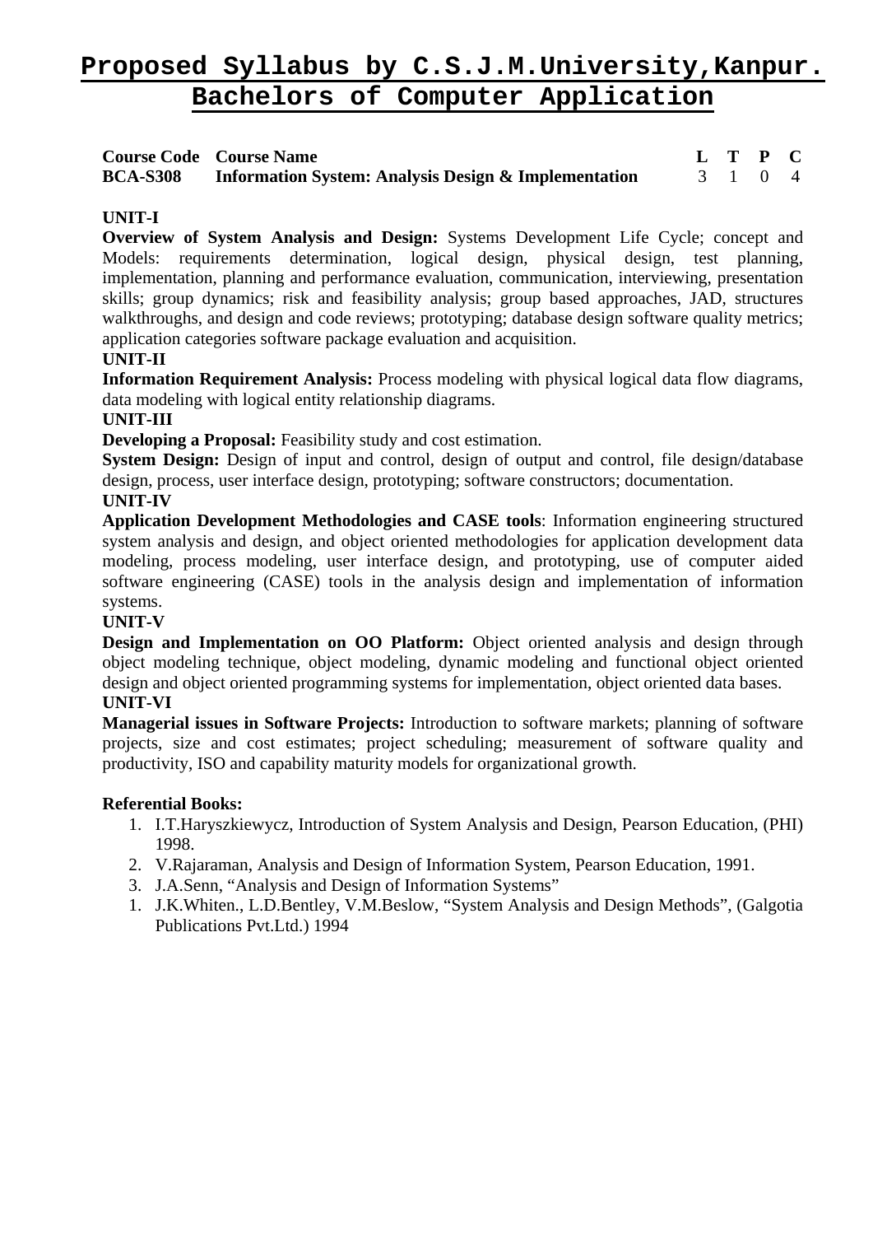| <b>Course Code Course Name</b>                                       |         | L T P C |  |
|----------------------------------------------------------------------|---------|---------|--|
| <b>BCA-S308</b> Information System: Analysis Design & Implementation | 3 1 0 4 |         |  |

# **UNIT-I**

**Overview of System Analysis and Design:** Systems Development Life Cycle; concept and Models: requirements determination, logical design, physical design, test planning, implementation, planning and performance evaluation, communication, interviewing, presentation skills; group dynamics; risk and feasibility analysis; group based approaches, JAD, structures walkthroughs, and design and code reviews; prototyping; database design software quality metrics; application categories software package evaluation and acquisition.

# **UNIT-II**

**Information Requirement Analysis:** Process modeling with physical logical data flow diagrams, data modeling with logical entity relationship diagrams.

# **UNIT-III**

**Developing a Proposal:** Feasibility study and cost estimation.

**System Design:** Design of input and control, design of output and control, file design/database design, process, user interface design, prototyping; software constructors; documentation.

# **UNIT-IV**

**Application Development Methodologies and CASE tools**: Information engineering structured system analysis and design, and object oriented methodologies for application development data modeling, process modeling, user interface design, and prototyping, use of computer aided software engineering (CASE) tools in the analysis design and implementation of information systems.

### **UNIT-V**

**Design and Implementation on OO Platform:** Object oriented analysis and design through object modeling technique, object modeling, dynamic modeling and functional object oriented design and object oriented programming systems for implementation, object oriented data bases. **UNIT-VI** 

**Managerial issues in Software Projects:** Introduction to software markets; planning of software projects, size and cost estimates; project scheduling; measurement of software quality and productivity, ISO and capability maturity models for organizational growth.

- 1. I.T.Haryszkiewycz, Introduction of System Analysis and Design, Pearson Education, (PHI) 1998.
- 2. V.Rajaraman, Analysis and Design of Information System, Pearson Education, 1991.
- 3. J.A.Senn, "Analysis and Design of Information Systems"
- 1. J.K.Whiten., L.D.Bentley, V.M.Beslow, "System Analysis and Design Methods", (Galgotia Publications Pvt.Ltd.) 1994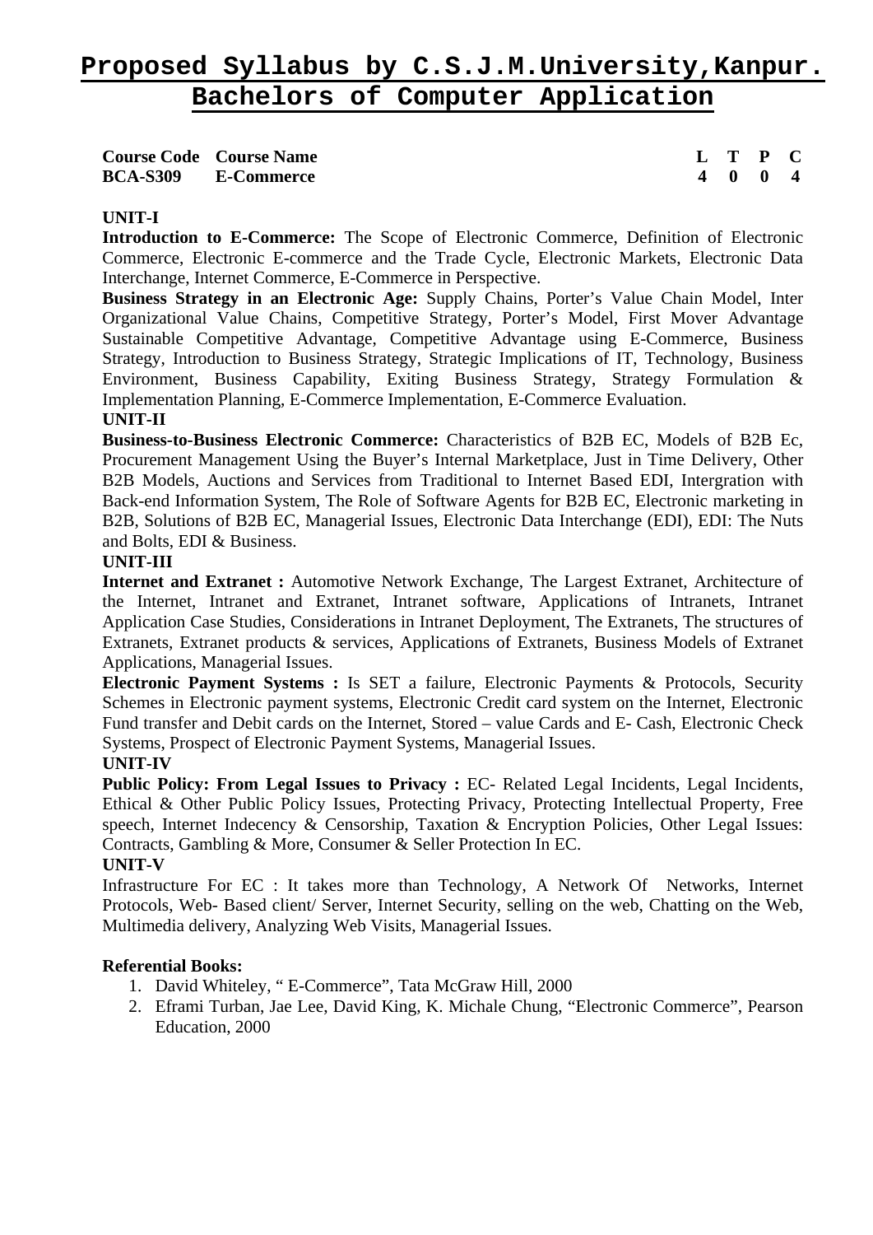**Course Code Course Name L T P C BCA-S309 E-Commerce 4 0 0 4** 

### **UNIT-I**

**Introduction to E-Commerce:** The Scope of Electronic Commerce, Definition of Electronic Commerce, Electronic E-commerce and the Trade Cycle, Electronic Markets, Electronic Data Interchange, Internet Commerce, E-Commerce in Perspective.

**Business Strategy in an Electronic Age:** Supply Chains, Porter's Value Chain Model, Inter Organizational Value Chains, Competitive Strategy, Porter's Model, First Mover Advantage Sustainable Competitive Advantage, Competitive Advantage using E-Commerce, Business Strategy, Introduction to Business Strategy, Strategic Implications of IT, Technology, Business Environment, Business Capability, Exiting Business Strategy, Strategy Formulation & Implementation Planning, E-Commerce Implementation, E-Commerce Evaluation.

#### **UNIT-II**

**Business-to-Business Electronic Commerce:** Characteristics of B2B EC, Models of B2B Ec, Procurement Management Using the Buyer's Internal Marketplace, Just in Time Delivery, Other B2B Models, Auctions and Services from Traditional to Internet Based EDI, Intergration with Back-end Information System, The Role of Software Agents for B2B EC, Electronic marketing in B2B, Solutions of B2B EC, Managerial Issues, Electronic Data Interchange (EDI), EDI: The Nuts and Bolts, EDI & Business.

#### **UNIT-III**

**Internet and Extranet :** Automotive Network Exchange, The Largest Extranet, Architecture of the Internet, Intranet and Extranet, Intranet software, Applications of Intranets, Intranet Application Case Studies, Considerations in Intranet Deployment, The Extranets, The structures of Extranets, Extranet products & services, Applications of Extranets, Business Models of Extranet Applications, Managerial Issues.

**Electronic Payment Systems :** Is SET a failure, Electronic Payments & Protocols, Security Schemes in Electronic payment systems, Electronic Credit card system on the Internet, Electronic Fund transfer and Debit cards on the Internet, Stored – value Cards and E- Cash, Electronic Check Systems, Prospect of Electronic Payment Systems, Managerial Issues.

#### **UNIT-IV**

**Public Policy: From Legal Issues to Privacy :** EC- Related Legal Incidents, Legal Incidents, Ethical & Other Public Policy Issues, Protecting Privacy, Protecting Intellectual Property, Free speech, Internet Indecency & Censorship, Taxation & Encryption Policies, Other Legal Issues: Contracts, Gambling & More, Consumer & Seller Protection In EC.

#### **UNIT-V**

Infrastructure For EC : It takes more than Technology, A Network Of Networks, Internet Protocols, Web- Based client/ Server, Internet Security, selling on the web, Chatting on the Web, Multimedia delivery, Analyzing Web Visits, Managerial Issues.

- 1. David Whiteley, " E-Commerce", Tata McGraw Hill, 2000
- 2. Eframi Turban, Jae Lee, David King, K. Michale Chung, "Electronic Commerce", Pearson Education, 2000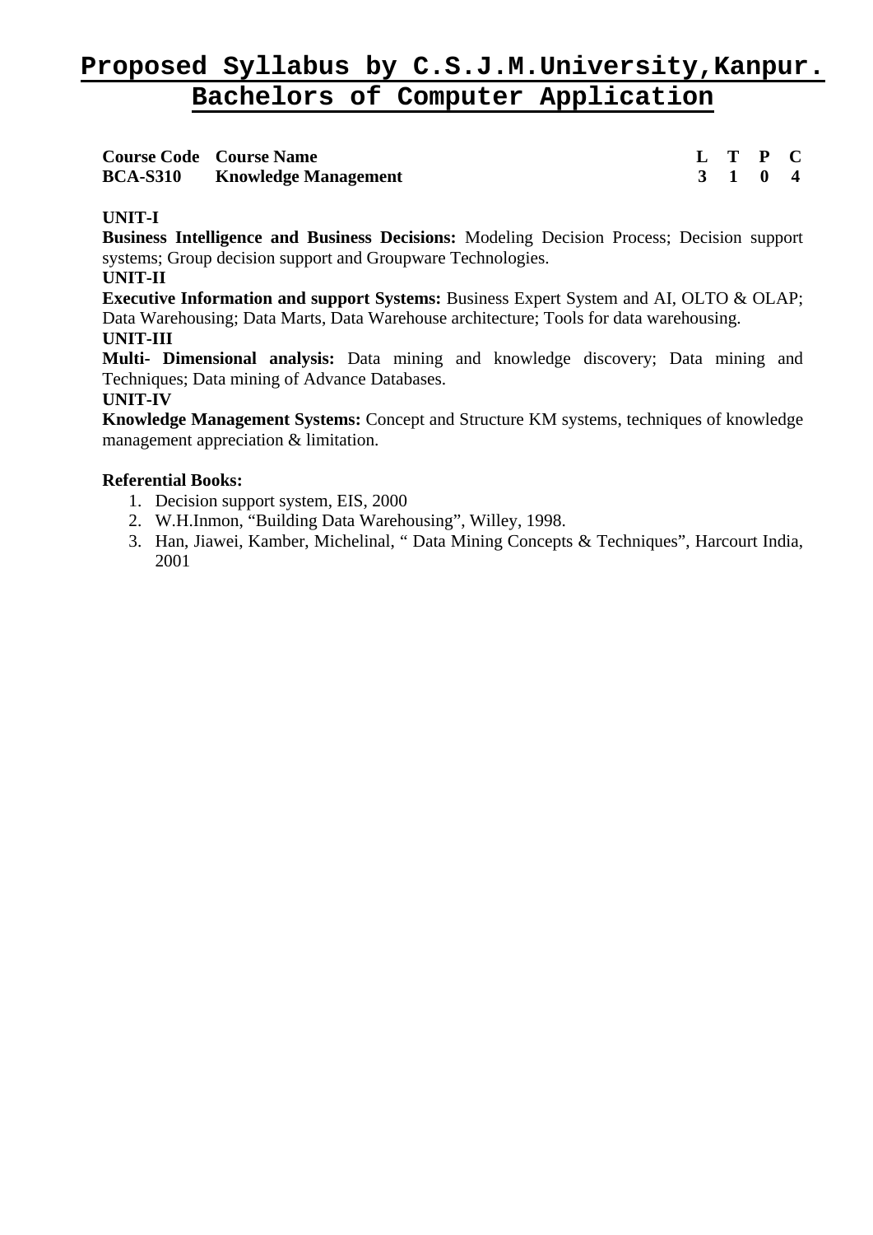|                 | <b>Course Code Course Name</b> |  | L T P C                     |  |
|-----------------|--------------------------------|--|-----------------------------|--|
| <b>BCA-S310</b> | <b>Knowledge Management</b>    |  | $3 \quad 1 \quad 0 \quad 4$ |  |

# **UNIT-I**

**Business Intelligence and Business Decisions:** Modeling Decision Process; Decision support systems; Group decision support and Groupware Technologies.

**UNIT-II**

**Executive Information and support Systems:** Business Expert System and AI, OLTO & OLAP; Data Warehousing; Data Marts, Data Warehouse architecture; Tools for data warehousing. **UNIT-III** 

**Multi- Dimensional analysis:** Data mining and knowledge discovery; Data mining and Techniques; Data mining of Advance Databases.

# **UNIT-IV**

**Knowledge Management Systems:** Concept and Structure KM systems, techniques of knowledge management appreciation & limitation.

- 1. Decision support system, EIS, 2000
- 2. W.H.Inmon, "Building Data Warehousing", Willey, 1998.
- 3. Han, Jiawei, Kamber, Michelinal, " Data Mining Concepts & Techniques", Harcourt India, 2001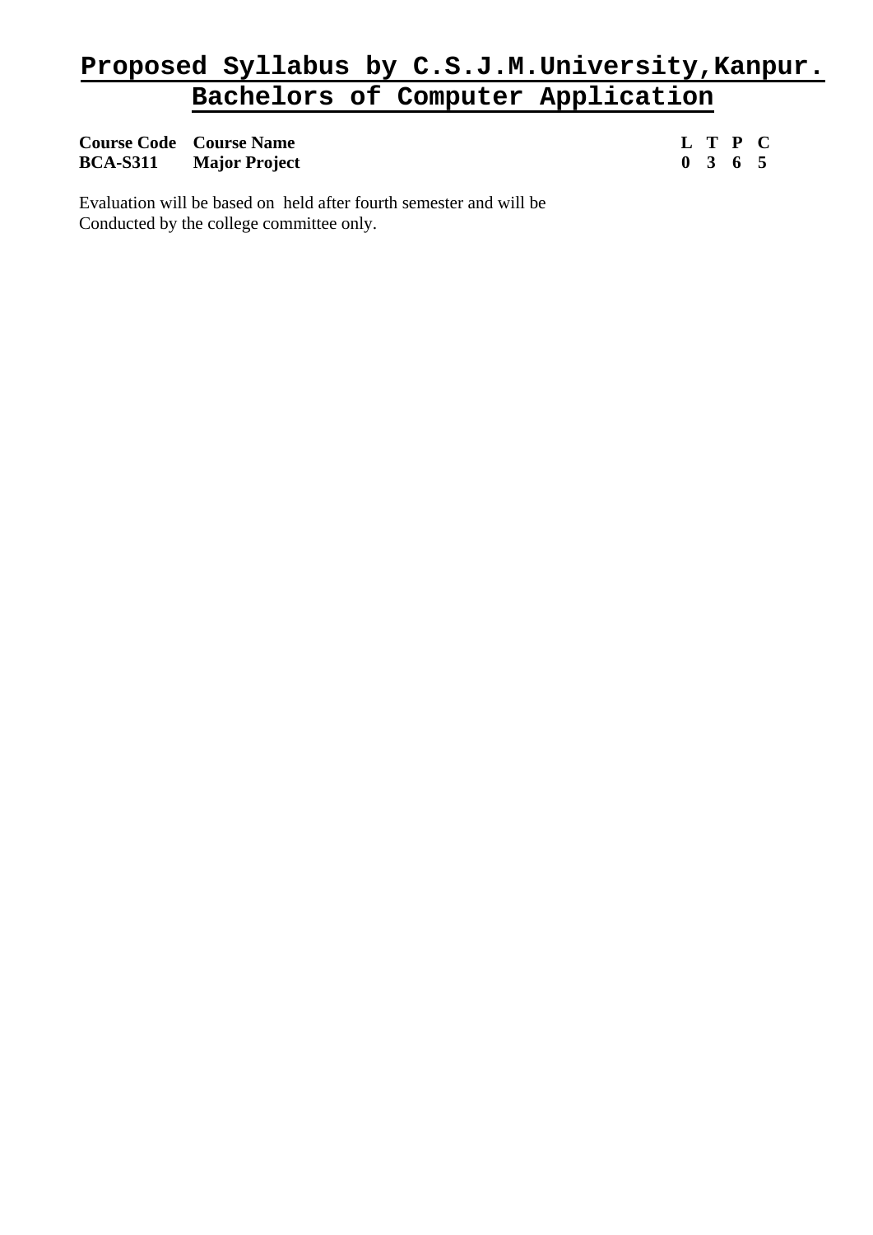**Course Code Course Name** L T P C BCA-S311 Major Project 0 3 6 5 **BCA-S311** Major Project

Evaluation will be based on held after fourth semester and will be Conducted by the college committee only.